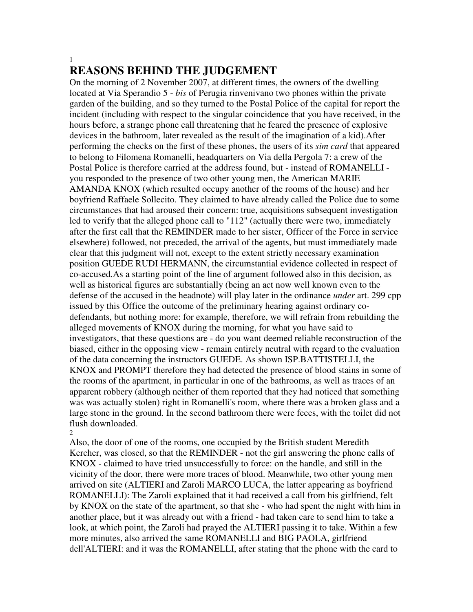### 1

# **REASONS BEHIND THE JUDGEMENT**

On the morning of 2 November 2007, at different times, the owners of the dwelling located at Via Sperandio 5 - *bis* of Perugia rinvenivano two phones within the private garden of the building, and so they turned to the Postal Police of the capital for report the incident (including with respect to the singular coincidence that you have received, in the hours before, a strange phone call threatening that he feared the presence of explosive devices in the bathroom, later revealed as the result of the imagination of a kid).After performing the checks on the first of these phones, the users of its *sim card* that appeared to belong to Filomena Romanelli, headquarters on Via della Pergola 7: a crew of the Postal Police is therefore carried at the address found, but - instead of ROMANELLI you responded to the presence of two other young men, the American MARIE AMANDA KNOX (which resulted occupy another of the rooms of the house) and her boyfriend Raffaele Sollecito. They claimed to have already called the Police due to some circumstances that had aroused their concern: true, acquisitions subsequent investigation led to verify that the alleged phone call to "112" (actually there were two, immediately after the first call that the REMINDER made to her sister, Officer of the Force in service elsewhere) followed, not preceded, the arrival of the agents, but must immediately made clear that this judgment will not, except to the extent strictly necessary examination position GUEDE RUDI HERMANN, the circumstantial evidence collected in respect of co-accused.As a starting point of the line of argument followed also in this decision, as well as historical figures are substantially (being an act now well known even to the defense of the accused in the headnote) will play later in the ordinance *under* art. 299 cpp issued by this Office the outcome of the preliminary hearing against ordinary codefendants, but nothing more: for example, therefore, we will refrain from rebuilding the alleged movements of KNOX during the morning, for what you have said to investigators, that these questions are - do you want deemed reliable reconstruction of the biased, either in the opposing view - remain entirely neutral with regard to the evaluation of the data concerning the instructors GUEDE. As shown ISP.BATTISTELLI, the KNOX and PROMPT therefore they had detected the presence of blood stains in some of the rooms of the apartment, in particular in one of the bathrooms, as well as traces of an apparent robbery (although neither of them reported that they had noticed that something was was actually stolen) right in Romanelli's room, where there was a broken glass and a large stone in the ground. In the second bathroom there were feces, with the toilet did not flush downloaded.

2

Also, the door of one of the rooms, one occupied by the British student Meredith Kercher, was closed, so that the REMINDER - not the girl answering the phone calls of KNOX - claimed to have tried unsuccessfully to force: on the handle, and still in the vicinity of the door, there were more traces of blood. Meanwhile, two other young men arrived on site (ALTIERI and Zaroli MARCO LUCA, the latter appearing as boyfriend ROMANELLI): The Zaroli explained that it had received a call from his girlfriend, felt by KNOX on the state of the apartment, so that she - who had spent the night with him in another place, but it was already out with a friend - had taken care to send him to take a look, at which point, the Zaroli had prayed the ALTIERI passing it to take. Within a few more minutes, also arrived the same ROMANELLI and BIG PAOLA, girlfriend dell'ALTIERI: and it was the ROMANELLI, after stating that the phone with the card to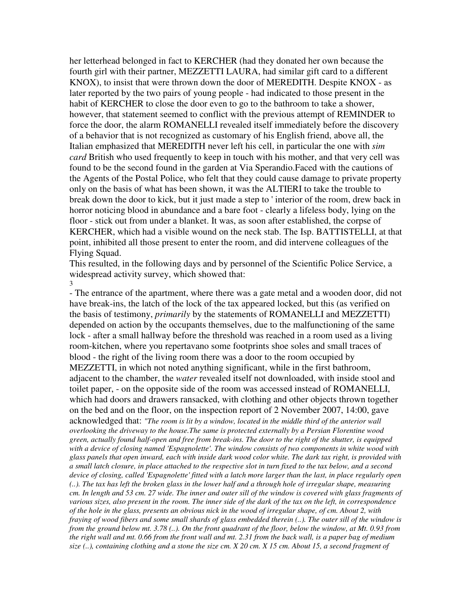her letterhead belonged in fact to KERCHER (had they donated her own because the fourth girl with their partner, MEZZETTI LAURA, had similar gift card to a different KNOX), to insist that were thrown down the door of MEREDITH. Despite KNOX - as later reported by the two pairs of young people - had indicated to those present in the habit of KERCHER to close the door even to go to the bathroom to take a shower, however, that statement seemed to conflict with the previous attempt of REMINDER to force the door, the alarm ROMANELLI revealed itself immediately before the discovery of a behavior that is not recognized as customary of his English friend, above all, the Italian emphasized that MEREDITH never left his cell, in particular the one with *sim card* British who used frequently to keep in touch with his mother, and that very cell was found to be the second found in the garden at Via Sperandio.Faced with the cautions of the Agents of the Postal Police, who felt that they could cause damage to private property only on the basis of what has been shown, it was the ALTIERI to take the trouble to break down the door to kick, but it just made a step to ' interior of the room, drew back in horror noticing blood in abundance and a bare foot - clearly a lifeless body, lying on the floor - stick out from under a blanket. It was, as soon after established, the corpse of KERCHER, which had a visible wound on the neck stab. The Isp. BATTISTELLI, at that point, inhibited all those present to enter the room, and did intervene colleagues of the Flying Squad.

This resulted, in the following days and by personnel of the Scientific Police Service, a widespread activity survey, which showed that: 3

- The entrance of the apartment, where there was a gate metal and a wooden door, did not have break-ins, the latch of the lock of the tax appeared locked, but this (as verified on the basis of testimony, *primarily* by the statements of ROMANELLI and MEZZETTI) depended on action by the occupants themselves, due to the malfunctioning of the same lock - after a small hallway before the threshold was reached in a room used as a living room-kitchen, where you repertavano some footprints shoe soles and small traces of blood - the right of the living room there was a door to the room occupied by MEZZETTI, in which not noted anything significant, while in the first bathroom, adjacent to the chamber, the *water* revealed itself not downloaded, with inside stool and toilet paper, - on the opposite side of the room was accessed instead of ROMANELLI, which had doors and drawers ransacked, with clothing and other objects thrown together on the bed and on the floor, on the inspection report of 2 November 2007, 14:00, gave acknowledged that: *"The room is lit by a window, located in the middle third of the anterior wall overlooking the driveway to the house.The same is protected externally by a Persian Florentine wood green, actually found half-open and free from break-ins. The door to the right of the shutter, is equipped with a device of closing named 'Espagnolette'. The window consists of two components in white wood with glass panels that open inward, each with inside dark wood color white. The dark tax right, is provided with a small latch closure, in place attached to the respective slot in turn fixed to the tax below, and a second device of closing, called 'Espagnolette' fitted with a latch more larger than the last, in place regularly open (..). The tax has left the broken glass in the lower half and a through hole of irregular shape, measuring cm. In length and 53 cm. 27 wide. The inner and outer sill of the window is covered with glass fragments of various sizes, also present in the room. The inner side of the dark of the tax on the left, in correspondence of the hole in the glass, presents an obvious nick in the wood of irregular shape, of cm. About 2, with fraying of wood fibers and some small shards of glass embedded therein (..). The outer sill of the window is from the ground below mt. 3.78 (..). On the front quadrant of the floor, below the window, at Mt. 0.93 from the right wall and mt. 0.66 from the front wall and mt. 2.31 from the back wall, is a paper bag of medium size (..), containing clothing and a stone the size cm. X 20 cm. X 15 cm. About 15, a second fragment of*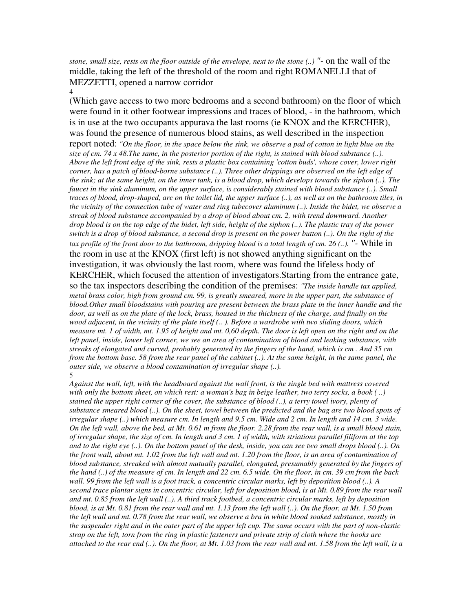*stone, small size, rests on the floor outside of the envelope, next to the stone (..) "-* on the wall of the middle, taking the left of the threshold of the room and right ROMANELLI that of MEZZETTI, opened a narrow corridor 4

(Which gave access to two more bedrooms and a second bathroom) on the floor of which were found in it other footwear impressions and traces of blood, - in the bathroom, which is in use at the two occupants appurava the last rooms (ie KNOX and the KERCHER), was found the presence of numerous blood stains, as well described in the inspection report noted: *"On the floor, in the space below the sink, we observe a pad of cotton in light blue on the size of cm. 74 x 48.The same, in the posterior portion of the right, is stained with blood substance (..). Above the left front edge of the sink, rests a plastic box containing 'cotton buds', whose cover, lower right corner, has a patch of blood-borne substance (..). Three other drippings are observed on the left edge of the sink; at the same height, on the inner tank, is a blood drop, which develops towards the siphon (..). The faucet in the sink aluminum, on the upper surface, is considerably stained with blood substance (..). Small traces of blood, drop-shaped, are on the toilet lid, the upper surface (..), as well as on the bathroom tiles, in the vicinity of the connection tube of water and ring tubecover aluminum (..). Inside the bidet, we observe a streak of blood substance accompanied by a drop of blood about cm. 2, with trend downward. Another drop blood is on the top edge of the bidet, left side, height of the siphon (..). The plastic tray of the power switch is a drop of blood substance, a second drop is present on the power button (..). On the right of the tax profile of the front door to the bathroom, dripping blood is a total length of cm. 26 (..). "-* While in the room in use at the KNOX (first left) is not showed anything significant on the investigation, it was obviously the last room, where was found the lifeless body of KERCHER, which focused the attention of investigators.Starting from the entrance gate, so the tax inspectors describing the condition of the premises: *"The inside handle tax applied, metal brass color, high from ground cm. 99, is greatly smeared, more in the upper part, the substance of blood.Other small bloodstains with pouring are present between the brass plate in the inner handle and the door, as well as on the plate of the lock, brass, housed in the thickness of the charge, and finally on the wood adjacent, in the vicinity of the plate itself (.. ). Before a wardrobe with two sliding doors, which measure mt. 1 of width, mt. 1.95 of height and mt. 0,60 depth. The door is left open on the right and on the left panel, inside, lower left corner, we see an area of contamination of blood and leaking substance, with streaks of elongated and curved, probably generated by the fingers of the hand, which is cm . And 35 cm* 

*from the bottom base. 58 from the rear panel of the cabinet (..). At the same height, in the same panel, the outer side, we observe a blood contamination of irregular shape (..).* 5

*Against the wall, left, with the headboard against the wall front, is the single bed with mattress covered with only the bottom sheet, on which rest: a woman's bag in beige leather, two terry socks, a book ( ..) stained the upper right corner of the cover, the substance of blood (..), a terry towel ivory, plenty of substance smeared blood (..). On the sheet, towel between the predicted and the bag are two blood spots of irregular shape (..) which measure cm. In length and 9.5 cm. Wide and 2 cm. In length and 14 cm. 3 wide. On the left wall, above the bed, at Mt. 0.61 m from the floor. 2.28 from the rear wall, is a small blood stain, of irregular shape, the size of cm. In length and 3 cm. 1 of width, with striations parallel filiform at the top and to the right eye (..). On the bottom panel of the desk, inside, you can see two small drops blood (..). On the front wall, about mt. 1.02 from the left wall and mt. 1.20 from the floor, is an area of contamination of blood substance, streaked with almost mutually parallel, elongated, presumably generated by the fingers of the hand (..) of the measure of cm. In length and 22 cm. 6.5 wide. On the floor, in cm. 39 cm from the back wall. 99 from the left wall is a foot track, a concentric circular marks, left by deposition blood (..). A second trace plantar signs in concentric circular, left for deposition blood, is at Mt. 0.89 from the rear wall and mt. 0.85 from the left wall (..). A third track footbed, a concentric circular marks, left by deposition blood, is at Mt. 0.81 from the rear wall and mt. 1.13 from the left wall (..). On the floor, at Mt. 1.50 from the left wall and mt. 0.78 from the rear wall, we observe a bra in white blood soaked substance, mostly in the suspender right and in the outer part of the upper left cup. The same occurs with the part of non-elastic strap on the left, torn from the ring in plastic fasteners and private strip of cloth where the hooks are attached to the rear end (..). On the floor, at Mt. 1.03 from the rear wall and mt. 1.58 from the left wall, is a*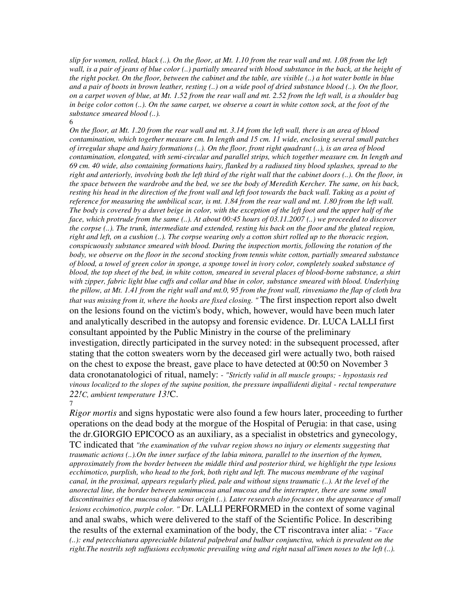*slip for women, rolled, black (..). On the floor, at Mt. 1.10 from the rear wall and mt. 1.08 from the left*  wall, is a pair of jeans of blue color (..) partially smeared with blood substance in the back, at the height of *the right pocket. On the floor, between the cabinet and the table, are visible (..) a hot water bottle in blue and a pair of boots in brown leather, resting (..) on a wide pool of dried substance blood (..). On the floor, on a carpet woven of blue, at Mt. 1.52 from the rear wall and mt. 2.52 from the left wall, is a shoulder bag in beige color cotton (..). On the same carpet, we observe a court in white cotton sock, at the foot of the substance smeared blood (..).* 6

*On the floor, at Mt. 1.20 from the rear wall and mt. 3.14 from the left wall, there is an area of blood contamination, which together measure cm. In length and 15 cm. 11 wide, enclosing several small patches of irregular shape and hairy formations (..). On the floor, front right quadrant (..), is an area of blood contamination, elongated, with semi-circular and parallel strips, which together measure cm. In length and 69 cm. 40 wide, also containing formations hairy, flanked by a radiused tiny blood splashes, spread to the*  right and anteriorly, involving both the left third of the right wall that the cabinet doors (..). On the floor, in *the space between the wardrobe and the bed, we see the body of Meredith Kercher. The same, on his back,*  resting his head in the direction of the front wall and left foot towards the back wall. Taking as a point of *reference for measuring the umbilical scar, is mt. 1.84 from the rear wall and mt. 1.80 from the left wall. The body is covered by a duvet beige in color, with the exception of the left foot and the upper half of the face, which protrude from the same (..). At about 00:45 hours of 03.11.2007 (..) we proceeded to discover the corpse (..). The trunk, intermediate and extended, resting his back on the floor and the gluteal region, right and left, on a cushion (..). The corpse wearing only a cotton shirt rolled up to the thoracic region, conspicuously substance smeared with blood. During the inspection mortis, following the rotation of the body, we observe on the floor in the second stocking from tennis white cotton, partially smeared substance of blood, a towel of green color in sponge, a sponge towel in ivory color, completely soaked substance of blood, the top sheet of the bed, in white cotton, smeared in several places of blood-borne substance, a shirt with zipper, fabric light blue cuffs and collar and blue in color, substance smeared with blood. Underlying the pillow, at Mt. 1.41 from the right wall and mt.0, 95 from the front wall, rinveniamo the flap of cloth bra that was missing from it, where the hooks are fixed closing. "* The first inspection report also dwelt on the lesions found on the victim's body, which, however, would have been much later and analytically described in the autopsy and forensic evidence. Dr. LUCA LALLI first consultant appointed by the Public Ministry in the course of the preliminary investigation, directly participated in the survey noted: in the subsequent processed, after stating that the cotton sweaters worn by the deceased girl were actually two, both raised on the chest to expose the breast, gave place to have detected at 00:50 on November 3 data cronotanatologici of ritual, namely: - *"Strictly valid in all muscle groups;* - *hypostasis red vinous localized to the slopes of the supine position, the pressure impallidenti digital* - *rectal temperature 22!C, ambient temperature 13!*C.

7 *Rigor mortis* and signs hypostatic were also found a few hours later, proceeding to further operations on the dead body at the morgue of the Hospital of Perugia: in that case, using the dr.GIORGIO EPICOCO as an auxiliary, as a specialist in obstetrics and gynecology,

TC indicated that *"the examination of the vulvar region shows no injury or elements suggesting that traumatic actions (..).On the inner surface of the labia minora, parallel to the insertion of the hymen, approximately from the border between the middle third and posterior third, we highlight the type lesions*  ecchimotico, purplish, who head to the fork, both right and left. The mucous membrane of the vaginal *canal, in the proximal, appears regularly plied, pale and without signs traumatic (..). At the level of the anorectal line, the border between semimucosa anal mucosa and the interrupter, there are some small discontinuities of the mucosa of dubious origin (..). Later research also focuses on the appearance of small lesions ecchimotico, purple color. "* Dr. LALLI PERFORMED in the context of some vaginal and anal swabs, which were delivered to the staff of the Scientific Police. In describing the results of the external examination of the body, the CT riscontrava inter alia: - *"Face (..): end petecchiatura appreciable bilateral palpebral and bulbar conjunctiva, which is prevalent on the right.The nostrils soft suffusions ecchymotic prevailing wing and right nasal all'imen noses to the left (..).*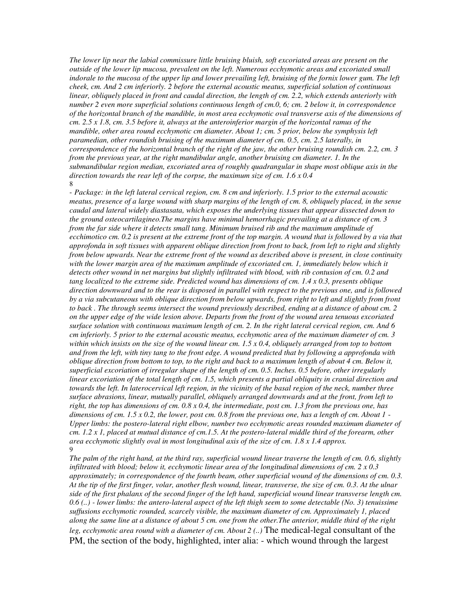*The lower lip near the labial commissure little bruising bluish, soft excoriated areas are present on the outside of the lower lip mucosa, prevalent on the left. Numerous ecchymotic areas and excoriated small indorale to the mucosa of the upper lip and lower prevailing left, bruising of the fornix lower gum. The left cheek, cm. And 2 cm inferiorly. 2 before the external acoustic meatus, superficial solution of continuous linear, obliquely placed in front and caudal direction, the length of cm. 2.2, which extends anteriorly with number 2 even more superficial solutions continuous length of cm.0, 6; cm. 2 below it, in correspondence of the horizontal branch of the mandible, in most area ecchymotic oval transverse axis of the dimensions of cm. 2.5 x 1.8, cm. 3.5 before it, always at the anteroinferior margin of the horizontal ramus of the*  mandible, other area round ecchymotic cm diameter. About 1; cm. 5 prior, below the symphysis left *paramedian, other roundish bruising of the maximum diameter of cm. 0.5, cm. 2.5 laterally, in correspondence of the horizontal branch of the right of the jaw, the other bruising roundish cm. 2.2, cm. 3 from the previous year, at the right mandibular angle, another bruising cm diameter. 1. In the submandibular region median, excoriated area of roughly quadrangular in shape most oblique axis in the direction towards the rear left of the corpse, the maximum size of cm. 1.6 x 0.4* 8

- *Package: in the left lateral cervical region, cm. 8 cm and inferiorly. 1.5 prior to the external acoustic meatus, presence of a large wound with sharp margins of the length of cm. 8, obliquely placed, in the sense caudal and lateral widely diastasata, which exposes the underlying tissues that appear dissected down to the ground osteocartilagineo.The margins have minimal hemorrhagic prevailing at a distance of cm. 3 from the far side where it detects small tang. Minimum bruised rib and the maximum amplitude of ecchimotico cm.* 0.2 is present at the extreme front of the top margin. A wound that is followed by a via that *approfonda in soft tissues with apparent oblique direction from front to back, from left to right and slightly from below upwards. Near the extreme front of the wound as described above is present, in close continuity*  with the lower margin area of the maximum amplitude of excoriated cm. 1, immediately below which it *detects other wound in net margins but slightly infiltrated with blood, with rib contusion of cm. 0.2 and tang localized to the extreme side. Predicted wound has dimensions of cm. 1.4 x 0.3, presents oblique direction downward and to the rear is disposed in parallel with respect to the previous one, and is followed by a via subcutaneous with oblique direction from below upwards, from right to left and slightly from front to back . The through seems intersect the wound previously described, ending at a distance of about cm. 2 on the upper edge of the wide lesion above. Departs from the front of the wound area tenuous excoriated surface solution with continuous maximum length of cm. 2. In the right lateral cervical region, cm. And 6 cm inferiorly. 5 prior to the external acoustic meatus, ecchymotic area of the maximum diameter of cm. 3 within which insists on the size of the wound linear cm. 1.5 x 0.4, obliquely arranged from top to bottom and from the left, with tiny tang to the front edge. A wound predicted that by following a approfonda with oblique direction from bottom to top, to the right and back to a maximum length of about 4 cm. Below it, superficial excoriation of irregular shape of the length of cm. 0.5. Inches. 0.5 before, other irregularly linear excoriation of the total length of cm. 1.5, which presents a partial obliquity in cranial direction and towards the left. In laterocervical left region, in the vicinity of the basal region of the neck, number three surface abrasions, linear, mutually parallel, obliquely arranged downwards and at the front, from left to right, the top has dimensions of cm. 0.8 x 0.4, the intermediate, post cm. 1.3 from the previous one, has dimensions of cm. 1.5 x 0.2, the lower, post cm. 0.8 from the previous one, has a length of cm. About 1* - *Upper limbs: the postero-lateral right elbow, number two ecchymotic areas rounded maximum diameter of cm. 1.2 x 1, placed at mutual distance of cm.1.5. At the postero-lateral middle third of the forearm, other area ecchymotic slightly oval in most longitudinal axis of the size of cm. 1.8 x 1.4 approx.* 9

*The palm of the right hand, at the third ray, superficial wound linear traverse the length of cm. 0.6, slightly infiltrated with blood; below it, ecchymotic linear area of the longitudinal dimensions of cm. 2 x 0.3 approximately; in correspondence of the fourth beam, other superficial wound of the dimensions of cm. 0.3. At the tip of the first finger, volar, another flesh wound, linear, transverse, the size of cm. 0.3. At the ulnar side of the first phalanx of the second finger of the left hand, superficial wound linear transverse length cm. 0.6 (..) - lower limbs: the antero-lateral aspect of the left thigh seem to some detectable (No. 3) tenuissime suffusions ecchymotic rounded, scarcely visible, the maximum diameter of cm. Approximately 1, placed along the same line at a distance of about 5 cm. one from the other.The anterior, middle third of the right leg, ecchymotic area round with a diameter of cm. About 2 (..)* The medical-legal consultant of the PM, the section of the body, highlighted, inter alia: - which wound through the largest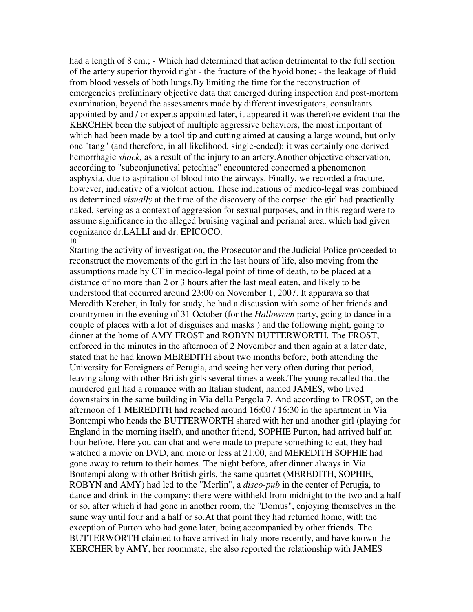had a length of 8 cm.; - Which had determined that action detrimental to the full section of the artery superior thyroid right - the fracture of the hyoid bone; - the leakage of fluid from blood vessels of both lungs.By limiting the time for the reconstruction of emergencies preliminary objective data that emerged during inspection and post-mortem examination, beyond the assessments made by different investigators, consultants appointed by and / or experts appointed later, it appeared it was therefore evident that the KERCHER been the subject of multiple aggressive behaviors, the most important of which had been made by a tool tip and cutting aimed at causing a large wound, but only one "tang" (and therefore, in all likelihood, single-ended): it was certainly one derived hemorrhagic *shock,* as a result of the injury to an artery.Another objective observation, according to "subconjunctival petechiae" encountered concerned a phenomenon asphyxia, due to aspiration of blood into the airways. Finally, we recorded a fracture, however, indicative of a violent action. These indications of medico-legal was combined as determined *visually* at the time of the discovery of the corpse: the girl had practically naked, serving as a context of aggression for sexual purposes, and in this regard were to assume significance in the alleged bruising vaginal and perianal area, which had given cognizance dr.LALLI and dr. EPICOCO. 10

Starting the activity of investigation, the Prosecutor and the Judicial Police proceeded to reconstruct the movements of the girl in the last hours of life, also moving from the assumptions made by CT in medico-legal point of time of death, to be placed at a distance of no more than 2 or 3 hours after the last meal eaten, and likely to be understood that occurred around 23:00 on November 1, 2007. It appurava so that Meredith Kercher, in Italy for study, he had a discussion with some of her friends and countrymen in the evening of 31 October (for the *Halloween* party, going to dance in a couple of places with a lot of disguises and masks ) and the following night, going to dinner at the home of AMY FROST and ROBYN BUTTERWORTH. The FROST, enforced in the minutes in the afternoon of 2 November and then again at a later date, stated that he had known MEREDITH about two months before, both attending the University for Foreigners of Perugia, and seeing her very often during that period, leaving along with other British girls several times a week.The young recalled that the murdered girl had a romance with an Italian student, named JAMES, who lived downstairs in the same building in Via della Pergola 7. And according to FROST, on the afternoon of 1 MEREDITH had reached around 16:00 / 16:30 in the apartment in Via Bontempi who heads the BUTTERWORTH shared with her and another girl (playing for England in the morning itself), and another friend, SOPHIE Purton, had arrived half an hour before. Here you can chat and were made to prepare something to eat, they had watched a movie on DVD, and more or less at 21:00, and MEREDITH SOPHIE had gone away to return to their homes. The night before, after dinner always in Via Bontempi along with other British girls, the same quartet (MEREDITH, SOPHIE, ROBYN and AMY) had led to the "Merlin", a *disco-pub* in the center of Perugia, to dance and drink in the company: there were withheld from midnight to the two and a half or so, after which it had gone in another room, the "Domus", enjoying themselves in the same way until four and a half or so.At that point they had returned home, with the exception of Purton who had gone later, being accompanied by other friends. The BUTTERWORTH claimed to have arrived in Italy more recently, and have known the KERCHER by AMY, her roommate, she also reported the relationship with JAMES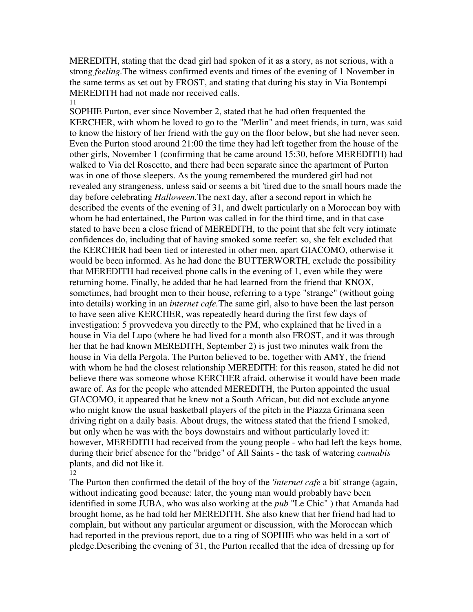MEREDITH, stating that the dead girl had spoken of it as a story, as not serious, with a strong *feeling.*The witness confirmed events and times of the evening of 1 November in the same terms as set out by FROST, and stating that during his stay in Via Bontempi MEREDITH had not made nor received calls. 11

SOPHIE Purton, ever since November 2, stated that he had often frequented the KERCHER, with whom he loved to go to the "Merlin" and meet friends, in turn, was said to know the history of her friend with the guy on the floor below, but she had never seen. Even the Purton stood around 21:00 the time they had left together from the house of the other girls, November 1 (confirming that be came around 15:30, before MEREDITH) had walked to Via del Roscetto, and there had been separate since the apartment of Purton was in one of those sleepers. As the young remembered the murdered girl had not revealed any strangeness, unless said or seems a bit 'tired due to the small hours made the day before celebrating *Halloween.*The next day, after a second report in which he described the events of the evening of 31, and dwelt particularly on a Moroccan boy with whom he had entertained, the Purton was called in for the third time, and in that case stated to have been a close friend of MEREDITH, to the point that she felt very intimate confidences do, including that of having smoked some reefer: so, she felt excluded that the KERCHER had been tied or interested in other men, apart GIACOMO, otherwise it would be been informed. As he had done the BUTTERWORTH, exclude the possibility that MEREDITH had received phone calls in the evening of 1, even while they were returning home. Finally, he added that he had learned from the friend that KNOX, sometimes, had brought men to their house, referring to a type "strange" (without going into details) working in an *internet cafe.*The same girl, also to have been the last person to have seen alive KERCHER, was repeatedly heard during the first few days of investigation: 5 provvedeva you directly to the PM, who explained that he lived in a house in Via del Lupo (where he had lived for a month also FROST, and it was through her that he had known MEREDITH, September 2) is just two minutes walk from the house in Via della Pergola. The Purton believed to be, together with AMY, the friend with whom he had the closest relationship MEREDITH: for this reason, stated he did not believe there was someone whose KERCHER afraid, otherwise it would have been made aware of. As for the people who attended MEREDITH, the Purton appointed the usual GIACOMO, it appeared that he knew not a South African, but did not exclude anyone who might know the usual basketball players of the pitch in the Piazza Grimana seen driving right on a daily basis. About drugs, the witness stated that the friend I smoked, but only when he was with the boys downstairs and without particularly loved it: however, MEREDITH had received from the young people - who had left the keys home, during their brief absence for the "bridge" of All Saints - the task of watering *cannabis* plants, and did not like it. 12

The Purton then confirmed the detail of the boy of the *'internet cafe* a bit' strange (again, without indicating good because: later, the young man would probably have been identified in some JUBA, who was also working at the *pub* "Le Chic" ) that Amanda had brought home, as he had told her MEREDITH. She also knew that her friend had had to complain, but without any particular argument or discussion, with the Moroccan which had reported in the previous report, due to a ring of SOPHIE who was held in a sort of pledge.Describing the evening of 31, the Purton recalled that the idea of dressing up for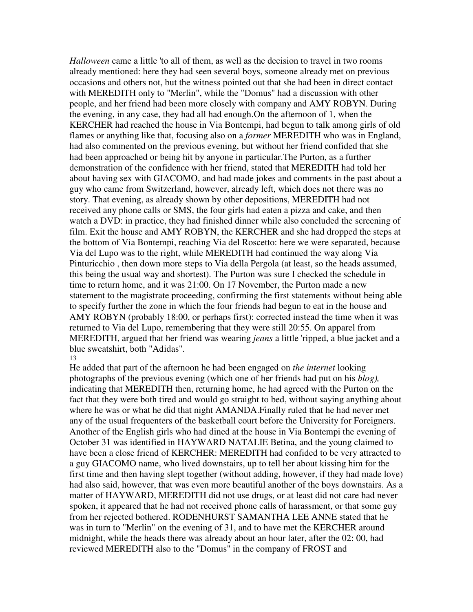*Halloween* came a little 'to all of them, as well as the decision to travel in two rooms already mentioned: here they had seen several boys, someone already met on previous occasions and others not, but the witness pointed out that she had been in direct contact with MEREDITH only to "Merlin", while the "Domus" had a discussion with other people, and her friend had been more closely with company and AMY ROBYN. During the evening, in any case, they had all had enough.On the afternoon of 1, when the KERCHER had reached the house in Via Bontempi, had begun to talk among girls of old flames or anything like that, focusing also on a *former* MEREDITH who was in England, had also commented on the previous evening, but without her friend confided that she had been approached or being hit by anyone in particular.The Purton, as a further demonstration of the confidence with her friend, stated that MEREDITH had told her about having sex with GIACOMO, and had made jokes and comments in the past about a guy who came from Switzerland, however, already left, which does not there was no story. That evening, as already shown by other depositions, MEREDITH had not received any phone calls or SMS, the four girls had eaten a pizza and cake, and then watch a DVD: in practice, they had finished dinner while also concluded the screening of film. Exit the house and AMY ROBYN, the KERCHER and she had dropped the steps at the bottom of Via Bontempi, reaching Via del Roscetto: here we were separated, because Via del Lupo was to the right, while MEREDITH had continued the way along Via Pinturicchio , then down more steps to Via della Pergola (at least, so the heads assumed, this being the usual way and shortest). The Purton was sure I checked the schedule in time to return home, and it was 21:00. On 17 November, the Purton made a new statement to the magistrate proceeding, confirming the first statements without being able to specify further the zone in which the four friends had begun to eat in the house and AMY ROBYN (probably 18:00, or perhaps first): corrected instead the time when it was returned to Via del Lupo, remembering that they were still 20:55. On apparel from MEREDITH, argued that her friend was wearing *jeans* a little 'ripped, a blue jacket and a blue sweatshirt, both "Adidas".

### 13

He added that part of the afternoon he had been engaged on *the internet* looking photographs of the previous evening (which one of her friends had put on his *blog),* indicating that MEREDITH then, returning home, he had agreed with the Purton on the fact that they were both tired and would go straight to bed, without saying anything about where he was or what he did that night AMANDA.Finally ruled that he had never met any of the usual frequenters of the basketball court before the University for Foreigners. Another of the English girls who had dined at the house in Via Bontempi the evening of October 31 was identified in HAYWARD NATALIE Betina, and the young claimed to have been a close friend of KERCHER: MEREDITH had confided to be very attracted to a guy GIACOMO name, who lived downstairs, up to tell her about kissing him for the first time and then having slept together (without adding, however, if they had made love) had also said, however, that was even more beautiful another of the boys downstairs. As a matter of HAYWARD, MEREDITH did not use drugs, or at least did not care had never spoken, it appeared that he had not received phone calls of harassment, or that some guy from her rejected bothered. RODENHURST SAMANTHA LEE ANNE stated that he was in turn to "Merlin" on the evening of 31, and to have met the KERCHER around midnight, while the heads there was already about an hour later, after the 02: 00, had reviewed MEREDITH also to the "Domus" in the company of FROST and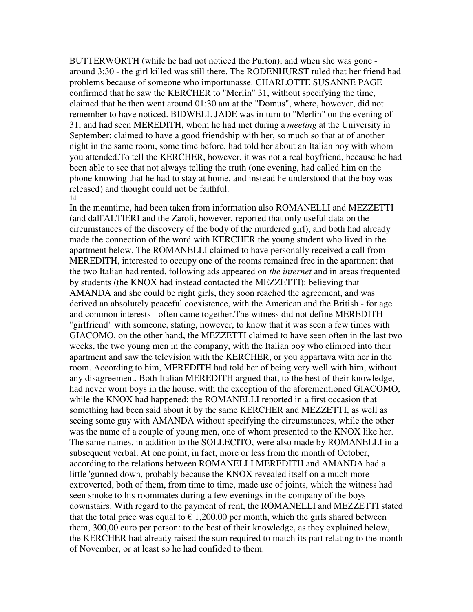BUTTERWORTH (while he had not noticed the Purton), and when she was gone around 3:30 - the girl killed was still there. The RODENHURST ruled that her friend had problems because of someone who importunasse. CHARLOTTE SUSANNE PAGE confirmed that he saw the KERCHER to "Merlin" 31, without specifying the time, claimed that he then went around 01:30 am at the "Domus", where, however, did not remember to have noticed. BIDWELL JADE was in turn to "Merlin" on the evening of 31, and had seen MEREDITH, whom he had met during a *meeting* at the University in September: claimed to have a good friendship with her, so much so that at of another night in the same room, some time before, had told her about an Italian boy with whom you attended.To tell the KERCHER, however, it was not a real boyfriend, because he had been able to see that not always telling the truth (one evening, had called him on the phone knowing that he had to stay at home, and instead he understood that the boy was released) and thought could not be faithful. 14

In the meantime, had been taken from information also ROMANELLI and MEZZETTI (and dall'ALTIERI and the Zaroli, however, reported that only useful data on the circumstances of the discovery of the body of the murdered girl), and both had already made the connection of the word with KERCHER the young student who lived in the apartment below. The ROMANELLI claimed to have personally received a call from MEREDITH, interested to occupy one of the rooms remained free in the apartment that the two Italian had rented, following ads appeared on *the internet* and in areas frequented by students (the KNOX had instead contacted the MEZZETTI): believing that AMANDA and she could be right girls, they soon reached the agreement, and was derived an absolutely peaceful coexistence, with the American and the British - for age and common interests - often came together.The witness did not define MEREDITH "girlfriend" with someone, stating, however, to know that it was seen a few times with GIACOMO, on the other hand, the MEZZETTI claimed to have seen often in the last two weeks, the two young men in the company, with the Italian boy who climbed into their apartment and saw the television with the KERCHER, or you appartava with her in the room. According to him, MEREDITH had told her of being very well with him, without any disagreement. Both Italian MEREDITH argued that, to the best of their knowledge, had never worn boys in the house, with the exception of the aforementioned GIACOMO, while the KNOX had happened: the ROMANELLI reported in a first occasion that something had been said about it by the same KERCHER and MEZZETTI, as well as seeing some guy with AMANDA without specifying the circumstances, while the other was the name of a couple of young men, one of whom presented to the KNOX like her. The same names, in addition to the SOLLECITO, were also made by ROMANELLI in a subsequent verbal. At one point, in fact, more or less from the month of October, according to the relations between ROMANELLI MEREDITH and AMANDA had a little 'gunned down, probably because the KNOX revealed itself on a much more extroverted, both of them, from time to time, made use of joints, which the witness had seen smoke to his roommates during a few evenings in the company of the boys downstairs. With regard to the payment of rent, the ROMANELLI and MEZZETTI stated that the total price was equal to  $\epsilon$  1,200.00 per month, which the girls shared between them, 300,00 euro per person: to the best of their knowledge, as they explained below, the KERCHER had already raised the sum required to match its part relating to the month of November, or at least so he had confided to them.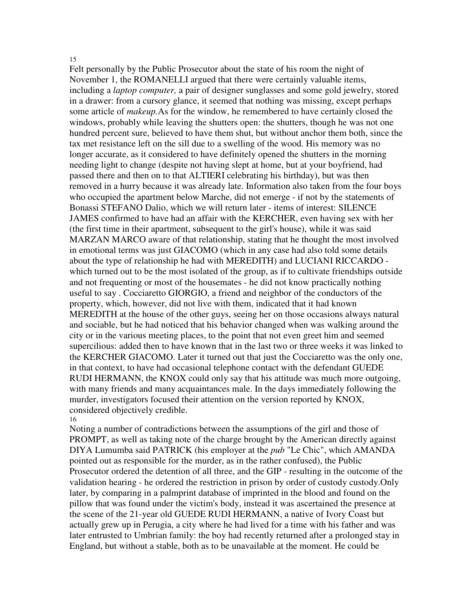### 15

Felt personally by the Public Prosecutor about the state of his room the night of November 1, the ROMANELLI argued that there were certainly valuable items, including a *laptop computer,* a pair of designer sunglasses and some gold jewelry, stored in a drawer: from a cursory glance, it seemed that nothing was missing, except perhaps some article of *makeup.*As for the window, he remembered to have certainly closed the windows, probably while leaving the shutters open: the shutters, though he was not one hundred percent sure, believed to have them shut, but without anchor them both, since the tax met resistance left on the sill due to a swelling of the wood. His memory was no longer accurate, as it considered to have definitely opened the shutters in the morning needing light to change (despite not having slept at home, but at your boyfriend, had passed there and then on to that ALTIERI celebrating his birthday), but was then removed in a hurry because it was already late. Information also taken from the four boys who occupied the apartment below Marche, did not emerge - if not by the statements of Bonassi STEFANO Dalio, which we will return later - items of interest: SILENCE JAMES confirmed to have had an affair with the KERCHER, even having sex with her (the first time in their apartment, subsequent to the girl's house), while it was said MARZAN MARCO aware of that relationship, stating that he thought the most involved in emotional terms was just GIACOMO (which in any case had also told some details about the type of relationship he had with MEREDITH) and LUCIANI RICCARDO which turned out to be the most isolated of the group, as if to cultivate friendships outside and not frequenting or most of the housemates - he did not know practically nothing useful to say . Cocciaretto GIORGIO, a friend and neighbor of the conductors of the property, which, however, did not live with them, indicated that it had known MEREDITH at the house of the other guys, seeing her on those occasions always natural and sociable, but he had noticed that his behavior changed when was walking around the city or in the various meeting places, to the point that not even greet him and seemed supercilious: added then to have known that in the last two or three weeks it was linked to the KERCHER GIACOMO. Later it turned out that just the Cocciaretto was the only one, in that context, to have had occasional telephone contact with the defendant GUEDE RUDI HERMANN, the KNOX could only say that his attitude was much more outgoing, with many friends and many acquaintances male. In the days immediately following the murder, investigators focused their attention on the version reported by KNOX, considered objectively credible.

### 16

Noting a number of contradictions between the assumptions of the girl and those of PROMPT, as well as taking note of the charge brought by the American directly against DIYA Lumumba said PATRICK (his employer at the *pub* "Le Chic", which AMANDA pointed out as responsible for the murder, as in the rather confused), the Public Prosecutor ordered the detention of all three, and the GIP - resulting in the outcome of the validation hearing - he ordered the restriction in prison by order of custody custody.Only later, by comparing in a palmprint database of imprinted in the blood and found on the pillow that was found under the victim's body, instead it was ascertained the presence at the scene of the 21-year old GUEDE RUDI HERMANN, a native of Ivory Coast but actually grew up in Perugia, a city where he had lived for a time with his father and was later entrusted to Umbrian family: the boy had recently returned after a prolonged stay in England, but without a stable, both as to be unavailable at the moment. He could be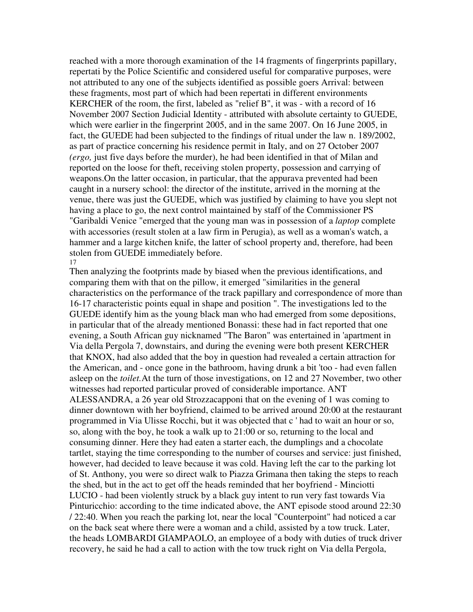reached with a more thorough examination of the 14 fragments of fingerprints papillary, repertati by the Police Scientific and considered useful for comparative purposes, were not attributed to any one of the subjects identified as possible goers Arrival: between these fragments, most part of which had been repertati in different environments KERCHER of the room, the first, labeled as "relief B", it was - with a record of 16 November 2007 Section Judicial Identity - attributed with absolute certainty to GUEDE, which were earlier in the fingerprint 2005, and in the same 2007. On 16 June 2005, in fact, the GUEDE had been subjected to the findings of ritual under the law n. 189/2002, as part of practice concerning his residence permit in Italy, and on 27 October 2007 *(ergo,* just five days before the murder), he had been identified in that of Milan and reported on the loose for theft, receiving stolen property, possession and carrying of weapons.On the latter occasion, in particular, that the appurava prevented had been caught in a nursery school: the director of the institute, arrived in the morning at the venue, there was just the GUEDE, which was justified by claiming to have you slept not having a place to go, the next control maintained by staff of the Commissioner PS "Garibaldi Venice "emerged that the young man was in possession of a *laptop* complete with accessories (result stolen at a law firm in Perugia), as well as a woman's watch, a hammer and a large kitchen knife, the latter of school property and, therefore, had been stolen from GUEDE immediately before. 17

Then analyzing the footprints made by biased when the previous identifications, and comparing them with that on the pillow, it emerged "similarities in the general characteristics on the performance of the track papillary and correspondence of more than 16-17 characteristic points equal in shape and position ". The investigations led to the GUEDE identify him as the young black man who had emerged from some depositions, in particular that of the already mentioned Bonassi: these had in fact reported that one evening, a South African guy nicknamed "The Baron" was entertained in 'apartment in Via della Pergola 7, downstairs, and during the evening were both present KERCHER that KNOX, had also added that the boy in question had revealed a certain attraction for the American, and - once gone in the bathroom, having drunk a bit 'too - had even fallen asleep on the *toilet.*At the turn of those investigations, on 12 and 27 November, two other witnesses had reported particular proved of considerable importance. ANT ALESSANDRA, a 26 year old Strozzacapponi that on the evening of 1 was coming to dinner downtown with her boyfriend, claimed to be arrived around 20:00 at the restaurant programmed in Via Ulisse Rocchi, but it was objected that c ' had to wait an hour or so, so, along with the boy, he took a walk up to 21:00 or so, returning to the local and consuming dinner. Here they had eaten a starter each, the dumplings and a chocolate tartlet, staying the time corresponding to the number of courses and service: just finished, however, had decided to leave because it was cold. Having left the car to the parking lot of St. Anthony, you were so direct walk to Piazza Grimana then taking the steps to reach the shed, but in the act to get off the heads reminded that her boyfriend - Minciotti LUCIO - had been violently struck by a black guy intent to run very fast towards Via Pinturicchio: according to the time indicated above, the ANT episode stood around 22:30 / 22:40. When you reach the parking lot, near the local "Counterpoint" had noticed a car on the back seat where there were a woman and a child, assisted by a tow truck. Later, the heads LOMBARDI GIAMPAOLO, an employee of a body with duties of truck driver recovery, he said he had a call to action with the tow truck right on Via della Pergola,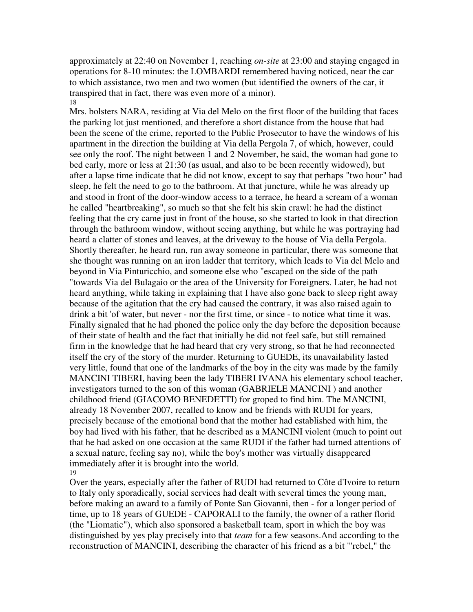approximately at 22:40 on November 1, reaching *on-site* at 23:00 and staying engaged in operations for 8-10 minutes: the LOMBARDI remembered having noticed, near the car to which assistance, two men and two women (but identified the owners of the car, it transpired that in fact, there was even more of a minor). 18

Mrs. bolsters NARA, residing at Via del Melo on the first floor of the building that faces the parking lot just mentioned, and therefore a short distance from the house that had been the scene of the crime, reported to the Public Prosecutor to have the windows of his apartment in the direction the building at Via della Pergola 7, of which, however, could see only the roof. The night between 1 and 2 November, he said, the woman had gone to bed early, more or less at 21:30 (as usual, and also to be been recently widowed), but after a lapse time indicate that he did not know, except to say that perhaps "two hour" had sleep, he felt the need to go to the bathroom. At that juncture, while he was already up and stood in front of the door-window access to a terrace, he heard a scream of a woman he called "heartbreaking", so much so that she felt his skin crawl: he had the distinct feeling that the cry came just in front of the house, so she started to look in that direction through the bathroom window, without seeing anything, but while he was portraying had heard a clatter of stones and leaves, at the driveway to the house of Via della Pergola. Shortly thereafter, he heard run, run away someone in particular, there was someone that she thought was running on an iron ladder that territory, which leads to Via del Melo and beyond in Via Pinturicchio, and someone else who "escaped on the side of the path "towards Via del Bulagaio or the area of the University for Foreigners. Later, he had not heard anything, while taking in explaining that I have also gone back to sleep right away because of the agitation that the cry had caused the contrary, it was also raised again to drink a bit 'of water, but never - nor the first time, or since - to notice what time it was. Finally signaled that he had phoned the police only the day before the deposition because of their state of health and the fact that initially he did not feel safe, but still remained firm in the knowledge that he had heard that cry very strong, so that he had reconnected itself the cry of the story of the murder. Returning to GUEDE, its unavailability lasted very little, found that one of the landmarks of the boy in the city was made by the family MANCINI TIBERI, having been the lady TIBERI IVANA his elementary school teacher, investigators turned to the son of this woman (GABRIELE MANCINI ) and another childhood friend (GIACOMO BENEDETTI) for groped to find him. The MANCINI, already 18 November 2007, recalled to know and be friends with RUDI for years, precisely because of the emotional bond that the mother had established with him, the boy had lived with his father, that he described as a MANCINI violent (much to point out that he had asked on one occasion at the same RUDI if the father had turned attentions of a sexual nature, feeling say no), while the boy's mother was virtually disappeared immediately after it is brought into the world. 19

Over the years, especially after the father of RUDI had returned to Côte d'Ivoire to return to Italy only sporadically, social services had dealt with several times the young man, before making an award to a family of Ponte San Giovanni, then - for a longer period of time, up to 18 years of GUEDE - CAPORALI to the family, the owner of a rather florid (the "Liomatic"), which also sponsored a basketball team, sport in which the boy was distinguished by yes play precisely into that *team* for a few seasons.And according to the reconstruction of MANCINI, describing the character of his friend as a bit '"rebel," the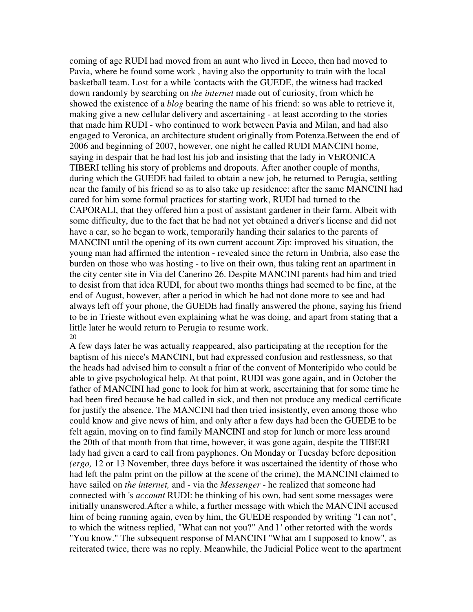coming of age RUDI had moved from an aunt who lived in Lecco, then had moved to Pavia, where he found some work , having also the opportunity to train with the local basketball team. Lost for a while 'contacts with the GUEDE, the witness had tracked down randomly by searching on *the internet* made out of curiosity, from which he showed the existence of a *blog* bearing the name of his friend: so was able to retrieve it, making give a new cellular delivery and ascertaining - at least according to the stories that made him RUDI - who continued to work between Pavia and Milan, and had also engaged to Veronica, an architecture student originally from Potenza.Between the end of 2006 and beginning of 2007, however, one night he called RUDI MANCINI home, saying in despair that he had lost his job and insisting that the lady in VERONICA TIBERI telling his story of problems and dropouts. After another couple of months, during which the GUEDE had failed to obtain a new job, he returned to Perugia, settling near the family of his friend so as to also take up residence: after the same MANCINI had cared for him some formal practices for starting work, RUDI had turned to the CAPORALI, that they offered him a post of assistant gardener in their farm. Albeit with some difficulty, due to the fact that he had not yet obtained a driver's license and did not have a car, so he began to work, temporarily handing their salaries to the parents of MANCINI until the opening of its own current account Zip: improved his situation, the young man had affirmed the intention - revealed since the return in Umbria, also ease the burden on those who was hosting - to live on their own, thus taking rent an apartment in the city center site in Via del Canerino 26. Despite MANCINI parents had him and tried to desist from that idea RUDI, for about two months things had seemed to be fine, at the end of August, however, after a period in which he had not done more to see and had always left off your phone, the GUEDE had finally answered the phone, saying his friend to be in Trieste without even explaining what he was doing, and apart from stating that a little later he would return to Perugia to resume work. 20

A few days later he was actually reappeared, also participating at the reception for the baptism of his niece's MANCINI, but had expressed confusion and restlessness, so that the heads had advised him to consult a friar of the convent of Monteripido who could be able to give psychological help. At that point, RUDI was gone again, and in October the father of MANCINI had gone to look for him at work, ascertaining that for some time he had been fired because he had called in sick, and then not produce any medical certificate for justify the absence. The MANCINI had then tried insistently, even among those who could know and give news of him, and only after a few days had been the GUEDE to be felt again, moving on to find family MANCINI and stop for lunch or more less around the 20th of that month from that time, however, it was gone again, despite the TIBERI lady had given a card to call from payphones. On Monday or Tuesday before deposition *(ergo,* 12 or 13 November, three days before it was ascertained the identity of those who had left the palm print on the pillow at the scene of the crime), the MANCINI claimed to have sailed on *the internet,* and - via the *Messenger* - he realized that someone had connected with 's *account* RUDI: be thinking of his own, had sent some messages were initially unanswered.After a while, a further message with which the MANCINI accused him of being running again, even by him, the GUEDE responded by writing "I can not", to which the witness replied, "What can not you?" And l ' other retorted with the words "You know." The subsequent response of MANCINI "What am I supposed to know", as reiterated twice, there was no reply. Meanwhile, the Judicial Police went to the apartment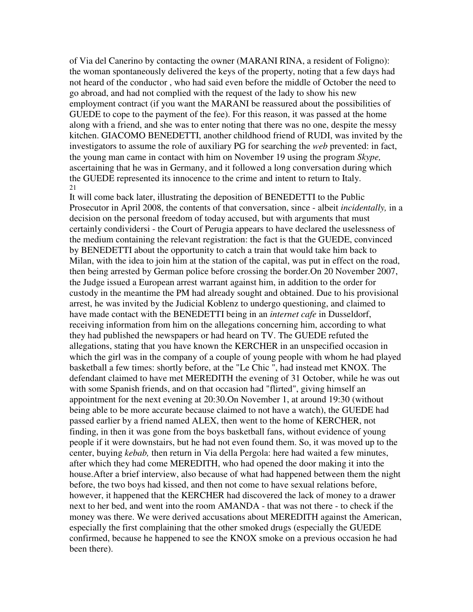of Via del Canerino by contacting the owner (MARANI RINA, a resident of Foligno): the woman spontaneously delivered the keys of the property, noting that a few days had not heard of the conductor , who had said even before the middle of October the need to go abroad, and had not complied with the request of the lady to show his new employment contract (if you want the MARANI be reassured about the possibilities of GUEDE to cope to the payment of the fee). For this reason, it was passed at the home along with a friend, and she was to enter noting that there was no one, despite the messy kitchen. GIACOMO BENEDETTI, another childhood friend of RUDI, was invited by the investigators to assume the role of auxiliary PG for searching the *web* prevented: in fact, the young man came in contact with him on November 19 using the program *Skype,* ascertaining that he was in Germany, and it followed a long conversation during which the GUEDE represented its innocence to the crime and intent to return to Italy. 21

It will come back later, illustrating the deposition of BENEDETTI to the Public Prosecutor in April 2008, the contents of that conversation, since - albeit *incidentally,* in a decision on the personal freedom of today accused, but with arguments that must certainly condividersi - the Court of Perugia appears to have declared the uselessness of the medium containing the relevant registration: the fact is that the GUEDE, convinced by BENEDETTI about the opportunity to catch a train that would take him back to Milan, with the idea to join him at the station of the capital, was put in effect on the road, then being arrested by German police before crossing the border.On 20 November 2007, the Judge issued a European arrest warrant against him, in addition to the order for custody in the meantime the PM had already sought and obtained. Due to his provisional arrest, he was invited by the Judicial Koblenz to undergo questioning, and claimed to have made contact with the BENEDETTI being in an *internet cafe* in Dusseldorf, receiving information from him on the allegations concerning him, according to what they had published the newspapers or had heard on TV. The GUEDE refuted the allegations, stating that you have known the KERCHER in an unspecified occasion in which the girl was in the company of a couple of young people with whom he had played basketball a few times: shortly before, at the "Le Chic ", had instead met KNOX. The defendant claimed to have met MEREDITH the evening of 31 October, while he was out with some Spanish friends, and on that occasion had "flirted", giving himself an appointment for the next evening at 20:30.On November 1, at around 19:30 (without being able to be more accurate because claimed to not have a watch), the GUEDE had passed earlier by a friend named ALEX, then went to the home of KERCHER, not finding, in then it was gone from the boys basketball fans, without evidence of young people if it were downstairs, but he had not even found them. So, it was moved up to the center, buying *kebab,* then return in Via della Pergola: here had waited a few minutes, after which they had come MEREDITH, who had opened the door making it into the house.After a brief interview, also because of what had happened between them the night before, the two boys had kissed, and then not come to have sexual relations before, however, it happened that the KERCHER had discovered the lack of money to a drawer next to her bed, and went into the room AMANDA - that was not there - to check if the money was there. We were derived accusations about MEREDITH against the American, especially the first complaining that the other smoked drugs (especially the GUEDE confirmed, because he happened to see the KNOX smoke on a previous occasion he had been there).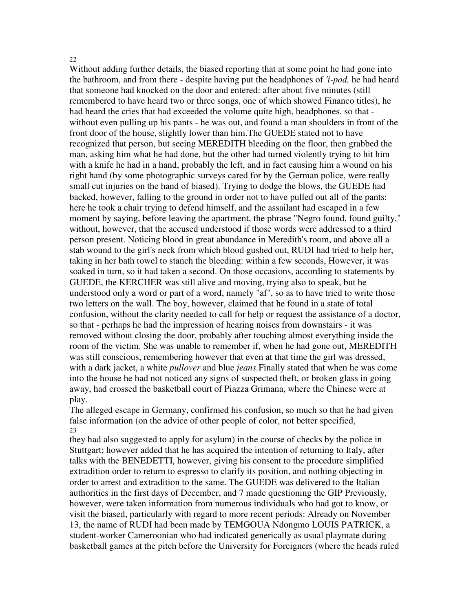## 22

Without adding further details, the biased reporting that at some point he had gone into the bathroom, and from there - despite having put the headphones of *'i-pod,* he had heard that someone had knocked on the door and entered: after about five minutes (still remembered to have heard two or three songs, one of which showed Financo titles), he had heard the cries that had exceeded the volume quite high, headphones, so that without even pulling up his pants - he was out, and found a man shoulders in front of the front door of the house, slightly lower than him.The GUEDE stated not to have recognized that person, but seeing MEREDITH bleeding on the floor, then grabbed the man, asking him what he had done, but the other had turned violently trying to hit him with a knife he had in a hand, probably the left, and in fact causing him a wound on his right hand (by some photographic surveys cared for by the German police, were really small cut injuries on the hand of biased). Trying to dodge the blows, the GUEDE had backed, however, falling to the ground in order not to have pulled out all of the pants: here he took a chair trying to defend himself, and the assailant had escaped in a few moment by saying, before leaving the apartment, the phrase "Negro found, found guilty," without, however, that the accused understood if those words were addressed to a third person present. Noticing blood in great abundance in Meredith's room, and above all a stab wound to the girl's neck from which blood gushed out, RUDI had tried to help her, taking in her bath towel to stanch the bleeding: within a few seconds, However, it was soaked in turn, so it had taken a second. On those occasions, according to statements by GUEDE, the KERCHER was still alive and moving, trying also to speak, but he understood only a word or part of a word, namely "af", so as to have tried to write those two letters on the wall. The boy, however, claimed that he found in a state of total confusion, without the clarity needed to call for help or request the assistance of a doctor, so that - perhaps he had the impression of hearing noises from downstairs - it was removed without closing the door, probably after touching almost everything inside the room of the victim. She was unable to remember if, when he had gone out, MEREDITH was still conscious, remembering however that even at that time the girl was dressed, with a dark jacket, a white *pullover* and blue *jeans.*Finally stated that when he was come into the house he had not noticed any signs of suspected theft, or broken glass in going away, had crossed the basketball court of Piazza Grimana, where the Chinese were at play.

The alleged escape in Germany, confirmed his confusion, so much so that he had given false information (on the advice of other people of color, not better specified, 23

they had also suggested to apply for asylum) in the course of checks by the police in Stuttgart; however added that he has acquired the intention of returning to Italy, after talks with the BENEDETTI, however, giving his consent to the procedure simplified extradition order to return to espresso to clarify its position, and nothing objecting in order to arrest and extradition to the same. The GUEDE was delivered to the Italian authorities in the first days of December, and 7 made questioning the GIP Previously, however, were taken information from numerous individuals who had got to know, or visit the biased, particularly with regard to more recent periods: Already on November 13, the name of RUDI had been made by TEMGOUA Ndongmo LOUIS PATRICK, a student-worker Cameroonian who had indicated generically as usual playmate during basketball games at the pitch before the University for Foreigners (where the heads ruled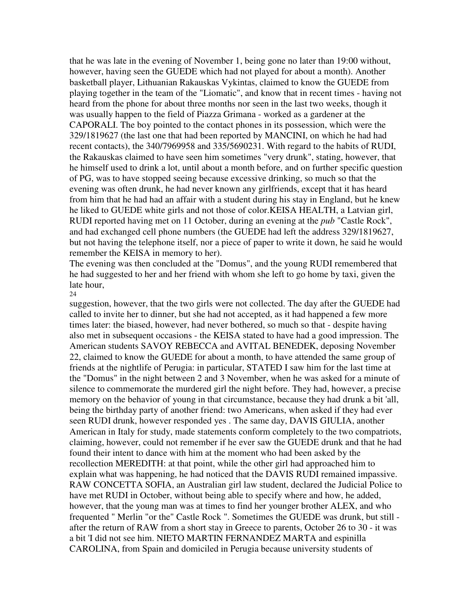that he was late in the evening of November 1, being gone no later than 19:00 without, however, having seen the GUEDE which had not played for about a month). Another basketball player, Lithuanian Rakauskas Vykintas, claimed to know the GUEDE from playing together in the team of the "Liomatic", and know that in recent times - having not heard from the phone for about three months nor seen in the last two weeks, though it was usually happen to the field of Piazza Grimana - worked as a gardener at the CAPORALI. The boy pointed to the contact phones in its possession, which were the 329/1819627 (the last one that had been reported by MANCINI, on which he had had recent contacts), the 340/7969958 and 335/5690231. With regard to the habits of RUDI, the Rakauskas claimed to have seen him sometimes "very drunk", stating, however, that he himself used to drink a lot, until about a month before, and on further specific question of PG, was to have stopped seeing because excessive drinking, so much so that the evening was often drunk, he had never known any girlfriends, except that it has heard from him that he had had an affair with a student during his stay in England, but he knew he liked to GUEDE white girls and not those of color.KEISA HEALTH, a Latvian girl, RUDI reported having met on 11 October, during an evening at the *pub* "Castle Rock", and had exchanged cell phone numbers (the GUEDE had left the address 329/1819627, but not having the telephone itself, nor a piece of paper to write it down, he said he would remember the KEISA in memory to her).

The evening was then concluded at the "Domus", and the young RUDI remembered that he had suggested to her and her friend with whom she left to go home by taxi, given the late hour,

### 24

suggestion, however, that the two girls were not collected. The day after the GUEDE had called to invite her to dinner, but she had not accepted, as it had happened a few more times later: the biased, however, had never bothered, so much so that - despite having also met in subsequent occasions - the KEISA stated to have had a good impression. The American students SAVOY REBECCA and AVITAL BENEDEK, deposing November 22, claimed to know the GUEDE for about a month, to have attended the same group of friends at the nightlife of Perugia: in particular, STATED I saw him for the last time at the "Domus" in the night between 2 and 3 November, when he was asked for a minute of silence to commemorate the murdered girl the night before. They had, however, a precise memory on the behavior of young in that circumstance, because they had drunk a bit 'all, being the birthday party of another friend: two Americans, when asked if they had ever seen RUDI drunk, however responded yes . The same day, DAVIS GIULIA, another American in Italy for study, made statements conform completely to the two compatriots, claiming, however, could not remember if he ever saw the GUEDE drunk and that he had found their intent to dance with him at the moment who had been asked by the recollection MEREDITH: at that point, while the other girl had approached him to explain what was happening, he had noticed that the DAVIS RUDI remained impassive. RAW CONCETTA SOFIA, an Australian girl law student, declared the Judicial Police to have met RUDI in October, without being able to specify where and how, he added, however, that the young man was at times to find her younger brother ALEX, and who frequented " Merlin "or the" Castle Rock ". Sometimes the GUEDE was drunk, but still after the return of RAW from a short stay in Greece to parents, October 26 to 30 - it was a bit 'I did not see him. NIETO MARTIN FERNANDEZ MARTA and espinilla CAROLINA, from Spain and domiciled in Perugia because university students of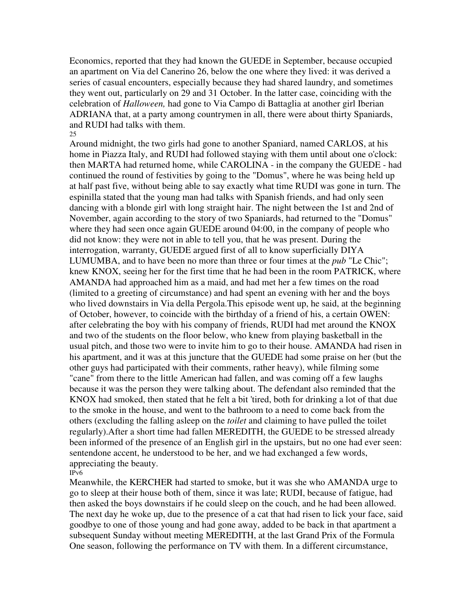Economics, reported that they had known the GUEDE in September, because occupied an apartment on Via del Canerino 26, below the one where they lived: it was derived a series of casual encounters, especially because they had shared laundry, and sometimes they went out, particularly on 29 and 31 October. In the latter case, coinciding with the celebration of *Halloween,* had gone to Via Campo di Battaglia at another girl Iberian ADRIANA that, at a party among countrymen in all, there were about thirty Spaniards, and RUDI had talks with them. 25

Around midnight, the two girls had gone to another Spaniard, named CARLOS, at his home in Piazza Italy, and RUDI had followed staying with them until about one o'clock: then MARTA had returned home, while CAROLINA - in the company the GUEDE - had continued the round of festivities by going to the "Domus", where he was being held up at half past five, without being able to say exactly what time RUDI was gone in turn. The espinilla stated that the young man had talks with Spanish friends, and had only seen dancing with a blonde girl with long straight hair. The night between the 1st and 2nd of November, again according to the story of two Spaniards, had returned to the "Domus" where they had seen once again GUEDE around 04:00, in the company of people who did not know: they were not in able to tell you, that he was present. During the interrogation, warranty, GUEDE argued first of all to know superficially DIYA LUMUMBA, and to have been no more than three or four times at the *pub* "Le Chic"; knew KNOX, seeing her for the first time that he had been in the room PATRICK, where AMANDA had approached him as a maid, and had met her a few times on the road (limited to a greeting of circumstance) and had spent an evening with her and the boys who lived downstairs in Via della Pergola.This episode went up, he said, at the beginning of October, however, to coincide with the birthday of a friend of his, a certain OWEN: after celebrating the boy with his company of friends, RUDI had met around the KNOX and two of the students on the floor below, who knew from playing basketball in the usual pitch, and those two were to invite him to go to their house. AMANDA had risen in his apartment, and it was at this juncture that the GUEDE had some praise on her (but the other guys had participated with their comments, rather heavy), while filming some "cane" from there to the little American had fallen, and was coming off a few laughs because it was the person they were talking about. The defendant also reminded that the KNOX had smoked, then stated that he felt a bit 'tired, both for drinking a lot of that due to the smoke in the house, and went to the bathroom to a need to come back from the others (excluding the falling asleep on the *toilet* and claiming to have pulled the toilet regularly).After a short time had fallen MEREDITH, the GUEDE to be stressed already been informed of the presence of an English girl in the upstairs, but no one had ever seen: sentendone accent, he understood to be her, and we had exchanged a few words, appreciating the beauty.

IPv6

Meanwhile, the KERCHER had started to smoke, but it was she who AMANDA urge to go to sleep at their house both of them, since it was late; RUDI, because of fatigue, had then asked the boys downstairs if he could sleep on the couch, and he had been allowed. The next day he woke up, due to the presence of a cat that had risen to lick your face, said goodbye to one of those young and had gone away, added to be back in that apartment a subsequent Sunday without meeting MEREDITH, at the last Grand Prix of the Formula One season, following the performance on TV with them. In a different circumstance,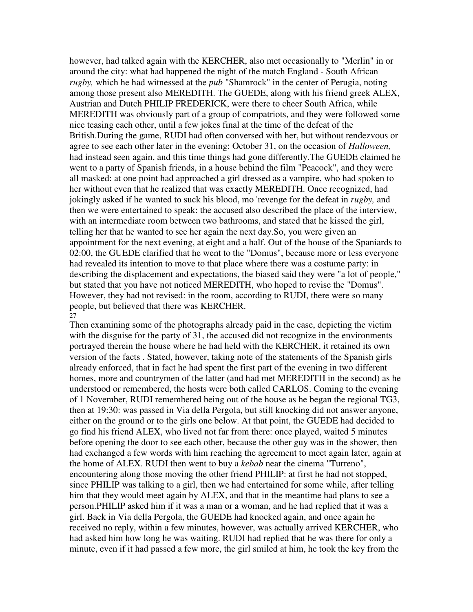however, had talked again with the KERCHER, also met occasionally to "Merlin" in or around the city: what had happened the night of the match England - South African *rugby,* which he had witnessed at the *pub* "Shamrock" in the center of Perugia, noting among those present also MEREDITH. The GUEDE, along with his friend greek ALEX, Austrian and Dutch PHILIP FREDERICK, were there to cheer South Africa, while MEREDITH was obviously part of a group of compatriots, and they were followed some nice teasing each other, until a few jokes final at the time of the defeat of the British.During the game, RUDI had often conversed with her, but without rendezvous or agree to see each other later in the evening: October 31, on the occasion of *Halloween,* had instead seen again, and this time things had gone differently.The GUEDE claimed he went to a party of Spanish friends, in a house behind the film "Peacock", and they were all masked: at one point had approached a girl dressed as a vampire, who had spoken to her without even that he realized that was exactly MEREDITH. Once recognized, had jokingly asked if he wanted to suck his blood, mo 'revenge for the defeat in *rugby,* and then we were entertained to speak: the accused also described the place of the interview, with an intermediate room between two bathrooms, and stated that he kissed the girl, telling her that he wanted to see her again the next day.So, you were given an appointment for the next evening, at eight and a half. Out of the house of the Spaniards to 02:00, the GUEDE clarified that he went to the "Domus", because more or less everyone had revealed its intention to move to that place where there was a costume party: in describing the displacement and expectations, the biased said they were "a lot of people," but stated that you have not noticed MEREDITH, who hoped to revise the "Domus". However, they had not revised: in the room, according to RUDI, there were so many people, but believed that there was KERCHER.  $\overline{27}$ 

Then examining some of the photographs already paid in the case, depicting the victim with the disguise for the party of 31, the accused did not recognize in the environments portrayed therein the house where he had held with the KERCHER, it retained its own version of the facts . Stated, however, taking note of the statements of the Spanish girls already enforced, that in fact he had spent the first part of the evening in two different homes, more and countrymen of the latter (and had met MEREDITH in the second) as he understood or remembered, the hosts were both called CARLOS. Coming to the evening of 1 November, RUDI remembered being out of the house as he began the regional TG3, then at 19:30: was passed in Via della Pergola, but still knocking did not answer anyone, either on the ground or to the girls one below. At that point, the GUEDE had decided to go find his friend ALEX, who lived not far from there: once played, waited 5 minutes before opening the door to see each other, because the other guy was in the shower, then had exchanged a few words with him reaching the agreement to meet again later, again at the home of ALEX. RUDI then went to buy a *kebab* near the cinema "Turreno", encountering along those moving the other friend PHILIP: at first he had not stopped, since PHILIP was talking to a girl, then we had entertained for some while, after telling him that they would meet again by ALEX, and that in the meantime had plans to see a person.PHILIP asked him if it was a man or a woman, and he had replied that it was a girl. Back in Via della Pergola, the GUEDE had knocked again, and once again he received no reply, within a few minutes, however, was actually arrived KERCHER, who had asked him how long he was waiting. RUDI had replied that he was there for only a minute, even if it had passed a few more, the girl smiled at him, he took the key from the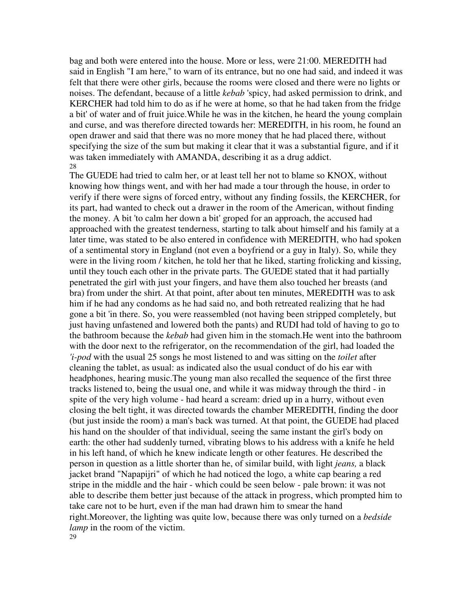bag and both were entered into the house. More or less, were 21:00. MEREDITH had said in English "I am here," to warn of its entrance, but no one had said, and indeed it was felt that there were other girls, because the rooms were closed and there were no lights or noises. The defendant, because of a little *kebab* 'spicy, had asked permission to drink, and KERCHER had told him to do as if he were at home, so that he had taken from the fridge a bit' of water and of fruit juice.While he was in the kitchen, he heard the young complain and curse, and was therefore directed towards her: MEREDITH, in his room, he found an open drawer and said that there was no more money that he had placed there, without specifying the size of the sum but making it clear that it was a substantial figure, and if it was taken immediately with AMANDA, describing it as a drug addict. 28

The GUEDE had tried to calm her, or at least tell her not to blame so KNOX, without knowing how things went, and with her had made a tour through the house, in order to verify if there were signs of forced entry, without any finding fossils, the KERCHER, for its part, had wanted to check out a drawer in the room of the American, without finding the money. A bit 'to calm her down a bit' groped for an approach, the accused had approached with the greatest tenderness, starting to talk about himself and his family at a later time, was stated to be also entered in confidence with MEREDITH, who had spoken of a sentimental story in England (not even a boyfriend or a guy in Italy). So, while they were in the living room / kitchen, he told her that he liked, starting frolicking and kissing, until they touch each other in the private parts. The GUEDE stated that it had partially penetrated the girl with just your fingers, and have them also touched her breasts (and bra) from under the shirt. At that point, after about ten minutes, MEREDITH was to ask him if he had any condoms as he had said no, and both retreated realizing that he had gone a bit 'in there. So, you were reassembled (not having been stripped completely, but just having unfastened and lowered both the pants) and RUDI had told of having to go to the bathroom because the *kebab* had given him in the stomach.He went into the bathroom with the door next to the refrigerator, on the recommendation of the girl, had loaded the *'i-pod* with the usual 25 songs he most listened to and was sitting on the *toilet* after cleaning the tablet, as usual: as indicated also the usual conduct of do his ear with headphones, hearing music.The young man also recalled the sequence of the first three tracks listened to, being the usual one, and while it was midway through the third - in spite of the very high volume - had heard a scream: dried up in a hurry, without even closing the belt tight, it was directed towards the chamber MEREDITH, finding the door (but just inside the room) a man's back was turned. At that point, the GUEDE had placed his hand on the shoulder of that individual, seeing the same instant the girl's body on earth: the other had suddenly turned, vibrating blows to his address with a knife he held in his left hand, of which he knew indicate length or other features. He described the person in question as a little shorter than he, of similar build, with light *jeans,* a black jacket brand "Napapijri" of which he had noticed the logo, a white cap bearing a red stripe in the middle and the hair - which could be seen below - pale brown: it was not able to describe them better just because of the attack in progress, which prompted him to take care not to be hurt, even if the man had drawn him to smear the hand right.Moreover, the lighting was quite low, because there was only turned on a *bedside lamp* in the room of the victim. 29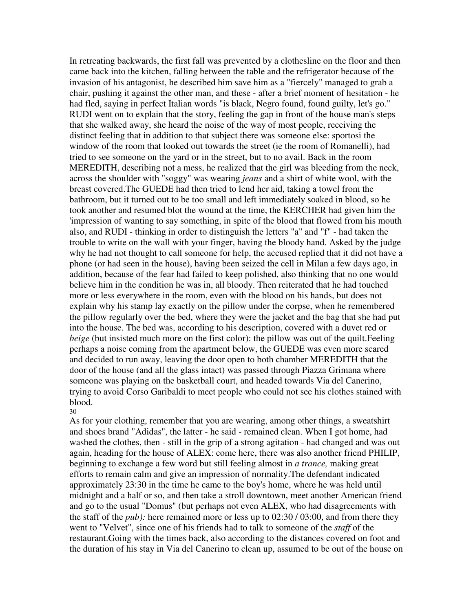In retreating backwards, the first fall was prevented by a clothesline on the floor and then came back into the kitchen, falling between the table and the refrigerator because of the invasion of his antagonist, he described him save him as a "fiercely" managed to grab a chair, pushing it against the other man, and these - after a brief moment of hesitation - he had fled, saying in perfect Italian words "is black, Negro found, found guilty, let's go." RUDI went on to explain that the story, feeling the gap in front of the house man's steps that she walked away, she heard the noise of the way of most people, receiving the distinct feeling that in addition to that subject there was someone else: sportosi the window of the room that looked out towards the street (ie the room of Romanelli), had tried to see someone on the yard or in the street, but to no avail. Back in the room MEREDITH, describing not a mess, he realized that the girl was bleeding from the neck, across the shoulder with "soggy" was wearing *jeans* and a shirt of white wool, with the breast covered.The GUEDE had then tried to lend her aid, taking a towel from the bathroom, but it turned out to be too small and left immediately soaked in blood, so he took another and resumed blot the wound at the time, the KERCHER had given him the 'impression of wanting to say something, in spite of the blood that flowed from his mouth also, and RUDI - thinking in order to distinguish the letters "a" and "f" - had taken the trouble to write on the wall with your finger, having the bloody hand. Asked by the judge why he had not thought to call someone for help, the accused replied that it did not have a phone (or had seen in the house), having been seized the cell in Milan a few days ago, in addition, because of the fear had failed to keep polished, also thinking that no one would believe him in the condition he was in, all bloody. Then reiterated that he had touched more or less everywhere in the room, even with the blood on his hands, but does not explain why his stamp lay exactly on the pillow under the corpse, when he remembered the pillow regularly over the bed, where they were the jacket and the bag that she had put into the house. The bed was, according to his description, covered with a duvet red or *beige* (but insisted much more on the first color): the pillow was out of the quilt. Feeling perhaps a noise coming from the apartment below, the GUEDE was even more scared and decided to run away, leaving the door open to both chamber MEREDITH that the door of the house (and all the glass intact) was passed through Piazza Grimana where someone was playing on the basketball court, and headed towards Via del Canerino, trying to avoid Corso Garibaldi to meet people who could not see his clothes stained with blood.

30

As for your clothing, remember that you are wearing, among other things, a sweatshirt and shoes brand "Adidas", the latter - he said - remained clean. When I got home, had washed the clothes, then - still in the grip of a strong agitation - had changed and was out again, heading for the house of ALEX: come here, there was also another friend PHILIP, beginning to exchange a few word but still feeling almost in *a trance,* making great efforts to remain calm and give an impression of normality.The defendant indicated approximately 23:30 in the time he came to the boy's home, where he was held until midnight and a half or so, and then take a stroll downtown, meet another American friend and go to the usual "Domus" (but perhaps not even ALEX, who had disagreements with the staff of the *pub):* here remained more or less up to 02:30 / 03:00, and from there they went to "Velvet", since one of his friends had to talk to someone of the *staff* of the restaurant.Going with the times back, also according to the distances covered on foot and the duration of his stay in Via del Canerino to clean up, assumed to be out of the house on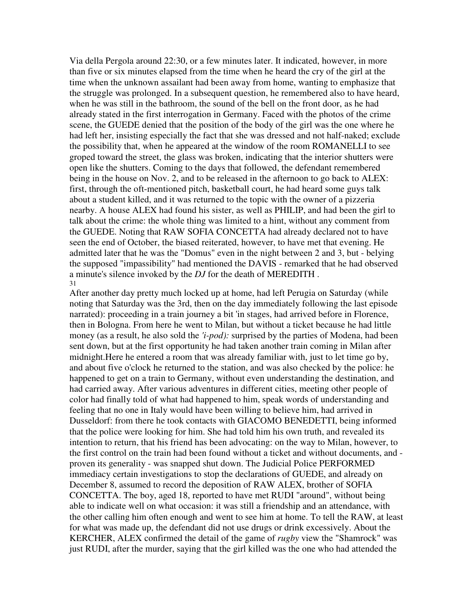Via della Pergola around 22:30, or a few minutes later. It indicated, however, in more than five or six minutes elapsed from the time when he heard the cry of the girl at the time when the unknown assailant had been away from home, wanting to emphasize that the struggle was prolonged. In a subsequent question, he remembered also to have heard, when he was still in the bathroom, the sound of the bell on the front door, as he had already stated in the first interrogation in Germany. Faced with the photos of the crime scene, the GUEDE denied that the position of the body of the girl was the one where he had left her, insisting especially the fact that she was dressed and not half-naked; exclude the possibility that, when he appeared at the window of the room ROMANELLI to see groped toward the street, the glass was broken, indicating that the interior shutters were open like the shutters. Coming to the days that followed, the defendant remembered being in the house on Nov. 2, and to be released in the afternoon to go back to ALEX: first, through the oft-mentioned pitch, basketball court, he had heard some guys talk about a student killed, and it was returned to the topic with the owner of a pizzeria nearby. A house ALEX had found his sister, as well as PHILIP, and had been the girl to talk about the crime: the whole thing was limited to a hint, without any comment from the GUEDE. Noting that RAW SOFIA CONCETTA had already declared not to have seen the end of October, the biased reiterated, however, to have met that evening. He admitted later that he was the "Domus" even in the night between 2 and 3, but - belying the supposed "impassibility" had mentioned the DAVIS - remarked that he had observed a minute's silence invoked by the *DJ* for the death of MEREDITH . 31

After another day pretty much locked up at home, had left Perugia on Saturday (while noting that Saturday was the 3rd, then on the day immediately following the last episode narrated): proceeding in a train journey a bit 'in stages, had arrived before in Florence, then in Bologna. From here he went to Milan, but without a ticket because he had little money (as a result, he also sold the *'i-pod):* surprised by the parties of Modena, had been sent down, but at the first opportunity he had taken another train coming in Milan after midnight.Here he entered a room that was already familiar with, just to let time go by, and about five o'clock he returned to the station, and was also checked by the police: he happened to get on a train to Germany, without even understanding the destination, and had carried away. After various adventures in different cities, meeting other people of color had finally told of what had happened to him, speak words of understanding and feeling that no one in Italy would have been willing to believe him, had arrived in Dusseldorf: from there he took contacts with GIACOMO BENEDETTI, being informed that the police were looking for him. She had told him his own truth, and revealed its intention to return, that his friend has been advocating: on the way to Milan, however, to the first control on the train had been found without a ticket and without documents, and proven its generality - was snapped shut down. The Judicial Police PERFORMED immediacy certain investigations to stop the declarations of GUEDE, and already on December 8, assumed to record the deposition of RAW ALEX, brother of SOFIA CONCETTA. The boy, aged 18, reported to have met RUDI "around", without being able to indicate well on what occasion: it was still a friendship and an attendance, with the other calling him often enough and went to see him at home. To tell the RAW, at least for what was made up, the defendant did not use drugs or drink excessively. About the KERCHER, ALEX confirmed the detail of the game of *rugby* view the "Shamrock" was just RUDI, after the murder, saying that the girl killed was the one who had attended the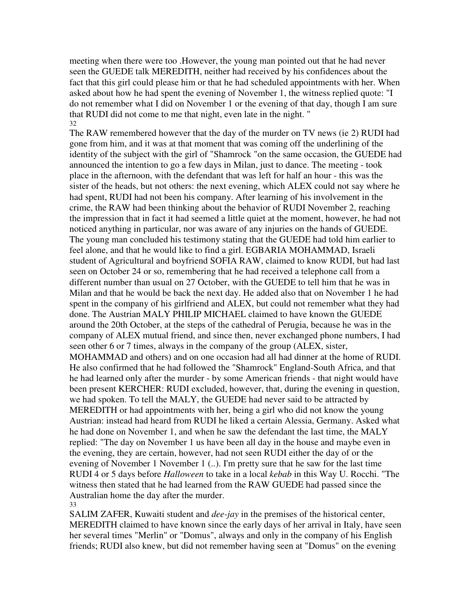meeting when there were too .However, the young man pointed out that he had never seen the GUEDE talk MEREDITH, neither had received by his confidences about the fact that this girl could please him or that he had scheduled appointments with her. When asked about how he had spent the evening of November 1, the witness replied quote: "I do not remember what I did on November 1 or the evening of that day, though I am sure that RUDI did not come to me that night, even late in the night. " 32

The RAW remembered however that the day of the murder on TV news (ie 2) RUDI had gone from him, and it was at that moment that was coming off the underlining of the identity of the subject with the girl of "Shamrock "on the same occasion, the GUEDE had announced the intention to go a few days in Milan, just to dance. The meeting - took place in the afternoon, with the defendant that was left for half an hour - this was the sister of the heads, but not others: the next evening, which ALEX could not say where he had spent, RUDI had not been his company. After learning of his involvement in the crime, the RAW had been thinking about the behavior of RUDI November 2, reaching the impression that in fact it had seemed a little quiet at the moment, however, he had not noticed anything in particular, nor was aware of any injuries on the hands of GUEDE. The young man concluded his testimony stating that the GUEDE had told him earlier to feel alone, and that he would like to find a girl. EGBARIA MOHAMMAD, Israeli student of Agricultural and boyfriend SOFIA RAW, claimed to know RUDI, but had last seen on October 24 or so, remembering that he had received a telephone call from a different number than usual on 27 October, with the GUEDE to tell him that he was in Milan and that he would be back the next day. He added also that on November 1 he had spent in the company of his girlfriend and ALEX, but could not remember what they had done. The Austrian MALY PHILIP MICHAEL claimed to have known the GUEDE around the 20th October, at the steps of the cathedral of Perugia, because he was in the company of ALEX mutual friend, and since then, never exchanged phone numbers, I had seen other 6 or 7 times, always in the company of the group (ALEX, sister, MOHAMMAD and others) and on one occasion had all had dinner at the home of RUDI. He also confirmed that he had followed the "Shamrock" England-South Africa, and that he had learned only after the murder - by some American friends - that night would have been present KERCHER: RUDI excluded, however, that, during the evening in question, we had spoken. To tell the MALY, the GUEDE had never said to be attracted by MEREDITH or had appointments with her, being a girl who did not know the young Austrian: instead had heard from RUDI he liked a certain Alessia, Germany. Asked what he had done on November 1, and when he saw the defendant the last time, the MALY replied: "The day on November 1 us have been all day in the house and maybe even in the evening, they are certain, however, had not seen RUDI either the day of or the evening of November 1 November 1 (..). I'm pretty sure that he saw for the last time RUDI 4 or 5 days before *Halloween* to take in a local *kebab* in this Way U. Rocchi. "The witness then stated that he had learned from the RAW GUEDE had passed since the Australian home the day after the murder. 33

SALIM ZAFER, Kuwaiti student and *dee-jay* in the premises of the historical center, MEREDITH claimed to have known since the early days of her arrival in Italy, have seen her several times "Merlin" or "Domus", always and only in the company of his English friends; RUDI also knew, but did not remember having seen at "Domus" on the evening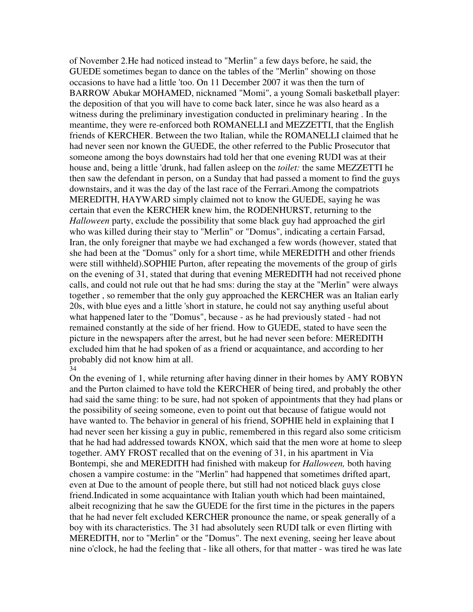of November 2.He had noticed instead to "Merlin" a few days before, he said, the GUEDE sometimes began to dance on the tables of the "Merlin" showing on those occasions to have had a little 'too. On 11 December 2007 it was then the turn of BARROW Abukar MOHAMED, nicknamed "Momi", a young Somali basketball player: the deposition of that you will have to come back later, since he was also heard as a witness during the preliminary investigation conducted in preliminary hearing . In the meantime, they were re-enforced both ROMANELLI and MEZZETTI, that the English friends of KERCHER. Between the two Italian, while the ROMANELLI claimed that he had never seen nor known the GUEDE, the other referred to the Public Prosecutor that someone among the boys downstairs had told her that one evening RUDI was at their house and, being a little 'drunk, had fallen asleep on the *toilet:* the same MEZZETTI he then saw the defendant in person, on a Sunday that had passed a moment to find the guys downstairs, and it was the day of the last race of the Ferrari.Among the compatriots MEREDITH, HAYWARD simply claimed not to know the GUEDE, saying he was certain that even the KERCHER knew him, the RODENHURST, returning to the *Halloween* party, exclude the possibility that some black guy had approached the girl who was killed during their stay to "Merlin" or "Domus", indicating a certain Farsad, Iran, the only foreigner that maybe we had exchanged a few words (however, stated that she had been at the "Domus" only for a short time, while MEREDITH and other friends were still withheld).SOPHIE Purton, after repeating the movements of the group of girls on the evening of 31, stated that during that evening MEREDITH had not received phone calls, and could not rule out that he had sms: during the stay at the "Merlin" were always together , so remember that the only guy approached the KERCHER was an Italian early 20s, with blue eyes and a little 'short in stature, he could not say anything useful about what happened later to the "Domus", because - as he had previously stated - had not remained constantly at the side of her friend. How to GUEDE, stated to have seen the picture in the newspapers after the arrest, but he had never seen before: MEREDITH excluded him that he had spoken of as a friend or acquaintance, and according to her probably did not know him at all. 34

On the evening of 1, while returning after having dinner in their homes by AMY ROBYN and the Purton claimed to have told the KERCHER of being tired, and probably the other had said the same thing: to be sure, had not spoken of appointments that they had plans or the possibility of seeing someone, even to point out that because of fatigue would not have wanted to. The behavior in general of his friend, SOPHIE held in explaining that I had never seen her kissing a guy in public, remembered in this regard also some criticism that he had had addressed towards KNOX, which said that the men wore at home to sleep together. AMY FROST recalled that on the evening of 31, in his apartment in Via Bontempi, she and MEREDITH had finished with makeup for *Halloween,* both having chosen a vampire costume: in the "Merlin" had happened that sometimes drifted apart, even at Due to the amount of people there, but still had not noticed black guys close friend.Indicated in some acquaintance with Italian youth which had been maintained, albeit recognizing that he saw the GUEDE for the first time in the pictures in the papers that he had never felt excluded KERCHER pronounce the name, or speak generally of a boy with its characteristics. The 31 had absolutely seen RUDI talk or even flirting with MEREDITH, nor to "Merlin" or the "Domus". The next evening, seeing her leave about nine o'clock, he had the feeling that - like all others, for that matter - was tired he was late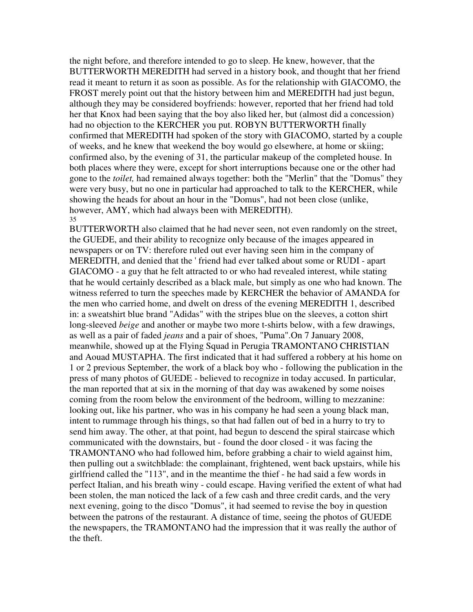the night before, and therefore intended to go to sleep. He knew, however, that the BUTTERWORTH MEREDITH had served in a history book, and thought that her friend read it meant to return it as soon as possible. As for the relationship with GIACOMO, the FROST merely point out that the history between him and MEREDITH had just begun, although they may be considered boyfriends: however, reported that her friend had told her that Knox had been saying that the boy also liked her, but (almost did a concession) had no objection to the KERCHER you put. ROBYN BUTTERWORTH finally confirmed that MEREDITH had spoken of the story with GIACOMO, started by a couple of weeks, and he knew that weekend the boy would go elsewhere, at home or skiing; confirmed also, by the evening of 31, the particular makeup of the completed house. In both places where they were, except for short interruptions because one or the other had gone to the *toilet,* had remained always together: both the "Merlin" that the "Domus" they were very busy, but no one in particular had approached to talk to the KERCHER, while showing the heads for about an hour in the "Domus", had not been close (unlike, however, AMY, which had always been with MEREDITH). 35

BUTTERWORTH also claimed that he had never seen, not even randomly on the street, the GUEDE, and their ability to recognize only because of the images appeared in newspapers or on TV: therefore ruled out ever having seen him in the company of MEREDITH, and denied that the ' friend had ever talked about some or RUDI - apart GIACOMO - a guy that he felt attracted to or who had revealed interest, while stating that he would certainly described as a black male, but simply as one who had known. The witness referred to turn the speeches made by KERCHER the behavior of AMANDA for the men who carried home, and dwelt on dress of the evening MEREDITH 1, described in: a sweatshirt blue brand "Adidas" with the stripes blue on the sleeves, a cotton shirt long-sleeved *beige* and another or maybe two more t-shirts below, with a few drawings, as well as a pair of faded *jeans* and a pair of shoes, "Puma".On 7 January 2008, meanwhile, showed up at the Flying Squad in Perugia TRAMONTANO CHRISTIAN and Aouad MUSTAPHA. The first indicated that it had suffered a robbery at his home on 1 or 2 previous September, the work of a black boy who - following the publication in the press of many photos of GUEDE - believed to recognize in today accused. In particular, the man reported that at six in the morning of that day was awakened by some noises coming from the room below the environment of the bedroom, willing to mezzanine: looking out, like his partner, who was in his company he had seen a young black man, intent to rummage through his things, so that had fallen out of bed in a hurry to try to send him away. The other, at that point, had begun to descend the spiral staircase which communicated with the downstairs, but - found the door closed - it was facing the TRAMONTANO who had followed him, before grabbing a chair to wield against him, then pulling out a switchblade: the complainant, frightened, went back upstairs, while his girlfriend called the "113", and in the meantime the thief - he had said a few words in perfect Italian, and his breath winy - could escape. Having verified the extent of what had been stolen, the man noticed the lack of a few cash and three credit cards, and the very next evening, going to the disco "Domus", it had seemed to revise the boy in question between the patrons of the restaurant. A distance of time, seeing the photos of GUEDE the newspapers, the TRAMONTANO had the impression that it was really the author of the theft.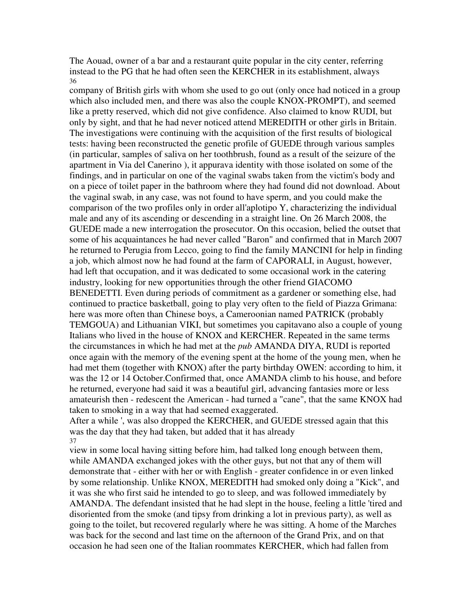The Aouad, owner of a bar and a restaurant quite popular in the city center, referring instead to the PG that he had often seen the KERCHER in its establishment, always 36

company of British girls with whom she used to go out (only once had noticed in a group which also included men, and there was also the couple KNOX-PROMPT), and seemed like a pretty reserved, which did not give confidence. Also claimed to know RUDI, but only by sight, and that he had never noticed attend MEREDITH or other girls in Britain. The investigations were continuing with the acquisition of the first results of biological tests: having been reconstructed the genetic profile of GUEDE through various samples (in particular, samples of saliva on her toothbrush, found as a result of the seizure of the apartment in Via del Canerino ), it appurava identity with those isolated on some of the findings, and in particular on one of the vaginal swabs taken from the victim's body and on a piece of toilet paper in the bathroom where they had found did not download. About the vaginal swab, in any case, was not found to have sperm, and you could make the comparison of the two profiles only in order all'aplotipo Y, characterizing the individual male and any of its ascending or descending in a straight line. On 26 March 2008, the GUEDE made a new interrogation the prosecutor. On this occasion, belied the outset that some of his acquaintances he had never called "Baron" and confirmed that in March 2007 he returned to Perugia from Lecco, going to find the family MANCINI for help in finding a job, which almost now he had found at the farm of CAPORALI, in August, however, had left that occupation, and it was dedicated to some occasional work in the catering industry, looking for new opportunities through the other friend GIACOMO BENEDETTI. Even during periods of commitment as a gardener or something else, had continued to practice basketball, going to play very often to the field of Piazza Grimana: here was more often than Chinese boys, a Cameroonian named PATRICK (probably TEMGOUA) and Lithuanian VIKI, but sometimes you capitavano also a couple of young Italians who lived in the house of KNOX and KERCHER. Repeated in the same terms the circumstances in which he had met at the *pub* AMANDA DIYA, RUDI is reported once again with the memory of the evening spent at the home of the young men, when he had met them (together with KNOX) after the party birthday OWEN: according to him, it was the 12 or 14 October.Confirmed that, once AMANDA climb to his house, and before he returned, everyone had said it was a beautiful girl, advancing fantasies more or less amateurish then - redescent the American - had turned a "cane", that the same KNOX had taken to smoking in a way that had seemed exaggerated.

After a while ', was also dropped the KERCHER, and GUEDE stressed again that this was the day that they had taken, but added that it has already 37

view in some local having sitting before him, had talked long enough between them, while AMANDA exchanged jokes with the other guys, but not that any of them will demonstrate that - either with her or with English - greater confidence in or even linked by some relationship. Unlike KNOX, MEREDITH had smoked only doing a "Kick", and it was she who first said he intended to go to sleep, and was followed immediately by AMANDA. The defendant insisted that he had slept in the house, feeling a little 'tired and disoriented from the smoke (and tipsy from drinking a lot in previous party), as well as going to the toilet, but recovered regularly where he was sitting. A home of the Marches was back for the second and last time on the afternoon of the Grand Prix, and on that occasion he had seen one of the Italian roommates KERCHER, which had fallen from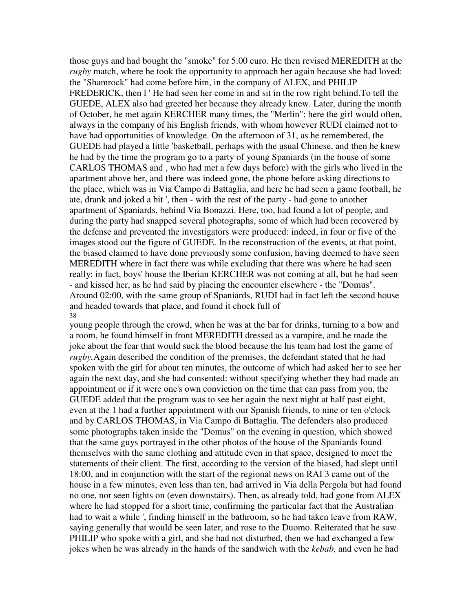those guys and had bought the "smoke" for 5.00 euro. He then revised MEREDITH at the *rugby* match, where he took the opportunity to approach her again because she had loved: the "Shamrock" had come before him, in the company of ALEX, and PHILIP FREDERICK, then l 'He had seen her come in and sit in the row right behind. To tell the GUEDE, ALEX also had greeted her because they already knew. Later, during the month of October, he met again KERCHER many times, the "Merlin": here the girl would often, always in the company of his English friends, with whom however RUDI claimed not to have had opportunities of knowledge. On the afternoon of 31, as he remembered, the GUEDE had played a little 'basketball, perhaps with the usual Chinese, and then he knew he had by the time the program go to a party of young Spaniards (in the house of some CARLOS THOMAS and , who had met a few days before) with the girls who lived in the apartment above her, and there was indeed gone, the phone before asking directions to the place, which was in Via Campo di Battaglia, and here he had seen a game football, he ate, drank and joked a bit ', then - with the rest of the party - had gone to another apartment of Spaniards, behind Via Bonazzi. Here, too, had found a lot of people, and during the party had snapped several photographs, some of which had been recovered by the defense and prevented the investigators were produced: indeed, in four or five of the images stood out the figure of GUEDE. In the reconstruction of the events, at that point, the biased claimed to have done previously some confusion, having deemed to have seen MEREDITH where in fact there was while excluding that there was where he had seen really: in fact, boys' house the Iberian KERCHER was not coming at all, but he had seen - and kissed her, as he had said by placing the encounter elsewhere - the "Domus". Around 02:00, with the same group of Spaniards, RUDI had in fact left the second house and headed towards that place, and found it chock full of 38

young people through the crowd, when he was at the bar for drinks, turning to a bow and a room, he found himself in front MEREDITH dressed as a vampire, and he made the joke about the fear that would suck the blood because the his team had lost the game of *rugby.*Again described the condition of the premises, the defendant stated that he had spoken with the girl for about ten minutes, the outcome of which had asked her to see her again the next day, and she had consented: without specifying whether they had made an appointment or if it were one's own conviction on the time that can pass from you, the GUEDE added that the program was to see her again the next night at half past eight, even at the 1 had a further appointment with our Spanish friends, to nine or ten o'clock and by CARLOS THOMAS, in Via Campo di Battaglia. The defenders also produced some photographs taken inside the "Domus" on the evening in question, which showed that the same guys portrayed in the other photos of the house of the Spaniards found themselves with the same clothing and attitude even in that space, designed to meet the statements of their client. The first, according to the version of the biased, had slept until 18:00, and in conjunction with the start of the regional news on RAI 3 came out of the house in a few minutes, even less than ten, had arrived in Via della Pergola but had found no one, nor seen lights on (even downstairs). Then, as already told, had gone from ALEX where he had stopped for a short time, confirming the particular fact that the Australian had to wait a while ', finding himself in the bathroom, so he had taken leave from RAW, saying generally that would be seen later, and rose to the Duomo. Reiterated that he saw PHILIP who spoke with a girl, and she had not disturbed, then we had exchanged a few jokes when he was already in the hands of the sandwich with the *kebab,* and even he had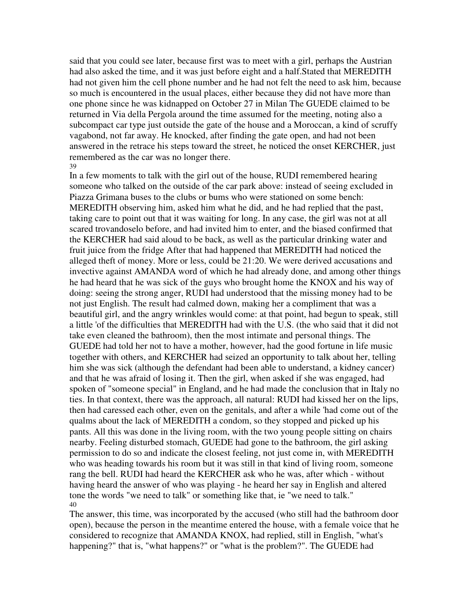said that you could see later, because first was to meet with a girl, perhaps the Austrian had also asked the time, and it was just before eight and a half.Stated that MEREDITH had not given him the cell phone number and he had not felt the need to ask him, because so much is encountered in the usual places, either because they did not have more than one phone since he was kidnapped on October 27 in Milan The GUEDE claimed to be returned in Via della Pergola around the time assumed for the meeting, noting also a subcompact car type just outside the gate of the house and a Moroccan, a kind of scruffy vagabond, not far away. He knocked, after finding the gate open, and had not been answered in the retrace his steps toward the street, he noticed the onset KERCHER, just remembered as the car was no longer there. 39

In a few moments to talk with the girl out of the house, RUDI remembered hearing someone who talked on the outside of the car park above: instead of seeing excluded in Piazza Grimana buses to the clubs or bums who were stationed on some bench: MEREDITH observing him, asked him what he did, and he had replied that the past, taking care to point out that it was waiting for long. In any case, the girl was not at all scared trovandoselo before, and had invited him to enter, and the biased confirmed that the KERCHER had said aloud to be back, as well as the particular drinking water and fruit juice from the fridge After that had happened that MEREDITH had noticed the alleged theft of money. More or less, could be 21:20. We were derived accusations and invective against AMANDA word of which he had already done, and among other things he had heard that he was sick of the guys who brought home the KNOX and his way of doing: seeing the strong anger, RUDI had understood that the missing money had to be not just English. The result had calmed down, making her a compliment that was a beautiful girl, and the angry wrinkles would come: at that point, had begun to speak, still a little 'of the difficulties that MEREDITH had with the U.S. (the who said that it did not take even cleaned the bathroom), then the most intimate and personal things. The GUEDE had told her not to have a mother, however, had the good fortune in life music together with others, and KERCHER had seized an opportunity to talk about her, telling him she was sick (although the defendant had been able to understand, a kidney cancer) and that he was afraid of losing it. Then the girl, when asked if she was engaged, had spoken of "someone special" in England, and he had made the conclusion that in Italy no ties. In that context, there was the approach, all natural: RUDI had kissed her on the lips, then had caressed each other, even on the genitals, and after a while 'had come out of the qualms about the lack of MEREDITH a condom, so they stopped and picked up his pants. All this was done in the living room, with the two young people sitting on chairs nearby. Feeling disturbed stomach, GUEDE had gone to the bathroom, the girl asking permission to do so and indicate the closest feeling, not just come in, with MEREDITH who was heading towards his room but it was still in that kind of living room, someone rang the bell. RUDI had heard the KERCHER ask who he was, after which - without having heard the answer of who was playing - he heard her say in English and altered tone the words "we need to talk" or something like that, ie "we need to talk." 40

The answer, this time, was incorporated by the accused (who still had the bathroom door open), because the person in the meantime entered the house, with a female voice that he considered to recognize that AMANDA KNOX, had replied, still in English, "what's happening?" that is, "what happens?" or "what is the problem?". The GUEDE had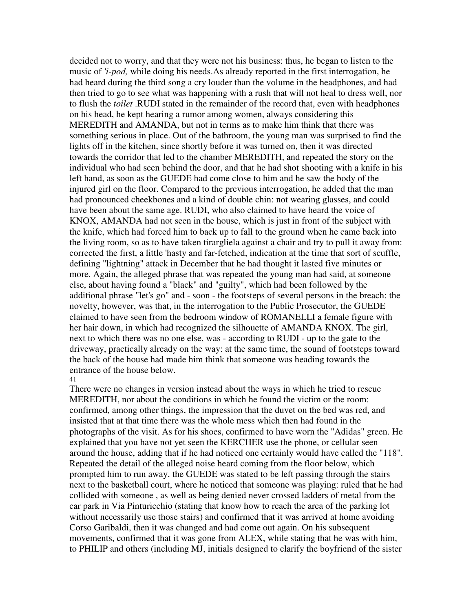decided not to worry, and that they were not his business: thus, he began to listen to the music of *'i-pod,* while doing his needs.As already reported in the first interrogation, he had heard during the third song a cry louder than the volume in the headphones, and had then tried to go to see what was happening with a rush that will not heal to dress well, nor to flush the *toilet* .RUDI stated in the remainder of the record that, even with headphones on his head, he kept hearing a rumor among women, always considering this MEREDITH and AMANDA, but not in terms as to make him think that there was something serious in place. Out of the bathroom, the young man was surprised to find the lights off in the kitchen, since shortly before it was turned on, then it was directed towards the corridor that led to the chamber MEREDITH, and repeated the story on the individual who had seen behind the door, and that he had shot shooting with a knife in his left hand, as soon as the GUEDE had come close to him and he saw the body of the injured girl on the floor. Compared to the previous interrogation, he added that the man had pronounced cheekbones and a kind of double chin: not wearing glasses, and could have been about the same age. RUDI, who also claimed to have heard the voice of KNOX, AMANDA had not seen in the house, which is just in front of the subject with the knife, which had forced him to back up to fall to the ground when he came back into the living room, so as to have taken tirargliela against a chair and try to pull it away from: corrected the first, a little 'hasty and far-fetched, indication at the time that sort of scuffle, defining "lightning" attack in December that he had thought it lasted five minutes or more. Again, the alleged phrase that was repeated the young man had said, at someone else, about having found a "black" and "guilty", which had been followed by the additional phrase "let's go" and - soon - the footsteps of several persons in the breach: the novelty, however, was that, in the interrogation to the Public Prosecutor, the GUEDE claimed to have seen from the bedroom window of ROMANELLI a female figure with her hair down, in which had recognized the silhouette of AMANDA KNOX. The girl, next to which there was no one else, was - according to RUDI - up to the gate to the driveway, practically already on the way: at the same time, the sound of footsteps toward the back of the house had made him think that someone was heading towards the entrance of the house below.

# 41

There were no changes in version instead about the ways in which he tried to rescue MEREDITH, nor about the conditions in which he found the victim or the room: confirmed, among other things, the impression that the duvet on the bed was red, and insisted that at that time there was the whole mess which then had found in the photographs of the visit. As for his shoes, confirmed to have worn the "Adidas" green. He explained that you have not yet seen the KERCHER use the phone, or cellular seen around the house, adding that if he had noticed one certainly would have called the "118". Repeated the detail of the alleged noise heard coming from the floor below, which prompted him to run away, the GUEDE was stated to be left passing through the stairs next to the basketball court, where he noticed that someone was playing: ruled that he had collided with someone , as well as being denied never crossed ladders of metal from the car park in Via Pinturicchio (stating that know how to reach the area of the parking lot without necessarily use those stairs) and confirmed that it was arrived at home avoiding Corso Garibaldi, then it was changed and had come out again. On his subsequent movements, confirmed that it was gone from ALEX, while stating that he was with him, to PHILIP and others (including MJ, initials designed to clarify the boyfriend of the sister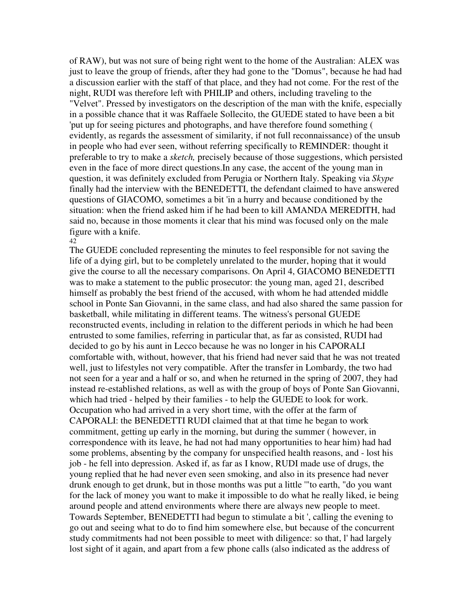of RAW), but was not sure of being right went to the home of the Australian: ALEX was just to leave the group of friends, after they had gone to the "Domus", because he had had a discussion earlier with the staff of that place, and they had not come. For the rest of the night, RUDI was therefore left with PHILIP and others, including traveling to the "Velvet". Pressed by investigators on the description of the man with the knife, especially in a possible chance that it was Raffaele Sollecito, the GUEDE stated to have been a bit 'put up for seeing pictures and photographs, and have therefore found something ( evidently, as regards the assessment of similarity, if not full reconnaissance) of the unsub in people who had ever seen, without referring specifically to REMINDER: thought it preferable to try to make a *sketch,* precisely because of those suggestions, which persisted even in the face of more direct questions.In any case, the accent of the young man in question, it was definitely excluded from Perugia or Northern Italy. Speaking via *Skype* finally had the interview with the BENEDETTI, the defendant claimed to have answered questions of GIACOMO, sometimes a bit 'in a hurry and because conditioned by the situation: when the friend asked him if he had been to kill AMANDA MEREDITH, had said no, because in those moments it clear that his mind was focused only on the male figure with a knife.

## 42

The GUEDE concluded representing the minutes to feel responsible for not saving the life of a dying girl, but to be completely unrelated to the murder, hoping that it would give the course to all the necessary comparisons. On April 4, GIACOMO BENEDETTI was to make a statement to the public prosecutor: the young man, aged 21, described himself as probably the best friend of the accused, with whom he had attended middle school in Ponte San Giovanni, in the same class, and had also shared the same passion for basketball, while militating in different teams. The witness's personal GUEDE reconstructed events, including in relation to the different periods in which he had been entrusted to some families, referring in particular that, as far as consisted, RUDI had decided to go by his aunt in Lecco because he was no longer in his CAPORALI comfortable with, without, however, that his friend had never said that he was not treated well, just to lifestyles not very compatible. After the transfer in Lombardy, the two had not seen for a year and a half or so, and when he returned in the spring of 2007, they had instead re-established relations, as well as with the group of boys of Ponte San Giovanni, which had tried - helped by their families - to help the GUEDE to look for work. Occupation who had arrived in a very short time, with the offer at the farm of CAPORALI: the BENEDETTI RUDI claimed that at that time he began to work commitment, getting up early in the morning, but during the summer ( however, in correspondence with its leave, he had not had many opportunities to hear him) had had some problems, absenting by the company for unspecified health reasons, and - lost his job - he fell into depression. Asked if, as far as I know, RUDI made use of drugs, the young replied that he had never even seen smoking, and also in its presence had never drunk enough to get drunk, but in those months was put a little '"to earth, "do you want for the lack of money you want to make it impossible to do what he really liked, ie being around people and attend environments where there are always new people to meet. Towards September, BENEDETTI had begun to stimulate a bit ', calling the evening to go out and seeing what to do to find him somewhere else, but because of the concurrent study commitments had not been possible to meet with diligence: so that, l' had largely lost sight of it again, and apart from a few phone calls (also indicated as the address of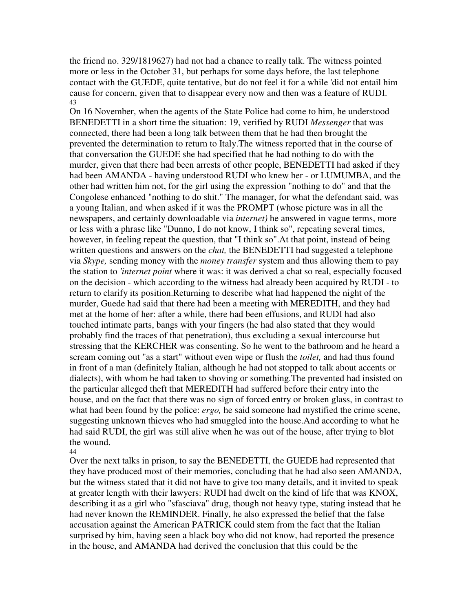the friend no. 329/1819627) had not had a chance to really talk. The witness pointed more or less in the October 31, but perhaps for some days before, the last telephone contact with the GUEDE, quite tentative, but do not feel it for a while 'did not entail him cause for concern, given that to disappear every now and then was a feature of RUDI. 43

On 16 November, when the agents of the State Police had come to him, he understood BENEDETTI in a short time the situation: 19, verified by RUDI *Messenger* that was connected, there had been a long talk between them that he had then brought the prevented the determination to return to Italy.The witness reported that in the course of that conversation the GUEDE she had specified that he had nothing to do with the murder, given that there had been arrests of other people, BENEDETTI had asked if they had been AMANDA - having understood RUDI who knew her - or LUMUMBA, and the other had written him not, for the girl using the expression "nothing to do" and that the Congolese enhanced "nothing to do shit." The manager, for what the defendant said, was a young Italian, and when asked if it was the PROMPT (whose picture was in all the newspapers, and certainly downloadable via *internet)* he answered in vague terms, more or less with a phrase like "Dunno, I do not know, I think so", repeating several times, however, in feeling repeat the question, that "I think so".At that point, instead of being written questions and answers on the *chat,* the BENEDETTI had suggested a telephone via *Skype,* sending money with the *money transfer* system and thus allowing them to pay the station to *'internet point* where it was: it was derived a chat so real, especially focused on the decision - which according to the witness had already been acquired by RUDI - to return to clarify its position.Returning to describe what had happened the night of the murder, Guede had said that there had been a meeting with MEREDITH, and they had met at the home of her: after a while, there had been effusions, and RUDI had also touched intimate parts, bangs with your fingers (he had also stated that they would probably find the traces of that penetration), thus excluding a sexual intercourse but stressing that the KERCHER was consenting. So he went to the bathroom and he heard a scream coming out "as a start" without even wipe or flush the *toilet,* and had thus found in front of a man (definitely Italian, although he had not stopped to talk about accents or dialects), with whom he had taken to shoving or something.The prevented had insisted on the particular alleged theft that MEREDITH had suffered before their entry into the house, and on the fact that there was no sign of forced entry or broken glass, in contrast to what had been found by the police: *ergo,* he said someone had mystified the crime scene, suggesting unknown thieves who had smuggled into the house.And according to what he had said RUDI, the girl was still alive when he was out of the house, after trying to blot the wound.

44

Over the next talks in prison, to say the BENEDETTI, the GUEDE had represented that they have produced most of their memories, concluding that he had also seen AMANDA, but the witness stated that it did not have to give too many details, and it invited to speak at greater length with their lawyers: RUDI had dwelt on the kind of life that was KNOX, describing it as a girl who "sfasciava" drug, though not heavy type, stating instead that he had never known the REMINDER. Finally, he also expressed the belief that the false accusation against the American PATRICK could stem from the fact that the Italian surprised by him, having seen a black boy who did not know, had reported the presence in the house, and AMANDA had derived the conclusion that this could be the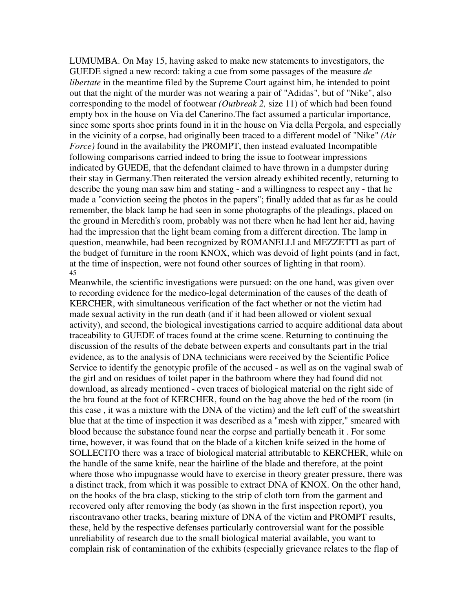LUMUMBA. On May 15, having asked to make new statements to investigators, the GUEDE signed a new record: taking a cue from some passages of the measure *de libertate* in the meantime filed by the Supreme Court against him, he intended to point out that the night of the murder was not wearing a pair of "Adidas", but of "Nike", also corresponding to the model of footwear *(Outbreak 2,* size 11) of which had been found empty box in the house on Via del Canerino.The fact assumed a particular importance, since some sports shoe prints found in it in the house on Via della Pergola, and especially in the vicinity of a corpse, had originally been traced to a different model of "Nike" *(Air Force)* found in the availability the PROMPT, then instead evaluated Incompatible following comparisons carried indeed to bring the issue to footwear impressions indicated by GUEDE, that the defendant claimed to have thrown in a dumpster during their stay in Germany.Then reiterated the version already exhibited recently, returning to describe the young man saw him and stating - and a willingness to respect any - that he made a "conviction seeing the photos in the papers"; finally added that as far as he could remember, the black lamp he had seen in some photographs of the pleadings, placed on the ground in Meredith's room, probably was not there when he had lent her aid, having had the impression that the light beam coming from a different direction. The lamp in question, meanwhile, had been recognized by ROMANELLI and MEZZETTI as part of the budget of furniture in the room KNOX, which was devoid of light points (and in fact, at the time of inspection, were not found other sources of lighting in that room). 45

Meanwhile, the scientific investigations were pursued: on the one hand, was given over to recording evidence for the medico-legal determination of the causes of the death of KERCHER, with simultaneous verification of the fact whether or not the victim had made sexual activity in the run death (and if it had been allowed or violent sexual activity), and second, the biological investigations carried to acquire additional data about traceability to GUEDE of traces found at the crime scene. Returning to continuing the discussion of the results of the debate between experts and consultants part in the trial evidence, as to the analysis of DNA technicians were received by the Scientific Police Service to identify the genotypic profile of the accused - as well as on the vaginal swab of the girl and on residues of toilet paper in the bathroom where they had found did not download, as already mentioned - even traces of biological material on the right side of the bra found at the foot of KERCHER, found on the bag above the bed of the room (in this case , it was a mixture with the DNA of the victim) and the left cuff of the sweatshirt blue that at the time of inspection it was described as a "mesh with zipper," smeared with blood because the substance found near the corpse and partially beneath it . For some time, however, it was found that on the blade of a kitchen knife seized in the home of SOLLECITO there was a trace of biological material attributable to KERCHER, while on the handle of the same knife, near the hairline of the blade and therefore, at the point where those who impugnasse would have to exercise in theory greater pressure, there was a distinct track, from which it was possible to extract DNA of KNOX. On the other hand, on the hooks of the bra clasp, sticking to the strip of cloth torn from the garment and recovered only after removing the body (as shown in the first inspection report), you riscontravano other tracks, bearing mixture of DNA of the victim and PROMPT results, these, held by the respective defenses particularly controversial want for the possible unreliability of research due to the small biological material available, you want to complain risk of contamination of the exhibits (especially grievance relates to the flap of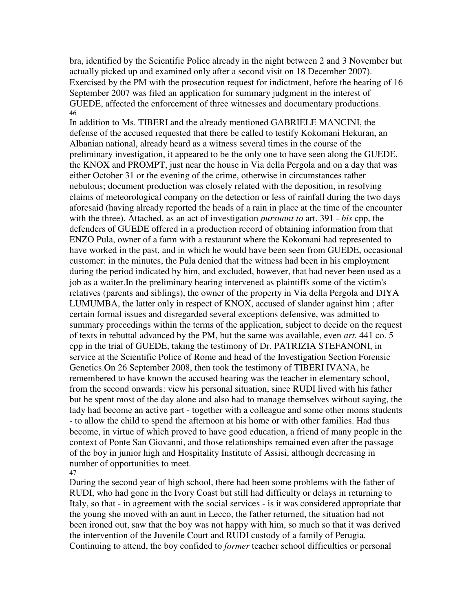bra, identified by the Scientific Police already in the night between 2 and 3 November but actually picked up and examined only after a second visit on 18 December 2007). Exercised by the PM with the prosecution request for indictment, before the hearing of 16 September 2007 was filed an application for summary judgment in the interest of GUEDE, affected the enforcement of three witnesses and documentary productions. 46

In addition to Ms. TIBERI and the already mentioned GABRIELE MANCINI, the defense of the accused requested that there be called to testify Kokomani Hekuran, an Albanian national, already heard as a witness several times in the course of the preliminary investigation, it appeared to be the only one to have seen along the GUEDE, the KNOX and PROMPT, just near the house in Via della Pergola and on a day that was either October 31 or the evening of the crime, otherwise in circumstances rather nebulous; document production was closely related with the deposition, in resolving claims of meteorological company on the detection or less of rainfall during the two days aforesaid (having already reported the heads of a rain in place at the time of the encounter with the three). Attached, as an act of investigation *pursuant to* art. 391 - *bis* cpp, the defenders of GUEDE offered in a production record of obtaining information from that ENZO Pula, owner of a farm with a restaurant where the Kokomani had represented to have worked in the past, and in which he would have been seen from GUEDE, occasional customer: in the minutes, the Pula denied that the witness had been in his employment during the period indicated by him, and excluded, however, that had never been used as a job as a waiter.In the preliminary hearing intervened as plaintiffs some of the victim's relatives (parents and siblings), the owner of the property in Via della Pergola and DIYA LUMUMBA, the latter only in respect of KNOX, accused of slander against him ; after certain formal issues and disregarded several exceptions defensive, was admitted to summary proceedings within the terms of the application, subject to decide on the request of texts in rebuttal advanced by the PM, but the same was available, even *art.* 441 co. 5 cpp in the trial of GUEDE, taking the testimony of Dr. PATRIZIA STEFANONI, in service at the Scientific Police of Rome and head of the Investigation Section Forensic Genetics.On 26 September 2008, then took the testimony of TIBERI IVANA, he remembered to have known the accused hearing was the teacher in elementary school, from the second onwards: view his personal situation, since RUDI lived with his father but he spent most of the day alone and also had to manage themselves without saying, the lady had become an active part - together with a colleague and some other moms students - to allow the child to spend the afternoon at his home or with other families. Had thus become, in virtue of which proved to have good education, a friend of many people in the context of Ponte San Giovanni, and those relationships remained even after the passage of the boy in junior high and Hospitality Institute of Assisi, although decreasing in number of opportunities to meet. 47

During the second year of high school, there had been some problems with the father of RUDI, who had gone in the Ivory Coast but still had difficulty or delays in returning to Italy, so that - in agreement with the social services - is it was considered appropriate that the young she moved with an aunt in Lecco, the father returned, the situation had not been ironed out, saw that the boy was not happy with him, so much so that it was derived the intervention of the Juvenile Court and RUDI custody of a family of Perugia. Continuing to attend, the boy confided to *former* teacher school difficulties or personal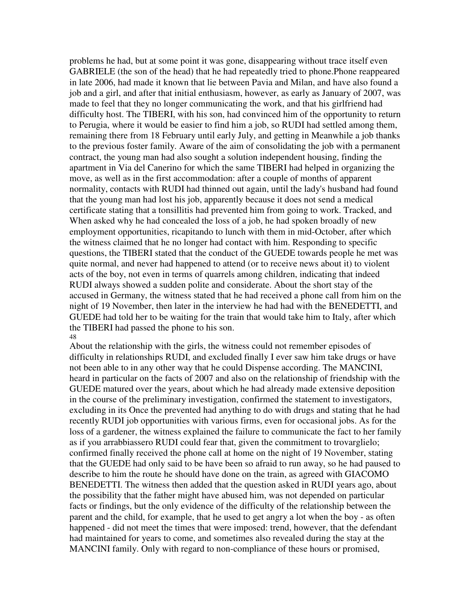problems he had, but at some point it was gone, disappearing without trace itself even GABRIELE (the son of the head) that he had repeatedly tried to phone.Phone reappeared in late 2006, had made it known that lie between Pavia and Milan, and have also found a job and a girl, and after that initial enthusiasm, however, as early as January of 2007, was made to feel that they no longer communicating the work, and that his girlfriend had difficulty host. The TIBERI, with his son, had convinced him of the opportunity to return to Perugia, where it would be easier to find him a job, so RUDI had settled among them, remaining there from 18 February until early July, and getting in Meanwhile a job thanks to the previous foster family. Aware of the aim of consolidating the job with a permanent contract, the young man had also sought a solution independent housing, finding the apartment in Via del Canerino for which the same TIBERI had helped in organizing the move, as well as in the first accommodation: after a couple of months of apparent normality, contacts with RUDI had thinned out again, until the lady's husband had found that the young man had lost his job, apparently because it does not send a medical certificate stating that a tonsillitis had prevented him from going to work. Tracked, and When asked why he had concealed the loss of a job, he had spoken broadly of new employment opportunities, ricapitando to lunch with them in mid-October, after which the witness claimed that he no longer had contact with him. Responding to specific questions, the TIBERI stated that the conduct of the GUEDE towards people he met was quite normal, and never had happened to attend (or to receive news about it) to violent acts of the boy, not even in terms of quarrels among children, indicating that indeed RUDI always showed a sudden polite and considerate. About the short stay of the accused in Germany, the witness stated that he had received a phone call from him on the night of 19 November, then later in the interview he had had with the BENEDETTI, and GUEDE had told her to be waiting for the train that would take him to Italy, after which the TIBERI had passed the phone to his son. 48

About the relationship with the girls, the witness could not remember episodes of difficulty in relationships RUDI, and excluded finally I ever saw him take drugs or have not been able to in any other way that he could Dispense according. The MANCINI, heard in particular on the facts of 2007 and also on the relationship of friendship with the GUEDE matured over the years, about which he had already made extensive deposition in the course of the preliminary investigation, confirmed the statement to investigators, excluding in its Once the prevented had anything to do with drugs and stating that he had recently RUDI job opportunities with various firms, even for occasional jobs. As for the loss of a gardener, the witness explained the failure to communicate the fact to her family as if you arrabbiassero RUDI could fear that, given the commitment to trovarglielo; confirmed finally received the phone call at home on the night of 19 November, stating that the GUEDE had only said to be have been so afraid to run away, so he had paused to describe to him the route he should have done on the train, as agreed with GIACOMO BENEDETTI. The witness then added that the question asked in RUDI years ago, about the possibility that the father might have abused him, was not depended on particular facts or findings, but the only evidence of the difficulty of the relationship between the parent and the child, for example, that he used to get angry a lot when the boy - as often happened - did not meet the times that were imposed: trend, however, that the defendant had maintained for years to come, and sometimes also revealed during the stay at the MANCINI family. Only with regard to non-compliance of these hours or promised,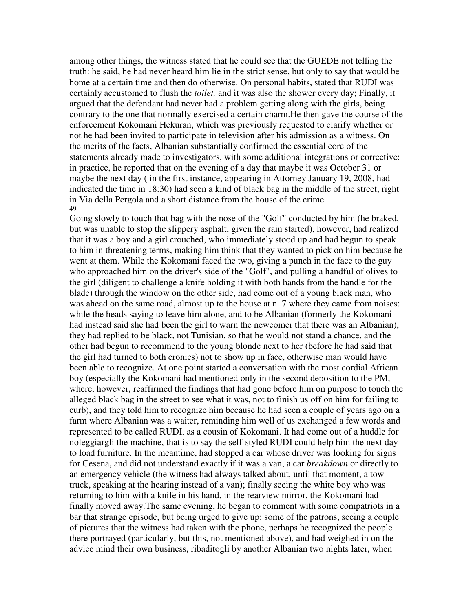among other things, the witness stated that he could see that the GUEDE not telling the truth: he said, he had never heard him lie in the strict sense, but only to say that would be home at a certain time and then do otherwise. On personal habits, stated that RUDI was certainly accustomed to flush the *toilet,* and it was also the shower every day; Finally, it argued that the defendant had never had a problem getting along with the girls, being contrary to the one that normally exercised a certain charm.He then gave the course of the enforcement Kokomani Hekuran, which was previously requested to clarify whether or not he had been invited to participate in television after his admission as a witness. On the merits of the facts, Albanian substantially confirmed the essential core of the statements already made to investigators, with some additional integrations or corrective: in practice, he reported that on the evening of a day that maybe it was October 31 or maybe the next day ( in the first instance, appearing in Attorney January 19, 2008, had indicated the time in 18:30) had seen a kind of black bag in the middle of the street, right in Via della Pergola and a short distance from the house of the crime. 49

Going slowly to touch that bag with the nose of the "Golf" conducted by him (he braked, but was unable to stop the slippery asphalt, given the rain started), however, had realized that it was a boy and a girl crouched, who immediately stood up and had begun to speak to him in threatening terms, making him think that they wanted to pick on him because he went at them. While the Kokomani faced the two, giving a punch in the face to the guy who approached him on the driver's side of the "Golf", and pulling a handful of olives to the girl (diligent to challenge a knife holding it with both hands from the handle for the blade) through the window on the other side, had come out of a young black man, who was ahead on the same road, almost up to the house at n. 7 where they came from noises: while the heads saying to leave him alone, and to be Albanian (formerly the Kokomani had instead said she had been the girl to warn the newcomer that there was an Albanian), they had replied to be black, not Tunisian, so that he would not stand a chance, and the other had begun to recommend to the young blonde next to her (before he had said that the girl had turned to both cronies) not to show up in face, otherwise man would have been able to recognize. At one point started a conversation with the most cordial African boy (especially the Kokomani had mentioned only in the second deposition to the PM, where, however, reaffirmed the findings that had gone before him on purpose to touch the alleged black bag in the street to see what it was, not to finish us off on him for failing to curb), and they told him to recognize him because he had seen a couple of years ago on a farm where Albanian was a waiter, reminding him well of us exchanged a few words and represented to be called RUDI, as a cousin of Kokomani. It had come out of a huddle for noleggiargli the machine, that is to say the self-styled RUDI could help him the next day to load furniture. In the meantime, had stopped a car whose driver was looking for signs for Cesena, and did not understand exactly if it was a van, a car *breakdown* or directly to an emergency vehicle (the witness had always talked about, until that moment, a tow truck, speaking at the hearing instead of a van); finally seeing the white boy who was returning to him with a knife in his hand, in the rearview mirror, the Kokomani had finally moved away.The same evening, he began to comment with some compatriots in a bar that strange episode, but being urged to give up: some of the patrons, seeing a couple of pictures that the witness had taken with the phone, perhaps he recognized the people there portrayed (particularly, but this, not mentioned above), and had weighed in on the advice mind their own business, ribaditogli by another Albanian two nights later, when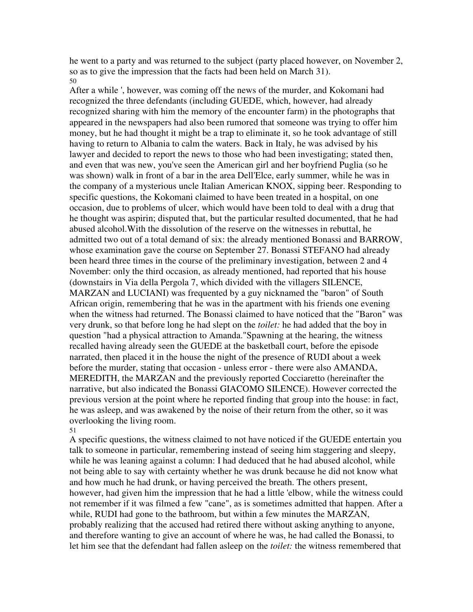he went to a party and was returned to the subject (party placed however, on November 2, so as to give the impression that the facts had been held on March 31). 50

After a while ', however, was coming off the news of the murder, and Kokomani had recognized the three defendants (including GUEDE, which, however, had already recognized sharing with him the memory of the encounter farm) in the photographs that appeared in the newspapers had also been rumored that someone was trying to offer him money, but he had thought it might be a trap to eliminate it, so he took advantage of still having to return to Albania to calm the waters. Back in Italy, he was advised by his lawyer and decided to report the news to those who had been investigating; stated then, and even that was new, you've seen the American girl and her boyfriend Puglia (so he was shown) walk in front of a bar in the area Dell'Elce, early summer, while he was in the company of a mysterious uncle Italian American KNOX, sipping beer. Responding to specific questions, the Kokomani claimed to have been treated in a hospital, on one occasion, due to problems of ulcer, which would have been told to deal with a drug that he thought was aspirin; disputed that, but the particular resulted documented, that he had abused alcohol.With the dissolution of the reserve on the witnesses in rebuttal, he admitted two out of a total demand of six: the already mentioned Bonassi and BARROW, whose examination gave the course on September 27. Bonassi STEFANO had already been heard three times in the course of the preliminary investigation, between 2 and 4 November: only the third occasion, as already mentioned, had reported that his house (downstairs in Via della Pergola 7, which divided with the villagers SILENCE, MARZAN and LUCIANI) was frequented by a guy nicknamed the "baron" of South African origin, remembering that he was in the apartment with his friends one evening when the witness had returned. The Bonassi claimed to have noticed that the "Baron" was very drunk, so that before long he had slept on the *toilet:* he had added that the boy in question "had a physical attraction to Amanda."Spawning at the hearing, the witness recalled having already seen the GUEDE at the basketball court, before the episode narrated, then placed it in the house the night of the presence of RUDI about a week before the murder, stating that occasion - unless error - there were also AMANDA, MEREDITH, the MARZAN and the previously reported Cocciaretto (hereinafter the narrative, but also indicated the Bonassi GIACOMO SILENCE). However corrected the previous version at the point where he reported finding that group into the house: in fact, he was asleep, and was awakened by the noise of their return from the other, so it was overlooking the living room.

51

A specific questions, the witness claimed to not have noticed if the GUEDE entertain you talk to someone in particular, remembering instead of seeing him staggering and sleepy, while he was leaning against a column: I had deduced that he had abused alcohol, while not being able to say with certainty whether he was drunk because he did not know what and how much he had drunk, or having perceived the breath. The others present, however, had given him the impression that he had a little 'elbow, while the witness could not remember if it was filmed a few "cane", as is sometimes admitted that happen. After a while, RUDI had gone to the bathroom, but within a few minutes the MARZAN, probably realizing that the accused had retired there without asking anything to anyone, and therefore wanting to give an account of where he was, he had called the Bonassi, to let him see that the defendant had fallen asleep on the *toilet:* the witness remembered that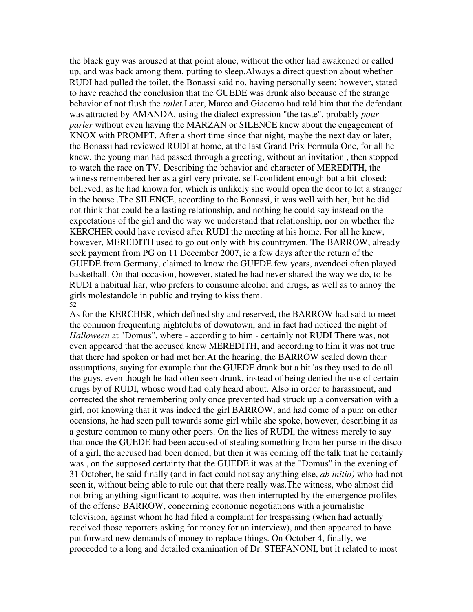the black guy was aroused at that point alone, without the other had awakened or called up, and was back among them, putting to sleep.Always a direct question about whether RUDI had pulled the toilet, the Bonassi said no, having personally seen: however, stated to have reached the conclusion that the GUEDE was drunk also because of the strange behavior of not flush the *toilet.*Later, Marco and Giacomo had told him that the defendant was attracted by AMANDA, using the dialect expression "the taste", probably *pour parler* without even having the MARZAN or SILENCE knew about the engagement of KNOX with PROMPT. After a short time since that night, maybe the next day or later, the Bonassi had reviewed RUDI at home, at the last Grand Prix Formula One, for all he knew, the young man had passed through a greeting, without an invitation , then stopped to watch the race on TV. Describing the behavior and character of MEREDITH, the witness remembered her as a girl very private, self-confident enough but a bit 'closed: believed, as he had known for, which is unlikely she would open the door to let a stranger in the house .The SILENCE, according to the Bonassi, it was well with her, but he did not think that could be a lasting relationship, and nothing he could say instead on the expectations of the girl and the way we understand that relationship, nor on whether the KERCHER could have revised after RUDI the meeting at his home. For all he knew, however, MEREDITH used to go out only with his countrymen. The BARROW, already seek payment from PG on 11 December 2007, ie a few days after the return of the GUEDE from Germany, claimed to know the GUEDE few years, avendoci often played basketball. On that occasion, however, stated he had never shared the way we do, to be RUDI a habitual liar, who prefers to consume alcohol and drugs, as well as to annoy the girls molestandole in public and trying to kiss them. 52

As for the KERCHER, which defined shy and reserved, the BARROW had said to meet the common frequenting nightclubs of downtown, and in fact had noticed the night of *Halloween* at "Domus", where - according to him - certainly not RUDI There was, not even appeared that the accused knew MEREDITH, and according to him it was not true that there had spoken or had met her.At the hearing, the BARROW scaled down their assumptions, saying for example that the GUEDE drank but a bit 'as they used to do all the guys, even though he had often seen drunk, instead of being denied the use of certain drugs by of RUDI, whose word had only heard about. Also in order to harassment, and corrected the shot remembering only once prevented had struck up a conversation with a girl, not knowing that it was indeed the girl BARROW, and had come of a pun: on other occasions, he had seen pull towards some girl while she spoke, however, describing it as a gesture common to many other peers. On the lies of RUDI, the witness merely to say that once the GUEDE had been accused of stealing something from her purse in the disco of a girl, the accused had been denied, but then it was coming off the talk that he certainly was , on the supposed certainty that the GUEDE it was at the "Domus" in the evening of 31 October, he said finally (and in fact could not say anything else, *ab initio)* who had not seen it, without being able to rule out that there really was.The witness, who almost did not bring anything significant to acquire, was then interrupted by the emergence profiles of the offense BARROW, concerning economic negotiations with a journalistic television, against whom he had filed a complaint for trespassing (when had actually received those reporters asking for money for an interview), and then appeared to have put forward new demands of money to replace things. On October 4, finally, we proceeded to a long and detailed examination of Dr. STEFANONI, but it related to most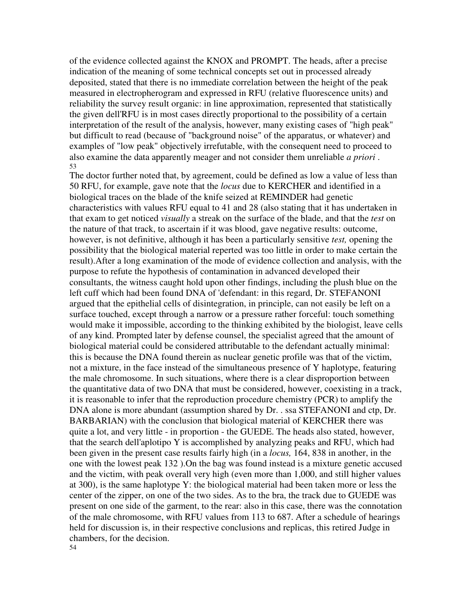of the evidence collected against the KNOX and PROMPT. The heads, after a precise indication of the meaning of some technical concepts set out in processed already deposited, stated that there is no immediate correlation between the height of the peak measured in electropherogram and expressed in RFU (relative fluorescence units) and reliability the survey result organic: in line approximation, represented that statistically the given dell'RFU is in most cases directly proportional to the possibility of a certain interpretation of the result of the analysis, however, many existing cases of "high peak" but difficult to read (because of "background noise" of the apparatus, or whatever) and examples of "low peak" objectively irrefutable, with the consequent need to proceed to also examine the data apparently meager and not consider them unreliable *a priori* . 53

The doctor further noted that, by agreement, could be defined as low a value of less than 50 RFU, for example, gave note that the *locus* due to KERCHER and identified in a biological traces on the blade of the knife seized at REMINDER had genetic characteristics with values RFU equal to 41 and 28 (also stating that it has undertaken in that exam to get noticed *visually* a streak on the surface of the blade, and that the *test* on the nature of that track, to ascertain if it was blood, gave negative results: outcome, however, is not definitive, although it has been a particularly sensitive *test,* opening the possibility that the biological material reperted was too little in order to make certain the result).After a long examination of the mode of evidence collection and analysis, with the purpose to refute the hypothesis of contamination in advanced developed their consultants, the witness caught hold upon other findings, including the plush blue on the left cuff which had been found DNA of 'defendant: in this regard, Dr. STEFANONI argued that the epithelial cells of disintegration, in principle, can not easily be left on a surface touched, except through a narrow or a pressure rather forceful: touch something would make it impossible, according to the thinking exhibited by the biologist, leave cells of any kind. Prompted later by defense counsel, the specialist agreed that the amount of biological material could be considered attributable to the defendant actually minimal: this is because the DNA found therein as nuclear genetic profile was that of the victim, not a mixture, in the face instead of the simultaneous presence of Y haplotype, featuring the male chromosome. In such situations, where there is a clear disproportion between the quantitative data of two DNA that must be considered, however, coexisting in a track, it is reasonable to infer that the reproduction procedure chemistry (PCR) to amplify the DNA alone is more abundant (assumption shared by Dr. . ssa STEFANONI and ctp, Dr. BARBARIAN) with the conclusion that biological material of KERCHER there was quite a lot, and very little - in proportion - the GUEDE. The heads also stated, however, that the search dell'aplotipo Y is accomplished by analyzing peaks and RFU, which had been given in the present case results fairly high (in a *locus,* 164, 838 in another, in the one with the lowest peak 132 ).On the bag was found instead is a mixture genetic accused and the victim, with peak overall very high (even more than 1,000, and still higher values at 300), is the same haplotype Y: the biological material had been taken more or less the center of the zipper, on one of the two sides. As to the bra, the track due to GUEDE was present on one side of the garment, to the rear: also in this case, there was the connotation of the male chromosome, with RFU values from 113 to 687. After a schedule of hearings held for discussion is, in their respective conclusions and replicas, this retired Judge in chambers, for the decision. 54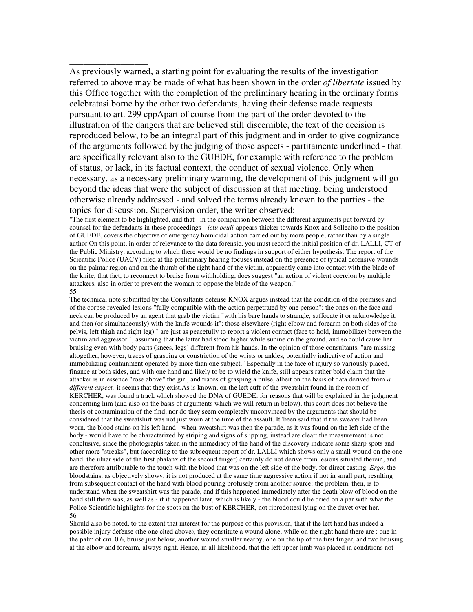As previously warned, a starting point for evaluating the results of the investigation referred to above may be made of what has been shown in the order *of libertate* issued by this Office together with the completion of the preliminary hearing in the ordinary forms celebratasi borne by the other two defendants, having their defense made requests pursuant to art. 299 cppApart of course from the part of the order devoted to the illustration of the dangers that are believed still discernible, the text of the decision is reproduced below, to be an integral part of this judgment and in order to give cognizance of the arguments followed by the judging of those aspects - partitamente underlined - that are specifically relevant also to the GUEDE, for example with reference to the problem of status, or lack, in its factual context, the conduct of sexual violence. Only when necessary, as a necessary preliminary warning, the development of this judgment will go beyond the ideas that were the subject of discussion at that meeting, being understood otherwise already addressed - and solved the terms already known to the parties - the topics for discussion. Supervision order, the writer observed:

"The first element to be highlighted, and that - in the comparison between the different arguments put forward by counsel for the defendants in these proceedings - *ictu oculi* appears thicker towards Knox and Sollecito to the position of GUEDE, covers the objective of emergency homicidal action carried out by more people, rather than by a single author.On this point, in order of relevance to the data forensic, you must record the initial position of dr. LALLI, CT of the Public Ministry, according to which there would be no findings in support of either hypothesis. The report of the Scientific Police (UACV) filed at the preliminary hearing focuses instead on the presence of typical defensive wounds on the palmar region and on the thumb of the right hand of the victim, apparently came into contact with the blade of the knife, that fact, to reconnect to bruise from withholding, does suggest "an action of violent coercion by multiple attackers, also in order to prevent the woman to oppose the blade of the weapon."

#### 55

\_\_\_\_\_\_\_\_\_\_\_\_\_\_\_\_\_

The technical note submitted by the Consultants defense KNOX argues instead that the condition of the premises and of the corpse revealed lesions "fully compatible with the action perpetrated by one person": the ones on the face and neck can be produced by an agent that grab the victim "with his bare hands to strangle, suffocate it or acknowledge it, and then (or simultaneously) with the knife wounds it"; those elsewhere (right elbow and forearm on both sides of the pelvis, left thigh and right leg) " are just as peacefully to report a violent contact (face to hold, immobilize) between the victim and aggressor ", assuming that the latter had stood higher while supine on the ground, and so could cause her bruising even with body parts (knees, legs) different from his hands. In the opinion of those consultants, "are missing altogether, however, traces of grasping or constriction of the wrists or ankles, potentially indicative of action and immobilizing containment operated by more than one subject." Especially in the face of injury so variously placed, finance at both sides, and with one hand and likely to be to wield the knife, still appears rather bold claim that the attacker is in essence "rose above" the girl, and traces of grasping a pulse, albeit on the basis of data derived from *a different aspect,* it seems that they exist.As is known, on the left cuff of the sweatshirt found in the room of KERCHER, was found a track which showed the DNA of GUEDE: for reasons that will be explained in the judgment concerning him (and also on the basis of arguments which we will return in below), this court does not believe the thesis of contamination of the find, nor do they seem completely unconvinced by the arguments that should be considered that the sweatshirt was not just worn at the time of the assault. It 'been said that if the sweater had been worn, the blood stains on his left hand - when sweatshirt was then the parade, as it was found on the left side of the body - would have to be characterized by striping and signs of slipping, instead are clear: the measurement is not conclusive, since the photographs taken in the immediacy of the hand of the discovery indicate some sharp spots and other more "streaks", but (according to the subsequent report of dr. LALLI which shows only a small wound on the one hand, the ulnar side of the first phalanx of the second finger) certainly do not derive from lesions situated therein, and are therefore attributable to the touch with the blood that was on the left side of the body, for direct casting. *Ergo,* the bloodstains, as objectively showy, it is not produced at the same time aggressive action if not in small part, resulting from subsequent contact of the hand with blood pouring profusely from another source: the problem, then, is to understand when the sweatshirt was the parade, and if this happened immediately after the death blow of blood on the hand still there was, as well as - if it happened later, which is likely - the blood could be dried on a par with what the Police Scientific highlights for the spots on the bust of KERCHER, not riprodottesi lying on the duvet over her. 56

Should also be noted, to the extent that interest for the purpose of this provision, that if the left hand has indeed a possible injury defense (the one cited above), they constitute a wound alone, while on the right hand there are : one in the palm of cm. 0.6, bruise just below, another wound smaller nearby, one on the tip of the first finger, and two bruising at the elbow and forearm, always right. Hence, in all likelihood, that the left upper limb was placed in conditions not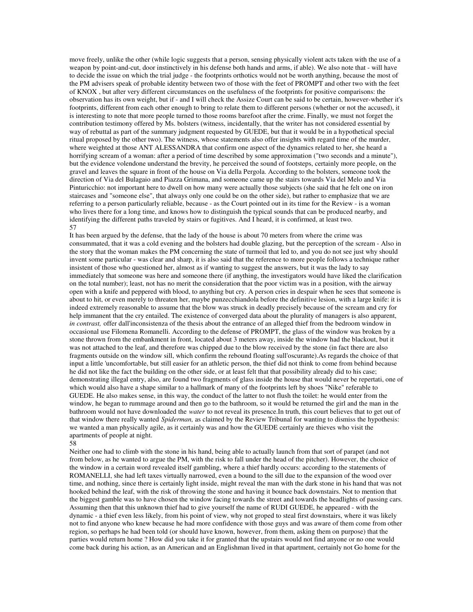move freely, unlike the other (while logic suggests that a person, sensing physically violent acts taken with the use of a weapon by point-and-cut, door instinctively in his defense both hands and arms, if able). We also note that - will have to decide the issue on which the trial judge - the footprints orthotics would not be worth anything, because the most of the PM advisers speak of probable identity between two of those with the feet of PROMPT and other two with the feet of KNOX , but after very different circumstances on the usefulness of the footprints for positive comparisons: the observation has its own weight, but if - and I will check the Assize Court can be said to be certain, however-whether it's footprints, different from each other enough to bring to relate them to different persons (whether or not the accused), it is interesting to note that more people turned to those rooms barefoot after the crime. Finally, we must not forget the contribution testimony offered by Ms. bolsters (witness, incidentally, that the writer has not considered essential by way of rebuttal as part of the summary judgment requested by GUEDE, but that it would be in a hypothetical special ritual proposed by the other two). The witness, whose statements also offer insights with regard time of the murder, where weighted at those ANT ALESSANDRA that confirm one aspect of the dynamics related to her, she heard a horrifying scream of a woman: after a period of time described by some approximation ("two seconds and a minute"), but the evidence volendone understand the brevity, he perceived the sound of footsteps, certainly more people, on the gravel and leaves the square in front of the house on Via della Pergola. According to the bolsters, someone took the direction of Via del Bulagaio and Piazza Grimana, and someone came up the stairs towards Via del Melo and Via Pinturicchio: not important here to dwell on how many were actually those subjects (she said that he felt one on iron staircases and "someone else", that always only one could be on the other side), but rather to emphasize that we are referring to a person particularly reliable, because - as the Court pointed out in its time for the Review - is a woman who lives there for a long time, and knows how to distinguish the typical sounds that can be produced nearby, and identifying the different paths traveled by stairs or fugitives. And I heard, it is confirmed, at least two. 57

It has been argued by the defense, that the lady of the house is about 70 meters from where the crime was consummated, that it was a cold evening and the bolsters had double glazing, but the perception of the scream - Also in the story that the woman makes the PM concerning the state of turmoil that led to, and you do not see just why should invent some particular - was clear and sharp, it is also said that the reference to more people follows a technique rather insistent of those who questioned her, almost as if wanting to suggest the answers, but it was the lady to say immediately that someone was here and someone there (if anything, the investigators would have liked the clarification on the total number); least, not has no merit the consideration that the poor victim was in a position, with the airway open with a knife and peppered with blood, to anything but cry. A person cries in despair when he sees that someone is about to hit, or even merely to threaten her, maybe punzecchiandola before the definitive lesion, with a large knife: it is indeed extremely reasonable to assume that the blow was struck in deadly precisely because of the scream and cry for help immanent that the cry entailed. The existence of converged data about the plurality of managers is also apparent, *in contrast,* offer dall'inconsistenza of the thesis about the entrance of an alleged thief from the bedroom window in occasional use Filomena Romanelli. According to the defense of PROMPT, the glass of the window was broken by a stone thrown from the embankment in front, located about 3 meters away, inside the window had the blackout, but it was not attached to the leaf, and therefore was chipped due to the blow received by the stone (in fact there are also fragments outside on the window sill, which confirm the rebound floating sull'oscurante).As regards the choice of that input a little 'uncomfortable, but still easier for an athletic person, the thief did not think to come from behind because he did not like the fact the building on the other side, or at least felt that that possibility already did to his case; demonstrating illegal entry, also, are found two fragments of glass inside the house that would never be repertati, one of which would also have a shape similar to a hallmark of many of the footprints left by shoes "Nike" referable to GUEDE. He also makes sense, in this way, the conduct of the latter to not flush the toilet: he would enter from the window, he began to rummage around and then go to the bathroom, so it would be returned the girl and the man in the bathroom would not have downloaded the *water* to not reveal its presence.In truth, this court believes that to get out of that window there really wanted *Spiderman,* as claimed by the Review Tribunal for wanting to dismiss the hypothesis: we wanted a man physically agile, as it certainly was and how the GUEDE certainly are thieves who visit the apartments of people at night.

### 58

Neither one had to climb with the stone in his hand, being able to actually launch from that sort of parapet (and not from below, as he wanted to argue the PM, with the risk to fall under the head of the pitcher). However, the choice of the window in a certain word revealed itself gambling, where a thief hardly occurs: according to the statements of ROMANELLI, she had left taxes virtually narrowed, even a bound to the sill due to the expansion of the wood over time, and nothing, since there is certainly light inside, might reveal the man with the dark stone in his hand that was not hooked behind the leaf, with the risk of throwing the stone and having it bounce back downstairs. Not to mention that the biggest gamble was to have chosen the window facing towards the street and towards the headlights of passing cars. Assuming then that this unknown thief had to give yourself the name of RUDI GUEDE, he appeared - with the dynamic - a thief even less likely, from his point of view, why not groped to steal first downstairs, where it was likely not to find anyone who knew because he had more confidence with those guys and was aware of them come from other region, so perhaps he had been told (or should have known, however, from them, asking them on purpose) that the parties would return home ? How did you take it for granted that the upstairs would not find anyone or no one would come back during his action, as an American and an Englishman lived in that apartment, certainly not Go home for the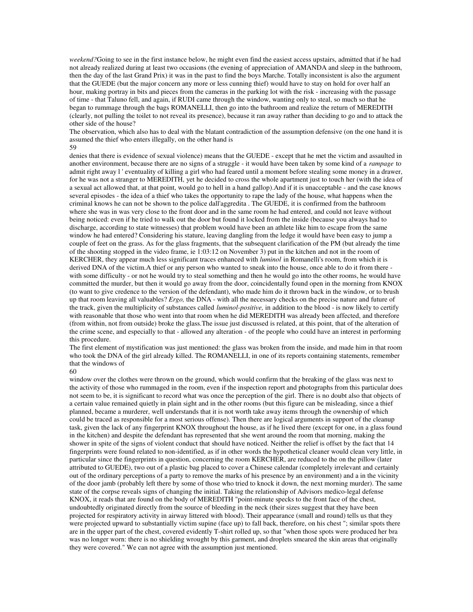*weekend?*Going to see in the first instance below, he might even find the easiest access upstairs, admitted that if he had not already realized during at least two occasions (the evening of appreciation of AMANDA and sleep in the bathroom, then the day of the last Grand Prix) it was in the past to find the boys Marche. Totally inconsistent is also the argument that the GUEDE (but the major concern any more or less cunning thief) would have to stay on hold for over half an hour, making portray in bits and pieces from the cameras in the parking lot with the risk - increasing with the passage of time - that Taluno fell, and again, if RUDI came through the window, wanting only to steal, so much so that he began to rummage through the bags ROMANELLI, then go into the bathroom and realize the return of MEREDITH (clearly, not pulling the toilet to not reveal its presence), because it ran away rather than deciding to go and to attack the other side of the house?

The observation, which also has to deal with the blatant contradiction of the assumption defensive (on the one hand it is assumed the thief who enters illegally, on the other hand is 59

denies that there is evidence of sexual violence) means that the GUEDE - except that he met the victim and assaulted in another environment, because there are no signs of a struggle - it would have been taken by some kind of a *rampage* to admit right away l ' eventuality of killing a girl who had feared until a moment before stealing some money in a drawer, for he was not a stranger to MEREDITH, yet he decided to cross the whole apartment just to touch her (with the idea of a sexual act allowed that, at that point, would go to hell in a hand gallop).And if it is unacceptable - and the case knows several episodes - the idea of a thief who takes the opportunity to rape the lady of the house, what happens when the criminal knows he can not be shown to the police dall'aggredita . The GUEDE, it is confirmed from the bathroom where she was in was very close to the front door and in the same room he had entered, and could not leave without being noticed: even if he tried to walk out the door but found it locked from the inside (because you always had to discharge, according to state witnesses) that problem would have been an athlete like him to escape from the same window he had entered? Considering his stature, leaving dangling from the ledge it would have been easy to jump a couple of feet on the grass. As for the glass fragments, that the subsequent clarification of the PM (but already the time of the shooting stopped in the video frame, ie 1:03:12 on November 3) put in the kitchen and not in the room of KERCHER, they appear much less significant traces enhanced with *luminol* in Romanelli's room, from which it is derived DNA of the victim. A thief or any person who wanted to sneak into the house, once able to do it from there with some difficulty - or not he would try to steal something and then he would go into the other rooms, he would have committed the murder, but then it would go away from the door, coincidentally found open in the morning from KNOX (to want to give credence to the version of the defendant), who made him do it thrown back in the window, or to brush up that room leaving all valuables? *Ergo,* the DNA - with all the necessary checks on the precise nature and future of the track, given the multiplicity of substances called *luminol-positive,* in addition to the blood - is now likely to certify with reasonable that those who went into that room when he did MEREDITH was already been affected, and therefore (from within, not from outside) broke the glass.The issue just discussed is related, at this point, that of the alteration of the crime scene, and especially to that - allowed any alteration - of the people who could have an interest in performing this procedure.

The first element of mystification was just mentioned: the glass was broken from the inside, and made him in that room who took the DNA of the girl already killed. The ROMANELLI, in one of its reports containing statements, remember that the windows of

60

window over the clothes were thrown on the ground, which would confirm that the breaking of the glass was next to the activity of those who rummaged in the room, even if the inspection report and photographs from this particular does not seem to be, it is significant to record what was once the perception of the girl. There is no doubt also that objects of a certain value remained quietly in plain sight and in the other rooms (but this figure can be misleading, since a thief planned, became a murderer, well understands that it is not worth take away items through the ownership of which could be traced as responsible for a most serious offense). Then there are logical arguments in support of the cleanup task, given the lack of any fingerprint KNOX throughout the house, as if he lived there (except for one, in a glass found in the kitchen) and despite the defendant has represented that she went around the room that morning, making the shower in spite of the signs of violent conduct that should have noticed. Neither the relief is offset by the fact that 14 fingerprints were found related to non-identified, as if in other words the hypothetical cleaner would clean very little, in particular since the fingerprints in question, concerning the room KERCHER, are reduced to the on the pillow (later attributed to GUEDE), two out of a plastic bag placed to cover a Chinese calendar (completely irrelevant and certainly out of the ordinary perceptions of a party to remove the marks of his presence by an environment) and a in the vicinity of the door jamb (probably left there by some of those who tried to knock it down, the next morning murder). The same state of the corpse reveals signs of changing the initial. Taking the relationship of Advisors medico-legal defense KNOX, it reads that are found on the body of MEREDITH "point-minute specks to the front face of the chest, undoubtedly originated directly from the source of bleeding in the neck (their sizes suggest that they have been projected for respiratory activity in airway littered with blood). Their appearance (small and round) tells us that they were projected upward to substantially victim supine (face up) to fall back, therefore, on his chest "; similar spots there are in the upper part of the chest, covered evidently T-shirt rolled up, so that "when those spots were produced her bra was no longer worn: there is no shielding wrought by this garment, and droplets smeared the skin areas that originally they were covered." We can not agree with the assumption just mentioned.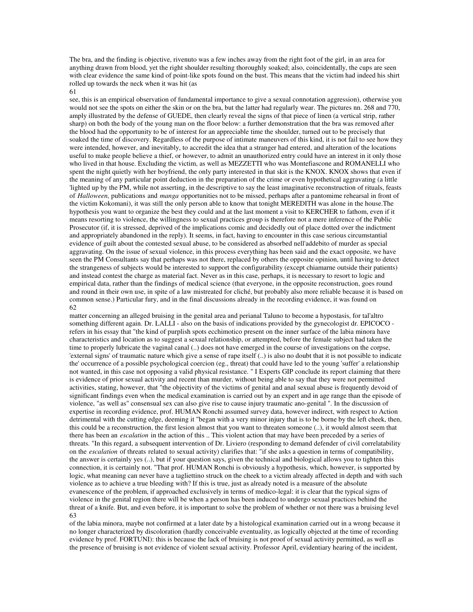The bra, and the finding is objective, rivenuto was a few inches away from the right foot of the girl, in an area for anything drawn from blood, yet the right shoulder resulting thoroughly soaked; also, coincidentally, the cups are seen with clear evidence the same kind of point-like spots found on the bust. This means that the victim had indeed his shirt rolled up towards the neck when it was hit (as 61

see, this is an empirical observation of fundamental importance to give a sexual connotation aggression), otherwise you would not see the spots on either the skin or on the bra, but the latter had regularly wear. The pictures nn. 268 and 770, amply illustrated by the defense of GUEDE, then clearly reveal the signs of that piece of linen (a vertical strip, rather sharp) on both the body of the young man on the floor below: a further demonstration that the bra was removed after the blood had the opportunity to be of interest for an appreciable time the shoulder, turned out to be precisely that soaked the time of discovery. Regardless of the purpose of intimate maneuvers of this kind, it is not fail to see how they were intended, however, and inevitably, to accredit the idea that a stranger had entered, and alteration of the locations useful to make people believe a thief, or however, to admit an unauthorized entry could have an interest in it only those who lived in that house. Excluding the victim, as well as MEZZETTI who was Montefiascone and ROMANELLI who spent the night quietly with her boyfriend, the only party interested in that skit is the KNOX. KNOX shows that even if the meaning of any particular point deduction in the preparation of the crime or even hypothetical aggravating (a little 'lighted up by the PM, while not asserting, in the descriptive to say the least imaginative reconstruction of rituals, feasts of *Halloween,* publications and *manga* opportunities not to be missed, perhaps after a pantomime rehearsal in front of the victim Kokomani), it was still the only person able to know that tonight MEREDITH was alone in the house.The hypothesis you want to organize the best they could and at the last moment a visit to KERCHER to fathom, even if it means resorting to violence, the willingness to sexual practices group is therefore not a mere inference of the Public Prosecutor (if, it is stressed, deprived of the implications comic and decidedly out of place dotted over the indictment and appropriately abandoned in the reply). It seems, in fact, having to encounter in this case serious circumstantial evidence of guilt about the contested sexual abuse, to be considered as absorbed nell'addebito of murder as special aggravating. On the issue of sexual violence, in this process everything has been said and the exact opposite, we have seen the PM Consultants say that perhaps was not there, replaced by others the opposite opinion, until having to detect the strangeness of subjects would be interested to support the configurability (except chiamarne outside their patients) and instead contest the charge as material fact. Never as in this case, perhaps, it is necessary to resort to logic and empirical data, rather than the findings of medical science (that everyone, in the opposite reconstruction, goes round and round in their own use, in spite of a law mistreated for cliché, but probably also more reliable because it is based on common sense.) Particular fury, and in the final discussions already in the recording evidence, it was found on 62

matter concerning an alleged bruising in the genital area and perianal Taluno to become a hypostasis, for tal'altro something different again. Dr. LALLI - also on the basis of indications provided by the gynecologist dr. EPICOCO refers in his essay that "the kind of purplish spots ecchimotico present on the inner surface of the labia minora have characteristics and location as to suggest a sexual relationship, or attempted, before the female subject had taken the time to properly lubricate the vaginal canal (..) does not have emerged in the course of investigations on the corpse, 'external signs' of traumatic nature which give a sense of rape itself (..) is also no doubt that it is not possible to indicate the' occurrence of a possible psychological coercion (eg., threat) that could have led to the young 'suffer' a relationship not wanted, in this case not opposing a valid physical resistance. " I Experts GIP conclude its report claiming that there is evidence of prior sexual activity and recent than murder, without being able to say that they were not permitted activities, stating, however, that "the objectivity of the victims of genital and anal sexual abuse is frequently devoid of significant findings even when the medical examination is carried out by an expert and in age range than the episode of violence, "as well as" consensual sex can also give rise to cause injury traumatic ano-genital ". In the discussion of expertise in recording evidence, prof. HUMAN Ronchi assumed survey data, however indirect, with respect to Action detrimental with the cutting edge, deeming it "began with a very minor injury that is to be borne by the left cheek, then, this could be a reconstruction, the first lesion almost that you want to threaten someone (..), it would almost seem that there has been an *escalation* in the action of this .. This violent action that may have been preceded by a series of threats. "In this regard, a subsequent intervention of Dr. Liviero (responding to demand defender of civil correlatability on the *escalation* of threats related to sexual activity) clarifies that: "if she asks a question in terms of compatibility, the answer is certainly yes (..), but if your question says, given the technical and biological allows you to tighten this connection, it is certainly not. "That prof. HUMAN Ronchi is obviously a hypothesis, which, however, is supported by logic, what meaning can never have a tagliettino struck on the cheek to a victim already affected in depth and with such violence as to achieve a true bleeding with? If this is true, just as already noted is a measure of the absolute evanescence of the problem, if approached exclusively in terms of medico-legal: it is clear that the typical signs of violence in the genital region there will be when a person has been induced to undergo sexual practices behind the threat of a knife. But, and even before, it is important to solve the problem of whether or not there was a bruising level 63

of the labia minora, maybe not confirmed at a later date by a histological examination carried out in a wrong because it no longer characterized by discoloration (hardly conceivable eventuality, as logically objected at the time of recording evidence by prof. FORTUNI): this is because the lack of bruising is not proof of sexual activity permitted, as well as the presence of bruising is not evidence of violent sexual activity. Professor April, evidentiary hearing of the incident,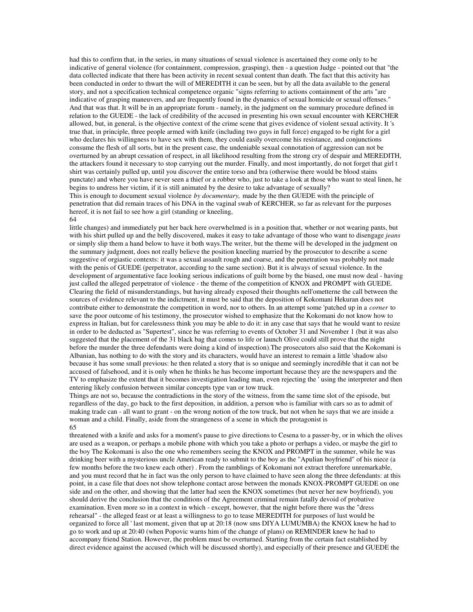had this to confirm that, in the series, in many situations of sexual violence is ascertained they come only to be indicative of general violence (for containment, compression, grasping), then - a question Judge - pointed out that "the data collected indicate that there has been activity in recent sexual content than death. The fact that this activity has been conducted in order to thwart the will of MEREDITH it can be seen, but by all the data available to the general story, and not a specification technical competence organic "signs referring to actions containment of the arts "are indicative of grasping maneuvers, and are frequently found in the dynamics of sexual homicide or sexual offenses." And that was that. It will be in an appropriate forum - namely, in the judgment on the summary procedure defined in relation to the GUEDE - the lack of credibility of the accused in presenting his own sexual encounter with KERCHER allowed, but, in general, is the objective context of the crime scene that gives evidence of violent sexual activity. It 's true that, in principle, three people armed with knife (including two guys in full force) engaged to be right for a girl who declares his willingness to have sex with them, they could easily overcome his resistance, and conjunctions consume the flesh of all sorts, but in the present case, the undeniable sexual connotation of aggression can not be overturned by an abrupt cessation of respect, in all likelihood resulting from the strong cry of despair and MEREDITH, the attackers found it necessary to stop carrying out the murder. Finally, and most importantly, do not forget that girl t shirt was certainly pulled up, until you discover the entire torso and bra (otherwise there would be blood stains punctate) and where you have never seen a thief or a robber who, just to take a look at those who want to steal linen, he begins to undress her victim, if it is still animated by the desire to take advantage of sexually?

This is enough to document sexual violence *by documentary,* made by the then GUEDE with the principle of penetration that did remain traces of his DNA in the vaginal swab of KERCHER, so far as relevant for the purposes hereof, it is not fail to see how a girl (standing or kneeling, 64

little changes) and immediately put her back here overwhelmed is in a position that, whether or not wearing pants, but with his shirt pulled up and the belly discovered, makes it easy to take advantage of those who want to disengage *jeans* or simply slip them a hand below to have it both ways.The writer, but the theme will be developed in the judgment on the summary judgment, does not really believe the position kneeling married by the prosecutor to describe a scene suggestive of orgiastic contexts: it was a sexual assault rough and coarse, and the penetration was probably not made with the penis of GUEDE (perpetrator, according to the same section). But it is always of sexual violence. In the development of argumentative face looking serious indications of guilt borne by the biased, one must now deal - having just called the alleged perpetrator of violence - the theme of the competition of KNOX and PROMPT with GUEDE. Clearing the field of misunderstandings, but having already exposed their thoughts nell'ometterne the call between the sources of evidence relevant to the indictment, it must be said that the deposition of Kokomani Hekuran does not contribute either to demonstrate the competition in word, nor to others. In an attempt some 'patched up in a *corner* to save the poor outcome of his testimony, the prosecutor wished to emphasize that the Kokomani do not know how to express in Italian, but for carelessness think you may be able to do it: in any case that says that he would want to resize in order to be deducted as "Supertest", since he was referring to events of October 31 and November 1 (but it was also suggested that the placement of the 31 black bag that comes to life or launch Olive could still prove that the night before the murder the three defendants were doing a kind of inspection).The prosecutors also said that the Kokomani is Albanian, has nothing to do with the story and its characters, would have an interest to remain a little 'shadow also because it has some small previous: he then related a story that is so unique and seemingly incredible that it can not be accused of falsehood, and it is only when he thinks he has become important because they are the newspapers and the TV to emphasize the extent that it becomes investigation leading man, even rejecting the ' using the interpreter and then entering likely confusion between similar concepts type van or tow truck.

Things are not so, because the contradictions in the story of the witness, from the same time slot of the episode, but regardless of the day, go back to the first deposition, in addition, a person who is familiar with cars so as to admit of making trade can - all want to grant - on the wrong notion of the tow truck, but not when he says that we are inside a woman and a child. Finally, aside from the strangeness of a scene in which the protagonist is 65

threatened with a knife and asks for a moment's pause to give directions to Cesena to a passer-by, or in which the olives are used as a weapon, or perhaps a mobile phone with which you take a photo or perhaps a video, or maybe the girl to the boy The Kokomani is also the one who remembers seeing the KNOX and PROMPT in the summer, while he was drinking beer with a mysterious uncle American ready to submit to the boy as the "Apulian boyfriend" of his niece (a few months before the two knew each other) . From the ramblings of Kokomani not extract therefore unremarkable, and you must record that he in fact was the only person to have claimed to have seen along the three defendants: at this point, in a case file that does not show telephone contact arose between the monads KNOX-PROMPT GUEDE on one side and on the other, and showing that the latter had seen the KNOX sometimes (but never her new boyfriend), you should derive the conclusion that the conditions of the Agreement criminal remain fatally devoid of probative examination. Even more so in a context in which - except, however, that the night before there was the "dress rehearsal" - the alleged feast or at least a willingness to go to tease MEREDITH for purposes of lust would be organized to force all ' last moment, given that up at 20:18 (now sms DIYA LUMUMBA) the KNOX knew he had to go to work and up at 20:40 (when Popovic warns him of the change of plans) on REMINDER knew he had to accompany friend Station. However, the problem must be overturned. Starting from the certain fact established by direct evidence against the accused (which will be discussed shortly), and especially of their presence and GUEDE the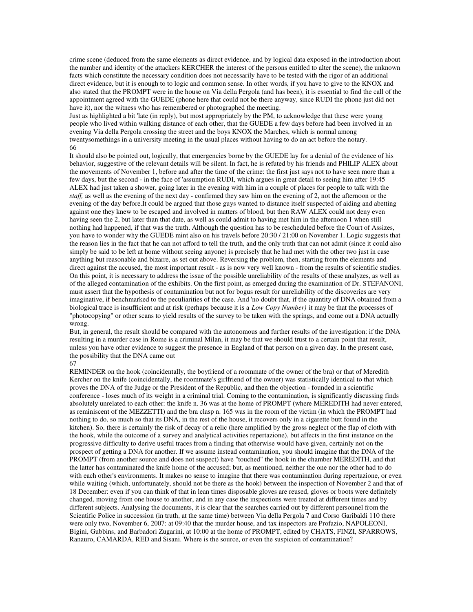crime scene (deduced from the same elements as direct evidence, and by logical data exposed in the introduction about the number and identity of the attackers KERCHER the interest of the persons entitled to alter the scene), the unknown facts which constitute the necessary condition does not necessarily have to be tested with the rigor of an additional direct evidence, but it is enough to to logic and common sense. In other words, if you have to give to the KNOX and also stated that the PROMPT were in the house on Via della Pergola (and has been), it is essential to find the call of the appointment agreed with the GUEDE (phone here that could not be there anyway, since RUDI the phone just did not have it), nor the witness who has remembered or photographed the meeting.

Just as highlighted a bit 'late (in reply), but most appropriately by the PM, to acknowledge that these were young people who lived within walking distance of each other, that the GUEDE a few days before had been involved in an evening Via della Pergola crossing the street and the boys KNOX the Marches, which is normal among twentysomethings in a university meeting in the usual places without having to do an act before the notary. 66

It should also be pointed out, logically, that emergencies borne by the GUEDE lay for a denial of the evidence of his behavior, suggestive of the relevant details will be silent. In fact, he is refuted by his friends and PHILIP ALEX about the movements of November 1, before and after the time of the crime: the first just says not to have seen more than a few days, but the second - in the face of 'assumption RUDI, which argues in great detail to seeing him after 19:45 ALEX had just taken a shower, going later in the evening with him in a couple of places for people to talk with the *staff,* as well as the evening of the next day - confirmed they saw him on the evening of 2, not the afternoon or the evening of the day before.It could be argued that those guys wanted to distance itself suspected of aiding and abetting against one they knew to be escaped and involved in matters of blood, but then RAW ALEX could not deny even having seen the 2, but later than that date, as well as could admit to having met him in the afternoon 1 when still nothing had happened, if that was the truth. Although the question has to be rescheduled before the Court of Assizes, you have to wonder why the GUEDE mint also on his travels before 20:30 / 21:00 on November 1. Logic suggests that the reason lies in the fact that he can not afford to tell the truth, and the only truth that can not admit (since it could also simply be said to be left at home without seeing anyone) is precisely that he had met with the other two just in case anything but reasonable and bizarre, as set out above. Reversing the problem, then, starting from the elements and direct against the accused, the most important result - as is now very well known - from the results of scientific studies. On this point, it is necessary to address the issue of the possible unreliability of the results of these analyzes, as well as of the alleged contamination of the exhibits. On the first point, as emerged during the examination of Dr. STEFANONI, must assert that the hypothesis of contamination but not for bogus result for unreliability of the discoveries are very imaginative, if benchmarked to the peculiarities of the case. And 'no doubt that, if the quantity of DNA obtained from a biological trace is insufficient and at risk (perhaps because it is a *Low Copy Number)* it may be that the processes of "photocopying" or other scans to yield results of the survey to be taken with the springs, and come out a DNA actually wrong.

But, in general, the result should be compared with the autonomous and further results of the investigation: if the DNA resulting in a murder case in Rome is a criminal Milan, it may be that we should trust to a certain point that result, unless you have other evidence to suggest the presence in England of that person on a given day. In the present case, the possibility that the DNA came out

#### 67

REMINDER on the hook (coincidentally, the boyfriend of a roommate of the owner of the bra) or that of Meredith Kercher on the knife (coincidentally, the roommate's girlfriend of the owner) was statistically identical to that which proves the DNA of the Judge or the President of the Republic, and then the objection - founded in a scientific conference - loses much of its weight in a criminal trial. Coming to the contamination, is significantly discussing finds absolutely unrelated to each other: the knife n. 36 was at the home of PROMPT (where MEREDITH had never entered, as reminiscent of the MEZZETTI) and the bra clasp n. 165 was in the room of the victim (in which the PROMPT had nothing to do, so much so that its DNA, in the rest of the house, it recovers only in a cigarette butt found in the kitchen). So, there is certainly the risk of decay of a relic (here amplified by the gross neglect of the flap of cloth with the hook, while the outcome of a survey and analytical activities repertazione), but affects in the first instance on the progressive difficulty to derive useful traces from a finding that otherwise would have given, certainly not on the prospect of getting a DNA for another. If we assume instead contamination, you should imagine that the DNA of the PROMPT (from another source and does not suspect) have "touched" the hook in the chamber MEREDITH, and that the latter has contaminated the knife home of the accused; but, as mentioned, neither the one nor the other had to do with each other's environments. It makes no sense to imagine that there was contamination during repertazione, or even while waiting (which, unfortunately, should not be there as the hook) between the inspection of November 2 and that of 18 December: even if you can think of that in lean times disposable gloves are reused, gloves or boots were definitely changed, moving from one house to another, and in any case the inspections were treated at different times and by different subjects. Analysing the documents, it is clear that the searches carried out by different personnel from the Scientific Police in succession (in truth, at the same time) between Via della Pergola 7 and Corso Garibaldi 110 there were only two, November 6, 2007: at 09:40 that the murder house, and tax inspectors are Profazio, NAPOLEONI, Bigini, Gubbins, and Barbadori Zugarini, at 10:00 at the home of PROMPT, edited by CHATS, FINZI, SPARROWS, Ranauro, CAMARDA, RED and Sisani. Where is the source, or even the suspicion of contamination?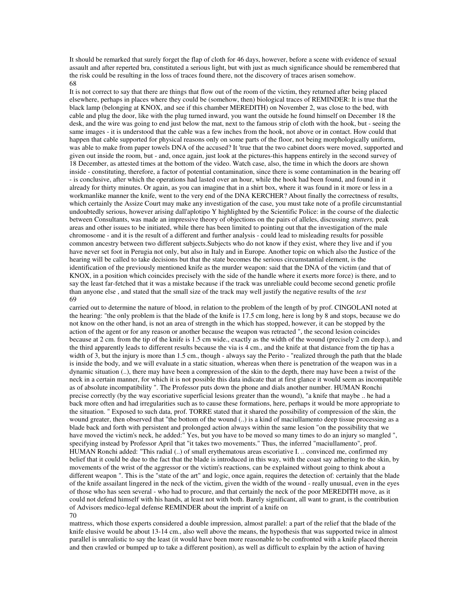It should be remarked that surely forget the flap of cloth for 46 days, however, before a scene with evidence of sexual assault and after reperted bra, constituted a serious light, but with just as much significance should be remembered that the risk could be resulting in the loss of traces found there, not the discovery of traces arisen somehow. 68

It is not correct to say that there are things that flow out of the room of the victim, they returned after being placed elsewhere, perhaps in places where they could be (somehow, then) biological traces of REMINDER: It is true that the black lamp (belonging at KNOX, and see if this chamber MEREDITH) on November 2, was close to the bed, with cable and plug the door, like with the plug turned inward, you want the outside he found himself on December 18 the desk, and the wire was going to end just below the mat, next to the famous strip of cloth with the hook, but - seeing the same images - it is understood that the cable was a few inches from the hook, not above or in contact. How could that happen that cable supported for physical reasons only on some parts of the floor, not being morphologically uniform, was able to make from paper towels DNA of the accused? It 'true that the two cabinet doors were moved, supported and given out inside the room, but - and, once again, just look at the pictures-this happens entirely in the second survey of 18 December, as attested times at the bottom of the video. Watch case, also, the time in which the doors are shown inside - constituting, therefore, a factor of potential contamination, since there is some contamination in the bearing off - is conclusive, after which the operations had lasted over an hour, while the hook had been found, and found in it already for thirty minutes. Or again, as you can imagine that in a shirt box, where it was found in it more or less in a workmanlike manner the knife, went to the very end of the DNA KERCHER? About finally the correctness of results, which certainly the Assize Court may make any investigation of the case, you must take note of a profile circumstantial undoubtedly serious, however arising dall'aplotipo Y highlighted by the Scientific Police: in the course of the dialectic between Consultants, was made an impressive theory of objections on the pairs of alleles, discussing *stutters,* peak areas and other issues to be initiated, while there has been limited to pointing out that the investigation of the male chromosome - and it is the result of a different and further analysis - could lead to misleading results for possible common ancestry between two different subjects.Subjects who do not know if they exist, where they live and if you have never set foot in Perugia not only, but also in Italy and in Europe. Another topic on which also the Justice of the hearing will be called to take decisions but that the state becomes the serious circumstantial element, is the identification of the previously mentioned knife as the murder weapon: said that the DNA of the victim (and that of KNOX, in a position which coincides precisely with the side of the handle where it exerts more force) is there, and to say the least far-fetched that it was a mistake because if the track was unreliable could become second genetic profile than anyone else , and stated that the small size of the track may well justify the negative results of the *test* 69

carried out to determine the nature of blood, in relation to the problem of the length of by prof. CINGOLANI noted at the hearing: "the only problem is that the blade of the knife is 17.5 cm long, here is long by 8 and stops, because we do not know on the other hand, is not an area of strength in the which has stopped, however, it can be stopped by the action of the agent or for any reason or another because the weapon was retracted ", the second lesion coincides because at 2 cm. from the tip of the knife is 1.5 cm wide., exactly as the width of the wound (precisely 2 cm deep.), and the third apparently leads to different results because the via is 4 cm., and the knife at that distance from the tip has a width of 3, but the injury is more than 1.5 cm., though - always say the Perito - "realized through the path that the blade is inside the body, and we will evaluate in a static situation, whereas when there is penetration of the weapon was in a dynamic situation (..), there may have been a compression of the skin to the depth, there may have been a twist of the neck in a certain manner, for which it is not possible this data indicate that at first glance it would seem as incompatible as of absolute incompatibility ". The Professor puts down the phone and dials another number. HUMAN Ronchi precise correctly (by the way escoriative superficial lesions greater than the wound), "a knife that maybe .. he had a back more often and had irregularities such as to cause these formations, here, perhaps it would be more appropriate to the situation. " Exposed to such data, prof. TORRE stated that it shared the possibility of compression of the skin, the wound greater, then observed that "the bottom of the wound (..) is a kind of maciullamento deep tissue processing as a blade back and forth with persistent and prolonged action always within the same lesion "on the possibility that we have moved the victim's neck, he added:" Yes, but you have to be moved so many times to do an injury so mangled ", specifying instead by Professor April that "it takes two movements." Thus, the inferred "maciullamento", prof. HUMAN Ronchi added: "This radial (..) of small erythematous areas escoriative I. .. convinced me, confirmed my belief that it could be due to the fact that the blade is introduced in this way, with the coast say adhering to the skin, by movements of the wrist of the aggressor or the victim's reactions, can be explained without going to think about a different weapon ". This is the "state of the art" and logic, once again, requires the detection of: certainly that the blade of the knife assailant lingered in the neck of the victim, given the width of the wound - really unusual, even in the eyes of those who has seen several - who had to procure, and that certainly the neck of the poor MEREDITH move, as it could not defend himself with his hands, at least not with both. Barely significant, all want to grant, is the contribution of Advisors medico-legal defense REMINDER about the imprint of a knife on 70

mattress, which those experts considered a double impression, almost parallel: a part of the relief that the blade of the knife elusive would be about 13-14 cm., also well above the means, the hypothesis that was supported twice in almost parallel is unrealistic to say the least (it would have been more reasonable to be confronted with a knife placed therein and then crawled or bumped up to take a different position), as well as difficult to explain by the action of having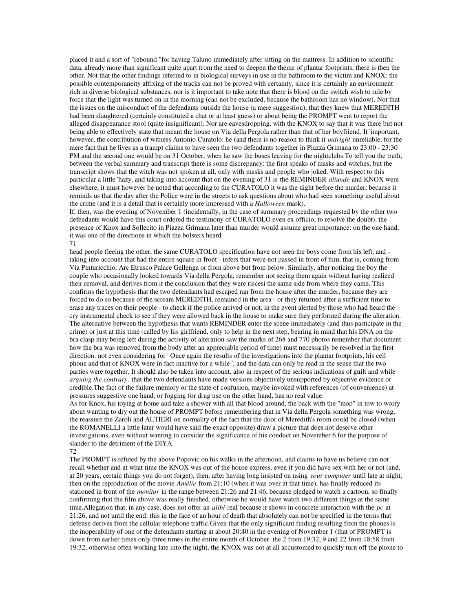placed it and a sort of "rebound "for having Taluno immediately after sitting on the mattress. In addition to scientific data, already more than significant quite apart from the need to deepen the theme of plantar footprints, there is then the other. Not that the other findings referred to in biological surveys in use in the bathroom to the victim and KNOX: the possible contemporaneity affixing of the tracks can not be proved with certainty, since it is certainly an environment rich in diverse biological substances, nor is it important to take note that there is blood on the switch wish to rule by force that the light was turned on in the morning (can not be excluded, because the bathroom has no window). Not that the issues on the misconduct of the defendants outside the house (a mere suggestion), that they knew that MEREDITH had been slaughtered (certainly constituted a chat or at least guess) or about being the PROMPT went to report the alleged disappearance stool (quite insignificant). Nor are eavesdropping, with the KNOX to say that it was there but not being able to effectively state that meant the house on Via della Pergola rather than that of her boyfriend. It 'important, however, the contribution of witness Antonio Curatolo: he (and there is no reason to think it *outright* unreliable, for the mere fact that he lives as a tramp) claims to have seen the two defendants together in Piazza Grimana to 23:00 - 23:30 PM and the second one would be on 31 October, when he saw the buses leaving for the nightclubs. To tell you the truth, between the verbal summary and transcript there is some discrepancy: the first speaks of masks and witches, but the transcript shows that the witch was not spoken at all, only with masks and people who joked. With respect to this particular a little 'hazy, and taking into account that on the evening of 31 is the REMINDER *aliunde* and KNOX were elsewhere, it must however be noted that according to the CURATOLO it was the night before the murder, because it reminds us that the day after the Police were in the streets to ask questions about who had seen something useful about the crime (and it is a detail that is certainly more impressed with a *Halloween* mask).

If, then, was the evening of November 1 (incidentally, in the case of summary proceedings requested by the other two defendants would have this court ordered the testimony of CURATOLO even ex officio, to resolve the doubt), the presence of Knox and Sollecito in Piazza Grimana later than murder would assume great importance: on the one hand, it was one of the directions in which the bolsters heard 71

head people fleeing the other, the same CURATOLO specification have not seen the boys come from his left, and taking into account that had the entire square in front - infers that were not passed in front of him, that is, coming from Via Pinturicchio, Arc Etrusco Palace Gallenga or from above but from below. Similarly, after noticing the boy the couple who occasionally looked towards Via della Pergola, remember not seeing them again without having realized their removal, and derives from it the conclusion that they were riscesi the same side from where they came. This confirms the hypothesis that the two defendants had escaped ran from the house after the murder, because they are forced to do so because of the scream MEREDITH, remained in the area - or they returned after a sufficient time to erase any traces on their people - to check if the police arrived or not, in the event alerted by those who had heard the cry instrumental check to see if they were allowed back in the house to make sure they performed during the alteration. The alternative between the hypothesis that wants REMINDER enter the scene immediately (and thus participate in the crime) or just at this time (called by his girlfriend, only to help in the next step, bearing in mind that his DNA on the bra clasp may being left during the activity of alteration saw the marks of 268 and 770 photos remember that document how the bra was removed from the body after an appreciable period of time) must necessarily be resolved in the first direction: not even considering for ' Once again the results of the investigations into the plantar footprints, his cell phone and that of KNOX were in fact inactive for a while ', and the data can only be read in the sense that the two parties were together. It should also be taken into account, also in respect of the serious indications of guilt and while *arguing the contrary,* that the two defendants have made versions objectively unsupported by objective evidence or credible.The fact of the failure memory or the state of confusion, maybe invoked with references (of convenience) at pressures suggestive one hand, or fogging for drug use on the other hand, has no real value.

As for Knox, his toying at home and take a shower with all that blood around, the back with the "mop" in tow to worry about wanting to dry out the house of PROMPT before remembering that in Via della Pergola something was wrong, the reassure the Zaroli and ALTIERI on normality of the fact that the door of Meredith's room could be closed (when the ROMANELLI a little later would have said the exact opposite) draw a picture that does not deserve other investigations, even without wanting to consider the significance of his conduct on November 6 for the purpose of slander to the detriment of the DIYA.

#### 72

The PROMPT is refuted by the above Popovic on his walks in the afternoon, and claims to have us believe can not recall whether and at what time the KNOX was out of the house express, even if you did have sex with her or not (and, at 20 years, certain things you do not forget), then, after having long insisted on using *your computer* until late at night, then on the reproduction of the movie *Amélie* from 21:10 (when it was over at that time), has finally reduced its stationed in front of the *monitor* in the range between 21:26 and 21:46, because pledged to watch a cartoon, so finally confirming that the film above was really finished, otherwise he would have watch two different things at the same time.Allegation that, in any case, does not offer an *alibi* real because it shows in concrete interaction with the *pc* at 21:26, and not until the end: this in the face of an hour of death that absolutely can not be specified in the terms that defense derives from the cellular telephone traffic.Given that the only significant finding resulting from the phones is the inoperability of one of the defendants starting at about 20:40 in the evening of November 1 (that of PROMPT is down from earlier times only three times in the entire month of October, the 2 from 19:32, 9 and 22 from 18:58 from 19:32, otherwise often working late into the night, the KNOX was not at all accustomed to quickly turn off the phone to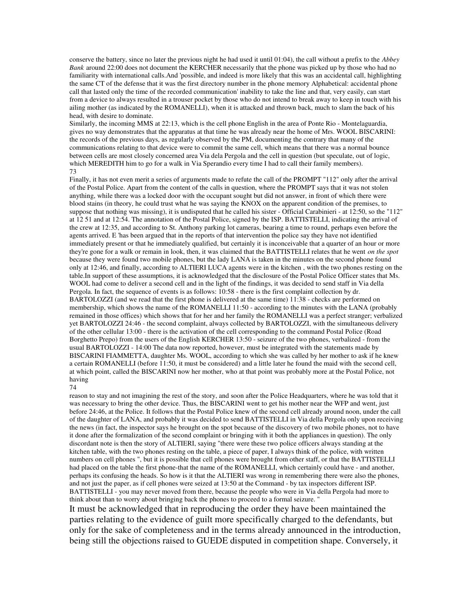conserve the battery, since no later the previous night he had used it until 01:04), the call without a prefix to the *Abbey Bank* around 22:00 does not document the KERCHER necessarily that the phone was picked up by those who had no familiarity with international calls.And 'possible, and indeed is more likely that this was an accidental call, highlighting the same CT of the defense that it was the first directory number in the phone memory Alphabetical: accidental phone call that lasted only the time of the recorded communication' inability to take the line and that, very easily, can start from a device to always resulted in a trouser pocket by those who do not intend to break away to keep in touch with his ailing mother (as indicated by the ROMANELLI), when it is attacked and thrown back, much to slam the back of his head, with desire to dominate.

Similarly, the incoming MMS at 22:13, which is the cell phone English in the area of Ponte Rio - Montelaguardia, gives no way demonstrates that the apparatus at that time he was already near the home of Mrs. WOOL BISCARINI: the records of the previous days, as regularly observed by the PM, documenting the contrary that many of the communications relating to that device were to commit the same cell, which means that there was a normal bounce between cells are most closely concerned area Via dela Pergola and the cell in question (but speculate, out of logic, which MEREDITH him to go for a walk in Via Sperandio every time I had to call their family members). 73

Finally, it has not even merit a series of arguments made to refute the call of the PROMPT "112" only after the arrival of the Postal Police. Apart from the content of the calls in question, where the PROMPT says that it was not stolen anything, while there was a locked door with the occupant sought but did not answer, in front of which there were blood stains (in theory, he could trust what he was saying the KNOX on the apparent condition of the premises, to suppose that nothing was missing), it is undisputed that he called his sister - Official Carabinieri - at 12:50, so the "112" at 12 51 and at 12:54. The annotation of the Postal Police, signed by the ISP. BATTISTELLI, indicating the arrival of the crew at 12:35, and according to St. Anthony parking lot cameras, bearing a time to round, perhaps even before the agents arrived. E 'has been argued that in the reports of that intervention the police say they have not identified immediately present or that he immediately qualified, but certainly it is inconceivable that a quarter of an hour or more they're gone for a walk or remain in look, then, it was claimed that the BATTISTELLI relates that he went *on the spot* because they were found two mobile phones, but the lady LANA is taken in the minutes on the second phone found only at 12:46, and finally, according to ALTIERI LUCA agents were in the kitchen , with the two phones resting on the table.In support of these assumptions, it is acknowledged that the disclosure of the Postal Police Officer states that Ms. WOOL had come to deliver a second cell and in the light of the findings, it was decided to send staff in Via della Pergola. In fact, the sequence of events is as follows: 10:58 - there is the first complaint collection by dr. BARTOLOZZI (and we read that the first phone is delivered at the same time) 11:38 - checks are performed on membership, which shows the name of the ROMANELLI 11:50 - according to the minutes with the LANA (probably remained in those offices) which shows that for her and her family the ROMANELLI was a perfect stranger; verbalized yet BARTOLOZZI 24:46 - the second complaint, always collected by BARTOLOZZI, with the simultaneous delivery of the other cellular 13:00 - there is the activation of the cell corresponding to the command Postal Police (Road Borghetto Prepo) from the users of the English KERCHER 13:50 - seizure of the two phones, verbalized - from the usual BARTOLOZZI - 14:00 The data now reported, however, must be integrated with the statements made by BISCARINI FIAMMETTA, daughter Ms. WOOL, according to which she was called by her mother to ask if he knew a certain ROMANELLI (before 11:50, it must be considered) and a little later he found the maid with the second cell, at which point, called the BISCARINI now her mother, who at that point was probably more at the Postal Police, not having 74

reason to stay and not imagining the rest of the story, and soon after the Police Headquarters, where he was told that it was necessary to bring the other device. Thus, the BISCARINI went to get his mother near the WFP and went, just before 24:46, at the Police. It follows that the Postal Police knew of the second cell already around noon, under the call of the daughter of LANA, and probably it was decided to send BATTISTELLI in Via della Pergola only upon receiving the news (in fact, the inspector says he brought on the spot because of the discovery of two mobile phones, not to have it done after the formalization of the second complaint or bringing with it both the appliances in question). The only discordant note is then the story of ALTIERI, saying "there were these two police officers always standing at the kitchen table, with the two phones resting on the table, a piece of paper, I always think of the police, with written numbers on cell phones ", but it is possible that cell phones were brought from other staff, or that the BATTISTELLI had placed on the table the first phone-that the name of the ROMANELLI, which certainly could have - and another, perhaps its confusing the heads. So how is it that the ALTIERI was wrong in remembering there were also the phones, and not just the paper, as if cell phones were seized at 13:50 at the Command - by tax inspectors different ISP. BATTISTELLI - you may never moved from there, because the people who were in Via della Pergola had more to think about than to worry about bringing back the phones to proceed to a formal seizure. "

It must be acknowledged that in reproducing the order they have been maintained the parties relating to the evidence of guilt more specifically charged to the defendants, but only for the sake of completeness and in the terms already announced in the introduction, being still the objections raised to GUEDE disputed in competition shape. Conversely, it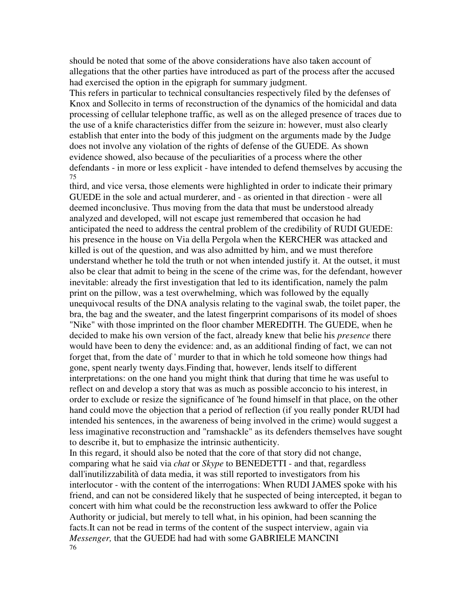should be noted that some of the above considerations have also taken account of allegations that the other parties have introduced as part of the process after the accused had exercised the option in the epigraph for summary judgment.

This refers in particular to technical consultancies respectively filed by the defenses of Knox and Sollecito in terms of reconstruction of the dynamics of the homicidal and data processing of cellular telephone traffic, as well as on the alleged presence of traces due to the use of a knife characteristics differ from the seizure in: however, must also clearly establish that enter into the body of this judgment on the arguments made by the Judge does not involve any violation of the rights of defense of the GUEDE. As shown evidence showed, also because of the peculiarities of a process where the other defendants - in more or less explicit - have intended to defend themselves by accusing the 75

third, and vice versa, those elements were highlighted in order to indicate their primary GUEDE in the sole and actual murderer, and - as oriented in that direction - were all deemed inconclusive. Thus moving from the data that must be understood already analyzed and developed, will not escape just remembered that occasion he had anticipated the need to address the central problem of the credibility of RUDI GUEDE: his presence in the house on Via della Pergola when the KERCHER was attacked and killed is out of the question, and was also admitted by him, and we must therefore understand whether he told the truth or not when intended justify it. At the outset, it must also be clear that admit to being in the scene of the crime was, for the defendant, however inevitable: already the first investigation that led to its identification, namely the palm print on the pillow, was a test overwhelming, which was followed by the equally unequivocal results of the DNA analysis relating to the vaginal swab, the toilet paper, the bra, the bag and the sweater, and the latest fingerprint comparisons of its model of shoes "Nike" with those imprinted on the floor chamber MEREDITH. The GUEDE, when he decided to make his own version of the fact, already knew that belie his *presence* there would have been to deny the evidence: and, as an additional finding of fact, we can not forget that, from the date of ' murder to that in which he told someone how things had gone, spent nearly twenty days.Finding that, however, lends itself to different interpretations: on the one hand you might think that during that time he was useful to reflect on and develop a story that was as much as possible acconcio to his interest, in order to exclude or resize the significance of 'he found himself in that place, on the other hand could move the objection that a period of reflection (if you really ponder RUDI had intended his sentences, in the awareness of being involved in the crime) would suggest a less imaginative reconstruction and "ramshackle" as its defenders themselves have sought to describe it, but to emphasize the intrinsic authenticity.

In this regard, it should also be noted that the core of that story did not change, comparing what he said via *chat* or *Skype* to BENEDETTI - and that, regardless dall'inutilizzabilità of data media, it was still reported to investigators from his interlocutor - with the content of the interrogations: When RUDI JAMES spoke with his friend, and can not be considered likely that he suspected of being intercepted, it began to concert with him what could be the reconstruction less awkward to offer the Police Authority or judicial, but merely to tell what, in his opinion, had been scanning the facts.It can not be read in terms of the content of the suspect interview, again via *Messenger,* that the GUEDE had had with some GABRIELE MANCINI 76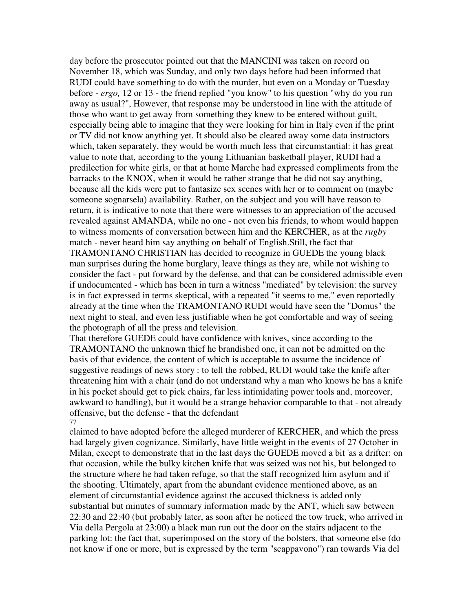day before the prosecutor pointed out that the MANCINI was taken on record on November 18, which was Sunday, and only two days before had been informed that RUDI could have something to do with the murder, but even on a Monday or Tuesday before - *ergo,* 12 or 13 - the friend replied "you know" to his question "why do you run away as usual?", However, that response may be understood in line with the attitude of those who want to get away from something they knew to be entered without guilt, especially being able to imagine that they were looking for him in Italy even if the print or TV did not know anything yet. It should also be cleared away some data instructors which, taken separately, they would be worth much less that circumstantial: it has great value to note that, according to the young Lithuanian basketball player, RUDI had a predilection for white girls, or that at home Marche had expressed compliments from the barracks to the KNOX, when it would be rather strange that he did not say anything, because all the kids were put to fantasize sex scenes with her or to comment on (maybe someone sognarsela) availability. Rather, on the subject and you will have reason to return, it is indicative to note that there were witnesses to an appreciation of the accused revealed against AMANDA, while no one - not even his friends, to whom would happen to witness moments of conversation between him and the KERCHER, as at the *rugby* match - never heard him say anything on behalf of English.Still, the fact that TRAMONTANO CHRISTIAN has decided to recognize in GUEDE the young black man surprises during the home burglary, leave things as they are, while not wishing to consider the fact - put forward by the defense, and that can be considered admissible even if undocumented - which has been in turn a witness "mediated" by television: the survey is in fact expressed in terms skeptical, with a repeated "it seems to me," even reportedly already at the time when the TRAMONTANO RUDI would have seen the "Domus" the next night to steal, and even less justifiable when he got comfortable and way of seeing the photograph of all the press and television.

That therefore GUEDE could have confidence with knives, since according to the TRAMONTANO the unknown thief he brandished one, it can not be admitted on the basis of that evidence, the content of which is acceptable to assume the incidence of suggestive readings of news story : to tell the robbed, RUDI would take the knife after threatening him with a chair (and do not understand why a man who knows he has a knife in his pocket should get to pick chairs, far less intimidating power tools and, moreover, awkward to handling), but it would be a strange behavior comparable to that - not already offensive, but the defense - that the defendant 77

claimed to have adopted before the alleged murderer of KERCHER, and which the press had largely given cognizance. Similarly, have little weight in the events of 27 October in Milan, except to demonstrate that in the last days the GUEDE moved a bit 'as a drifter: on that occasion, while the bulky kitchen knife that was seized was not his, but belonged to the structure where he had taken refuge, so that the staff recognized him asylum and if the shooting. Ultimately, apart from the abundant evidence mentioned above, as an element of circumstantial evidence against the accused thickness is added only substantial but minutes of summary information made by the ANT, which saw between 22:30 and 22:40 (but probably later, as soon after he noticed the tow truck, who arrived in Via della Pergola at 23:00) a black man run out the door on the stairs adjacent to the parking lot: the fact that, superimposed on the story of the bolsters, that someone else (do not know if one or more, but is expressed by the term "scappavono") ran towards Via del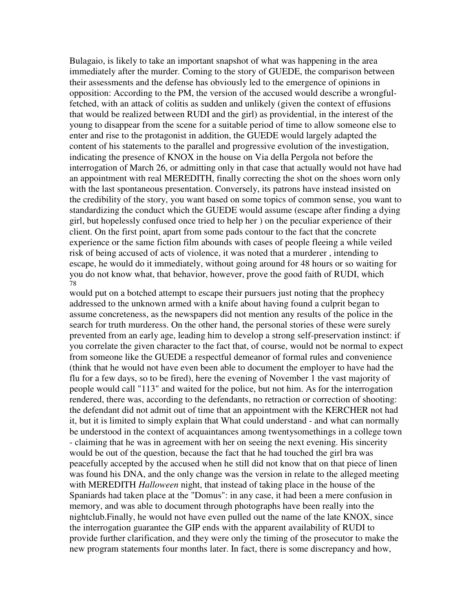Bulagaio, is likely to take an important snapshot of what was happening in the area immediately after the murder. Coming to the story of GUEDE, the comparison between their assessments and the defense has obviously led to the emergence of opinions in opposition: According to the PM, the version of the accused would describe a wrongfulfetched, with an attack of colitis as sudden and unlikely (given the context of effusions that would be realized between RUDI and the girl) as providential, in the interest of the young to disappear from the scene for a suitable period of time to allow someone else to enter and rise to the protagonist in addition, the GUEDE would largely adapted the content of his statements to the parallel and progressive evolution of the investigation, indicating the presence of KNOX in the house on Via della Pergola not before the interrogation of March 26, or admitting only in that case that actually would not have had an appointment with real MEREDITH, finally correcting the shot on the shoes worn only with the last spontaneous presentation. Conversely, its patrons have instead insisted on the credibility of the story, you want based on some topics of common sense, you want to standardizing the conduct which the GUEDE would assume (escape after finding a dying girl, but hopelessly confused once tried to help her ) on the peculiar experience of their client. On the first point, apart from some pads contour to the fact that the concrete experience or the same fiction film abounds with cases of people fleeing a while veiled risk of being accused of acts of violence, it was noted that a murderer , intending to escape, he would do it immediately, without going around for 48 hours or so waiting for you do not know what, that behavior, however, prove the good faith of RUDI, which 78

would put on a botched attempt to escape their pursuers just noting that the prophecy addressed to the unknown armed with a knife about having found a culprit began to assume concreteness, as the newspapers did not mention any results of the police in the search for truth murderess. On the other hand, the personal stories of these were surely prevented from an early age, leading him to develop a strong self-preservation instinct: if you correlate the given character to the fact that, of course, would not be normal to expect from someone like the GUEDE a respectful demeanor of formal rules and convenience (think that he would not have even been able to document the employer to have had the flu for a few days, so to be fired), here the evening of November 1 the vast majority of people would call "113" and waited for the police, but not him. As for the interrogation rendered, there was, according to the defendants, no retraction or correction of shooting: the defendant did not admit out of time that an appointment with the KERCHER not had it, but it is limited to simply explain that What could understand - and what can normally be understood in the context of acquaintances among twentysomethings in a college town - claiming that he was in agreement with her on seeing the next evening. His sincerity would be out of the question, because the fact that he had touched the girl bra was peacefully accepted by the accused when he still did not know that on that piece of linen was found his DNA, and the only change was the version in relate to the alleged meeting with MEREDITH *Halloween* night, that instead of taking place in the house of the Spaniards had taken place at the "Domus": in any case, it had been a mere confusion in memory, and was able to document through photographs have been really into the nightclub.Finally, he would not have even pulled out the name of the late KNOX, since the interrogation guarantee the GIP ends with the apparent availability of RUDI to provide further clarification, and they were only the timing of the prosecutor to make the new program statements four months later. In fact, there is some discrepancy and how,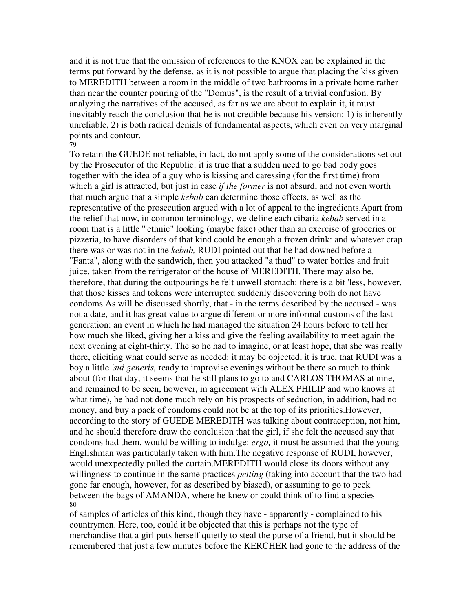and it is not true that the omission of references to the KNOX can be explained in the terms put forward by the defense, as it is not possible to argue that placing the kiss given to MEREDITH between a room in the middle of two bathrooms in a private home rather than near the counter pouring of the "Domus", is the result of a trivial confusion. By analyzing the narratives of the accused, as far as we are about to explain it, it must inevitably reach the conclusion that he is not credible because his version: 1) is inherently unreliable, 2) is both radical denials of fundamental aspects, which even on very marginal points and contour.

### 79

To retain the GUEDE not reliable, in fact, do not apply some of the considerations set out by the Prosecutor of the Republic: it is true that a sudden need to go bad body goes together with the idea of a guy who is kissing and caressing (for the first time) from which a girl is attracted, but just in case *if the former* is not absurd, and not even worth that much argue that a simple *kebab* can determine those effects, as well as the representative of the prosecution argued with a lot of appeal to the ingredients.Apart from the relief that now, in common terminology, we define each cibaria *kebab* served in a room that is a little '"ethnic" looking (maybe fake) other than an exercise of groceries or pizzeria, to have disorders of that kind could be enough a frozen drink: and whatever crap there was or was not in the *kebab,* RUDI pointed out that he had downed before a "Fanta", along with the sandwich, then you attacked "a thud" to water bottles and fruit juice, taken from the refrigerator of the house of MEREDITH. There may also be, therefore, that during the outpourings he felt unwell stomach: there is a bit 'less, however, that those kisses and tokens were interrupted suddenly discovering both do not have condoms.As will be discussed shortly, that - in the terms described by the accused - was not a date, and it has great value to argue different or more informal customs of the last generation: an event in which he had managed the situation 24 hours before to tell her how much she liked, giving her a kiss and give the feeling availability to meet again the next evening at eight-thirty. The so he had to imagine, or at least hope, that she was really there, eliciting what could serve as needed: it may be objected, it is true, that RUDI was a boy a little *'sui generis,* ready to improvise evenings without be there so much to think about (for that day, it seems that he still plans to go to and CARLOS THOMAS at nine, and remained to be seen, however, in agreement with ALEX PHILIP and who knows at what time), he had not done much rely on his prospects of seduction, in addition, had no money, and buy a pack of condoms could not be at the top of its priorities.However, according to the story of GUEDE MEREDITH was talking about contraception, not him, and he should therefore draw the conclusion that the girl, if she felt the accused say that condoms had them, would be willing to indulge: *ergo,* it must be assumed that the young Englishman was particularly taken with him.The negative response of RUDI, however, would unexpectedly pulled the curtain.MEREDITH would close its doors without any willingness to continue in the same practices *petting* (taking into account that the two had gone far enough, however, for as described by biased), or assuming to go to peek between the bags of AMANDA, where he knew or could think of to find a species 80

of samples of articles of this kind, though they have - apparently - complained to his countrymen. Here, too, could it be objected that this is perhaps not the type of merchandise that a girl puts herself quietly to steal the purse of a friend, but it should be remembered that just a few minutes before the KERCHER had gone to the address of the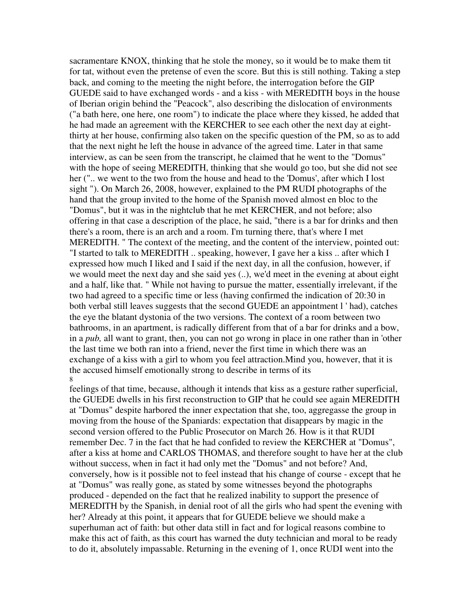sacramentare KNOX, thinking that he stole the money, so it would be to make them tit for tat, without even the pretense of even the score. But this is still nothing. Taking a step back, and coming to the meeting the night before, the interrogation before the GIP GUEDE said to have exchanged words - and a kiss - with MEREDITH boys in the house of Iberian origin behind the "Peacock", also describing the dislocation of environments ("a bath here, one here, one room") to indicate the place where they kissed, he added that he had made an agreement with the KERCHER to see each other the next day at eightthirty at her house, confirming also taken on the specific question of the PM, so as to add that the next night he left the house in advance of the agreed time. Later in that same interview, as can be seen from the transcript, he claimed that he went to the "Domus" with the hope of seeing MEREDITH, thinking that she would go too, but she did not see her (".. we went to the two from the house and head to the 'Domus', after which I lost sight "). On March 26, 2008, however, explained to the PM RUDI photographs of the hand that the group invited to the home of the Spanish moved almost en bloc to the "Domus", but it was in the nightclub that he met KERCHER, and not before; also offering in that case a description of the place, he said, "there is a bar for drinks and then there's a room, there is an arch and a room. I'm turning there, that's where I met MEREDITH. " The context of the meeting, and the content of the interview, pointed out: "I started to talk to MEREDITH .. speaking, however, I gave her a kiss .. after which I expressed how much I liked and I said if the next day, in all the confusion, however, if we would meet the next day and she said yes (..), we'd meet in the evening at about eight and a half, like that. " While not having to pursue the matter, essentially irrelevant, if the two had agreed to a specific time or less (having confirmed the indication of 20:30 in both verbal still leaves suggests that the second GUEDE an appointment l ' had), catches the eye the blatant dystonia of the two versions. The context of a room between two bathrooms, in an apartment, is radically different from that of a bar for drinks and a bow, in a *pub,* all want to grant, then, you can not go wrong in place in one rather than in 'other the last time we both ran into a friend, never the first time in which there was an exchange of a kiss with a girl to whom you feel attraction.Mind you, however, that it is the accused himself emotionally strong to describe in terms of its 8

feelings of that time, because, although it intends that kiss as a gesture rather superficial, the GUEDE dwells in his first reconstruction to GIP that he could see again MEREDITH at "Domus" despite harbored the inner expectation that she, too, aggregasse the group in moving from the house of the Spaniards: expectation that disappears by magic in the second version offered to the Public Prosecutor on March 26. How is it that RUDI remember Dec. 7 in the fact that he had confided to review the KERCHER at "Domus", after a kiss at home and CARLOS THOMAS, and therefore sought to have her at the club without success, when in fact it had only met the "Domus" and not before? And, conversely, how is it possible not to feel instead that his change of course - except that he at "Domus" was really gone, as stated by some witnesses beyond the photographs produced - depended on the fact that he realized inability to support the presence of MEREDITH by the Spanish, in denial root of all the girls who had spent the evening with her? Already at this point, it appears that for GUEDE believe we should make a superhuman act of faith: but other data still in fact and for logical reasons combine to make this act of faith, as this court has warned the duty technician and moral to be ready to do it, absolutely impassable. Returning in the evening of 1, once RUDI went into the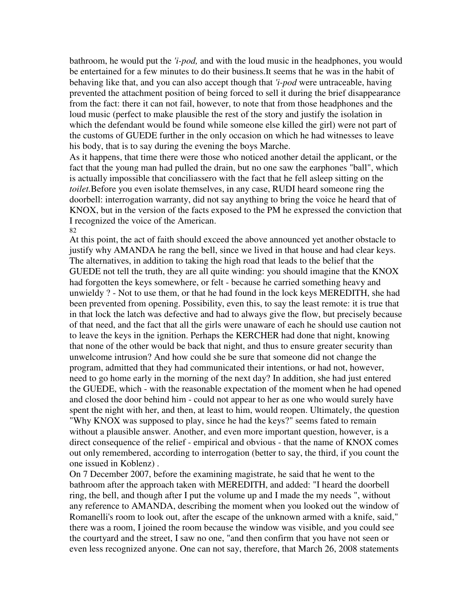bathroom, he would put the *'i-pod,* and with the loud music in the headphones, you would be entertained for a few minutes to do their business.It seems that he was in the habit of behaving like that, and you can also accept though that *'i-pod* were untraceable, having prevented the attachment position of being forced to sell it during the brief disappearance from the fact: there it can not fail, however, to note that from those headphones and the loud music (perfect to make plausible the rest of the story and justify the isolation in which the defendant would be found while someone else killed the girl) were not part of the customs of GUEDE further in the only occasion on which he had witnesses to leave his body, that is to say during the evening the boys Marche.

As it happens, that time there were those who noticed another detail the applicant, or the fact that the young man had pulled the drain, but no one saw the earphones "ball", which is actually impossible that conciliassero with the fact that he fell asleep sitting on the *toilet.*Before you even isolate themselves, in any case, RUDI heard someone ring the doorbell: interrogation warranty, did not say anything to bring the voice he heard that of KNOX, but in the version of the facts exposed to the PM he expressed the conviction that I recognized the voice of the American. 82

At this point, the act of faith should exceed the above announced yet another obstacle to justify why AMANDA he rang the bell, since we lived in that house and had clear keys. The alternatives, in addition to taking the high road that leads to the belief that the GUEDE not tell the truth, they are all quite winding: you should imagine that the KNOX had forgotten the keys somewhere, or felt - because he carried something heavy and unwieldy ? - Not to use them, or that he had found in the lock keys MEREDITH, she had been prevented from opening. Possibility, even this, to say the least remote: it is true that in that lock the latch was defective and had to always give the flow, but precisely because of that need, and the fact that all the girls were unaware of each he should use caution not to leave the keys in the ignition. Perhaps the KERCHER had done that night, knowing that none of the other would be back that night, and thus to ensure greater security than unwelcome intrusion? And how could she be sure that someone did not change the program, admitted that they had communicated their intentions, or had not, however, need to go home early in the morning of the next day? In addition, she had just entered the GUEDE, which - with the reasonable expectation of the moment when he had opened and closed the door behind him - could not appear to her as one who would surely have spent the night with her, and then, at least to him, would reopen. Ultimately, the question "Why KNOX was supposed to play, since he had the keys?" seems fated to remain without a plausible answer. Another, and even more important question, however, is a direct consequence of the relief - empirical and obvious - that the name of KNOX comes out only remembered, according to interrogation (better to say, the third, if you count the one issued in Koblenz) .

On 7 December 2007, before the examining magistrate, he said that he went to the bathroom after the approach taken with MEREDITH, and added: "I heard the doorbell ring, the bell, and though after I put the volume up and I made the my needs ", without any reference to AMANDA, describing the moment when you looked out the window of Romanelli's room to look out, after the escape of the unknown armed with a knife, said," there was a room, I joined the room because the window was visible, and you could see the courtyard and the street, I saw no one, "and then confirm that you have not seen or even less recognized anyone. One can not say, therefore, that March 26, 2008 statements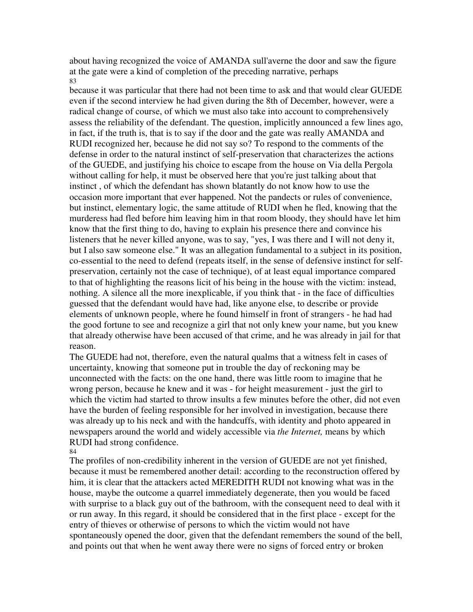about having recognized the voice of AMANDA sull'averne the door and saw the figure at the gate were a kind of completion of the preceding narrative, perhaps 83

because it was particular that there had not been time to ask and that would clear GUEDE even if the second interview he had given during the 8th of December, however, were a radical change of course, of which we must also take into account to comprehensively assess the reliability of the defendant. The question, implicitly announced a few lines ago, in fact, if the truth is, that is to say if the door and the gate was really AMANDA and RUDI recognized her, because he did not say so? To respond to the comments of the defense in order to the natural instinct of self-preservation that characterizes the actions of the GUEDE, and justifying his choice to escape from the house on Via della Pergola without calling for help, it must be observed here that you're just talking about that instinct , of which the defendant has shown blatantly do not know how to use the occasion more important that ever happened. Not the pandects or rules of convenience, but instinct, elementary logic, the same attitude of RUDI when he fled, knowing that the murderess had fled before him leaving him in that room bloody, they should have let him know that the first thing to do, having to explain his presence there and convince his listeners that he never killed anyone, was to say, "yes, I was there and I will not deny it, but I also saw someone else." It was an allegation fundamental to a subject in its position, co-essential to the need to defend (repeats itself, in the sense of defensive instinct for selfpreservation, certainly not the case of technique), of at least equal importance compared to that of highlighting the reasons licit of his being in the house with the victim: instead, nothing. A silence all the more inexplicable, if you think that - in the face of difficulties guessed that the defendant would have had, like anyone else, to describe or provide elements of unknown people, where he found himself in front of strangers - he had had the good fortune to see and recognize a girl that not only knew your name, but you knew that already otherwise have been accused of that crime, and he was already in jail for that reason.

The GUEDE had not, therefore, even the natural qualms that a witness felt in cases of uncertainty, knowing that someone put in trouble the day of reckoning may be unconnected with the facts: on the one hand, there was little room to imagine that he wrong person, because he knew and it was - for height measurement - just the girl to which the victim had started to throw insults a few minutes before the other, did not even have the burden of feeling responsible for her involved in investigation, because there was already up to his neck and with the handcuffs, with identity and photo appeared in newspapers around the world and widely accessible via *the Internet,* means by which RUDI had strong confidence.

84

The profiles of non-credibility inherent in the version of GUEDE are not yet finished, because it must be remembered another detail: according to the reconstruction offered by him, it is clear that the attackers acted MEREDITH RUDI not knowing what was in the house, maybe the outcome a quarrel immediately degenerate, then you would be faced with surprise to a black guy out of the bathroom, with the consequent need to deal with it or run away. In this regard, it should be considered that in the first place - except for the entry of thieves or otherwise of persons to which the victim would not have spontaneously opened the door, given that the defendant remembers the sound of the bell, and points out that when he went away there were no signs of forced entry or broken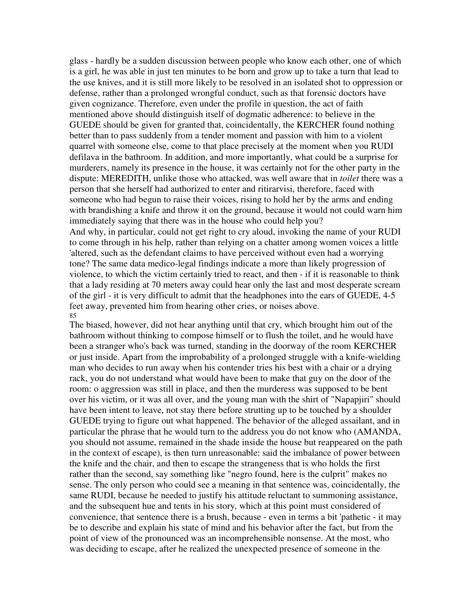glass - hardly be a sudden discussion between people who know each other, one of which is a girl, he was able in just ten minutes to be born and grow up to take a turn that lead to the use knives, and it is still more likely to be resolved in an isolated shot to oppression or defense, rather than a prolonged wrongful conduct, such as that forensic doctors have given cognizance. Therefore, even under the profile in question, the act of faith mentioned above should distinguish itself of dogmatic adherence: to believe in the GUEDE should be given for granted that, coincidentally, the KERCHER found nothing better than to pass suddenly from a tender moment and passion with him to a violent quarrel with someone else, come to that place precisely at the moment when you RUDI defilava in the bathroom. In addition, and more importantly, what could be a surprise for murderers, namely its presence in the house, it was certainly not for the other party in the dispute: MEREDITH, unlike those who attacked, was well aware that in *toilet* there was a person that she herself had authorized to enter and ritirarvisi, therefore, faced with someone who had begun to raise their voices, rising to hold her by the arms and ending with brandishing a knife and throw it on the ground, because it would not could warn him immediately saying that there was in the house who could help you? And why, in particular, could not get right to cry aloud, invoking the name of your RUDI to come through in his help, rather than relying on a chatter among women voices a little 'altered, such as the defendant claims to have perceived without even had a worrying tone? The same data medico-legal findings indicate a more than likely progression of violence, to which the victim certainly tried to react, and then - if it is reasonable to think that a lady residing at 70 meters away could hear only the last and most desperate scream of the girl - it is very difficult to admit that the headphones into the ears of GUEDE, 4-5 feet away, prevented him from hearing other cries, or noises above. 85

The biased, however, did not hear anything until that cry, which brought him out of the bathroom without thinking to compose himself or to flush the toilet, and he would have been a stranger who's back was turned, standing in the doorway of the room KERCHER or just inside. Apart from the improbability of a prolonged struggle with a knife-wielding man who decides to run away when his contender tries his best with a chair or a drying rack, you do not understand what would have been to make that guy on the door of the room: o aggression was still in place, and then the murderess was supposed to be bent over his victim, or it was all over, and the young man with the shirt of "Napapjiri" should have been intent to leave, not stay there before strutting up to be touched by a shoulder GUEDE trying to figure out what happened. The behavior of the alleged assailant, and in particular the phrase that he would turn to the address you do not know who (AMANDA, you should not assume, remained in the shade inside the house but reappeared on the path in the context of escape), is then turn unreasonable: said the imbalance of power between the knife and the chair, and then to escape the strangeness that is who holds the first rather than the second, say something like "negro found, here is the culprit" makes no sense. The only person who could see a meaning in that sentence was, coincidentally, the same RUDI, because he needed to justify his attitude reluctant to summoning assistance, and the subsequent hue and tents in his story, which at this point must considered of convenience, that sentence there is a brush, because - even in terms a bit 'pathetic - it may be to describe and explain his state of mind and his behavior after the fact, but from the point of view of the pronounced was an incomprehensible nonsense. At the most, who was deciding to escape, after he realized the unexpected presence of someone in the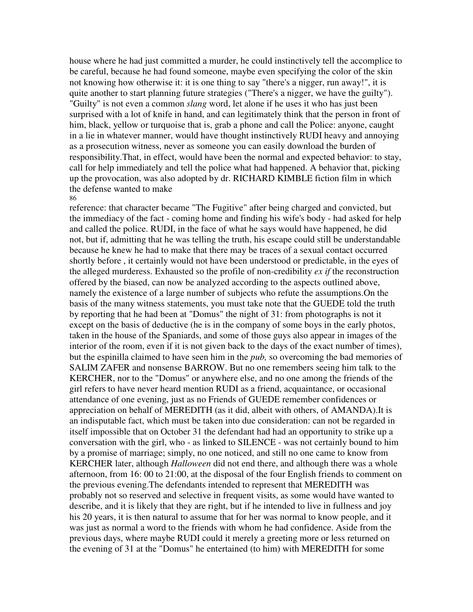house where he had just committed a murder, he could instinctively tell the accomplice to be careful, because he had found someone, maybe even specifying the color of the skin not knowing how otherwise it: it is one thing to say "there's a nigger, run away!", it is quite another to start planning future strategies ("There's a nigger, we have the guilty"). "Guilty" is not even a common *slang* word, let alone if he uses it who has just been surprised with a lot of knife in hand, and can legitimately think that the person in front of him, black, yellow or turquoise that is, grab a phone and call the Police: anyone, caught in a lie in whatever manner, would have thought instinctively RUDI heavy and annoying as a prosecution witness, never as someone you can easily download the burden of responsibility.That, in effect, would have been the normal and expected behavior: to stay, call for help immediately and tell the police what had happened. A behavior that, picking up the provocation, was also adopted by dr. RICHARD KIMBLE fiction film in which the defense wanted to make 86

reference: that character became "The Fugitive" after being charged and convicted, but the immediacy of the fact - coming home and finding his wife's body - had asked for help and called the police. RUDI, in the face of what he says would have happened, he did not, but if, admitting that he was telling the truth, his escape could still be understandable because he knew he had to make that there may be traces of a sexual contact occurred shortly before , it certainly would not have been understood or predictable, in the eyes of the alleged murderess. Exhausted so the profile of non-credibility *ex if* the reconstruction offered by the biased, can now be analyzed according to the aspects outlined above, namely the existence of a large number of subjects who refute the assumptions.On the basis of the many witness statements, you must take note that the GUEDE told the truth by reporting that he had been at "Domus" the night of 31: from photographs is not it except on the basis of deductive (he is in the company of some boys in the early photos, taken in the house of the Spaniards, and some of those guys also appear in images of the interior of the room, even if it is not given back to the days of the exact number of times), but the espinilla claimed to have seen him in the *pub,* so overcoming the bad memories of SALIM ZAFER and nonsense BARROW. But no one remembers seeing him talk to the KERCHER, nor to the "Domus" or anywhere else, and no one among the friends of the girl refers to have never heard mention RUDI as a friend, acquaintance, or occasional attendance of one evening, just as no Friends of GUEDE remember confidences or appreciation on behalf of MEREDITH (as it did, albeit with others, of AMANDA).It is an indisputable fact, which must be taken into due consideration: can not be regarded in itself impossible that on October 31 the defendant had had an opportunity to strike up a conversation with the girl, who - as linked to SILENCE - was not certainly bound to him by a promise of marriage; simply, no one noticed, and still no one came to know from KERCHER later, although *Halloween* did not end there, and although there was a whole afternoon, from 16: 00 to 21:00, at the disposal of the four English friends to comment on the previous evening.The defendants intended to represent that MEREDITH was probably not so reserved and selective in frequent visits, as some would have wanted to describe, and it is likely that they are right, but if he intended to live in fullness and joy his 20 years, it is then natural to assume that for her was normal to know people, and it was just as normal a word to the friends with whom he had confidence. Aside from the previous days, where maybe RUDI could it merely a greeting more or less returned on the evening of 31 at the "Domus" he entertained (to him) with MEREDITH for some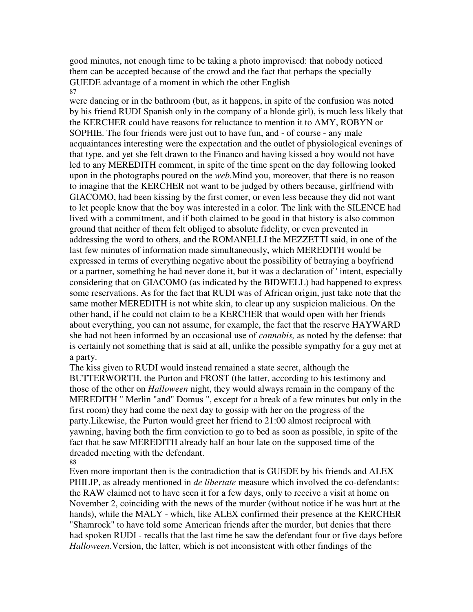good minutes, not enough time to be taking a photo improvised: that nobody noticed them can be accepted because of the crowd and the fact that perhaps the specially GUEDE advantage of a moment in which the other English 87

were dancing or in the bathroom (but, as it happens, in spite of the confusion was noted by his friend RUDI Spanish only in the company of a blonde girl), is much less likely that the KERCHER could have reasons for reluctance to mention it to AMY, ROBYN or SOPHIE. The four friends were just out to have fun, and - of course - any male acquaintances interesting were the expectation and the outlet of physiological evenings of that type, and yet she felt drawn to the Financo and having kissed a boy would not have led to any MEREDITH comment, in spite of the time spent on the day following looked upon in the photographs poured on the *web.*Mind you, moreover, that there is no reason to imagine that the KERCHER not want to be judged by others because, girlfriend with GIACOMO, had been kissing by the first comer, or even less because they did not want to let people know that the boy was interested in a color. The link with the SILENCE had lived with a commitment, and if both claimed to be good in that history is also common ground that neither of them felt obliged to absolute fidelity, or even prevented in addressing the word to others, and the ROMANELLI the MEZZETTI said, in one of the last few minutes of information made simultaneously, which MEREDITH would be expressed in terms of everything negative about the possibility of betraying a boyfriend or a partner, something he had never done it, but it was a declaration of ' intent, especially considering that on GIACOMO (as indicated by the BIDWELL) had happened to express some reservations. As for the fact that RUDI was of African origin, just take note that the same mother MEREDITH is not white skin, to clear up any suspicion malicious. On the other hand, if he could not claim to be a KERCHER that would open with her friends about everything, you can not assume, for example, the fact that the reserve HAYWARD she had not been informed by an occasional use of *cannabis,* as noted by the defense: that is certainly not something that is said at all, unlike the possible sympathy for a guy met at a party.

The kiss given to RUDI would instead remained a state secret, although the BUTTERWORTH, the Purton and FROST (the latter, according to his testimony and those of the other on *Halloween* night, they would always remain in the company of the MEREDITH " Merlin "and" Domus ", except for a break of a few minutes but only in the first room) they had come the next day to gossip with her on the progress of the party.Likewise, the Purton would greet her friend to 21:00 almost reciprocal with yawning, having both the firm conviction to go to bed as soon as possible, in spite of the fact that he saw MEREDITH already half an hour late on the supposed time of the dreaded meeting with the defendant.

88

Even more important then is the contradiction that is GUEDE by his friends and ALEX PHILIP, as already mentioned in *de libertate* measure which involved the co-defendants: the RAW claimed not to have seen it for a few days, only to receive a visit at home on November 2, coinciding with the news of the murder (without notice if he was hurt at the hands), while the MALY - which, like ALEX confirmed their presence at the KERCHER "Shamrock" to have told some American friends after the murder, but denies that there had spoken RUDI - recalls that the last time he saw the defendant four or five days before *Halloween.*Version, the latter, which is not inconsistent with other findings of the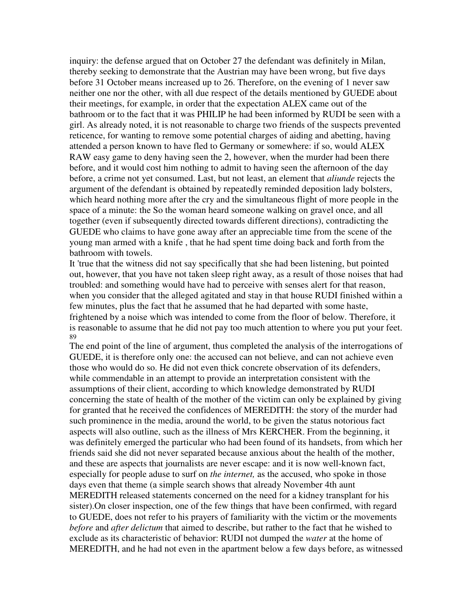inquiry: the defense argued that on October 27 the defendant was definitely in Milan, thereby seeking to demonstrate that the Austrian may have been wrong, but five days before 31 October means increased up to 26. Therefore, on the evening of 1 never saw neither one nor the other, with all due respect of the details mentioned by GUEDE about their meetings, for example, in order that the expectation ALEX came out of the bathroom or to the fact that it was PHILIP he had been informed by RUDI be seen with a girl. As already noted, it is not reasonable to charge two friends of the suspects prevented reticence, for wanting to remove some potential charges of aiding and abetting, having attended a person known to have fled to Germany or somewhere: if so, would ALEX RAW easy game to deny having seen the 2, however, when the murder had been there before, and it would cost him nothing to admit to having seen the afternoon of the day before, a crime not yet consumed. Last, but not least, an element that *aliunde* rejects the argument of the defendant is obtained by repeatedly reminded deposition lady bolsters, which heard nothing more after the cry and the simultaneous flight of more people in the space of a minute: the So the woman heard someone walking on gravel once, and all together (even if subsequently directed towards different directions), contradicting the GUEDE who claims to have gone away after an appreciable time from the scene of the young man armed with a knife , that he had spent time doing back and forth from the bathroom with towels.

It 'true that the witness did not say specifically that she had been listening, but pointed out, however, that you have not taken sleep right away, as a result of those noises that had troubled: and something would have had to perceive with senses alert for that reason, when you consider that the alleged agitated and stay in that house RUDI finished within a few minutes, plus the fact that he assumed that he had departed with some haste, frightened by a noise which was intended to come from the floor of below. Therefore, it is reasonable to assume that he did not pay too much attention to where you put your feet. 89

The end point of the line of argument, thus completed the analysis of the interrogations of GUEDE, it is therefore only one: the accused can not believe, and can not achieve even those who would do so. He did not even thick concrete observation of its defenders, while commendable in an attempt to provide an interpretation consistent with the assumptions of their client, according to which knowledge demonstrated by RUDI concerning the state of health of the mother of the victim can only be explained by giving for granted that he received the confidences of MEREDITH: the story of the murder had such prominence in the media, around the world, to be given the status notorious fact aspects will also outline, such as the illness of Mrs KERCHER. From the beginning, it was definitely emerged the particular who had been found of its handsets, from which her friends said she did not never separated because anxious about the health of the mother, and these are aspects that journalists are never escape: and it is now well-known fact, especially for people aduse to surf on *the internet,* as the accused, who spoke in those days even that theme (a simple search shows that already November 4th aunt MEREDITH released statements concerned on the need for a kidney transplant for his sister).On closer inspection, one of the few things that have been confirmed, with regard to GUEDE, does not refer to his prayers of familiarity with the victim or the movements *before* and *after delictum* that aimed to describe, but rather to the fact that he wished to exclude as its characteristic of behavior: RUDI not dumped the *water* at the home of MEREDITH, and he had not even in the apartment below a few days before, as witnessed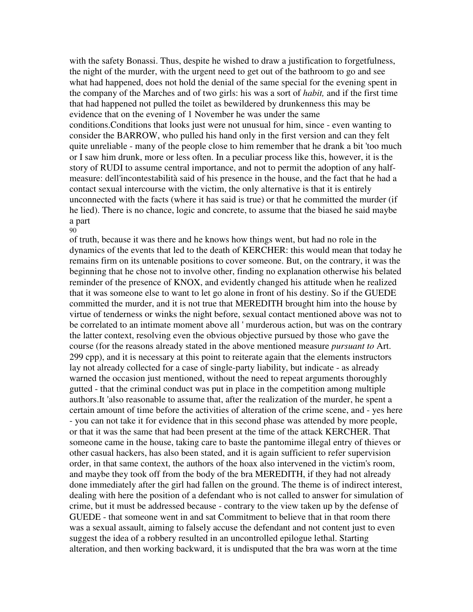with the safety Bonassi. Thus, despite he wished to draw a justification to forgetfulness, the night of the murder, with the urgent need to get out of the bathroom to go and see what had happened, does not hold the denial of the same special for the evening spent in the company of the Marches and of two girls: his was a sort of *habit,* and if the first time that had happened not pulled the toilet as bewildered by drunkenness this may be evidence that on the evening of 1 November he was under the same conditions.Conditions that looks just were not unusual for him, since - even wanting to consider the BARROW, who pulled his hand only in the first version and can they felt quite unreliable - many of the people close to him remember that he drank a bit 'too much or I saw him drunk, more or less often. In a peculiar process like this, however, it is the story of RUDI to assume central importance, and not to permit the adoption of any halfmeasure: dell'incontestabilità said of his presence in the house, and the fact that he had a contact sexual intercourse with the victim, the only alternative is that it is entirely unconnected with the facts (where it has said is true) or that he committed the murder (if he lied). There is no chance, logic and concrete, to assume that the biased he said maybe a part 90

of truth, because it was there and he knows how things went, but had no role in the dynamics of the events that led to the death of KERCHER: this would mean that today he remains firm on its untenable positions to cover someone. But, on the contrary, it was the beginning that he chose not to involve other, finding no explanation otherwise his belated reminder of the presence of KNOX, and evidently changed his attitude when he realized that it was someone else to want to let go alone in front of his destiny. So if the GUEDE committed the murder, and it is not true that MEREDITH brought him into the house by virtue of tenderness or winks the night before, sexual contact mentioned above was not to be correlated to an intimate moment above all ' murderous action, but was on the contrary the latter context, resolving even the obvious objective pursued by those who gave the course (for the reasons already stated in the above mentioned measure *pursuant to* Art. 299 cpp), and it is necessary at this point to reiterate again that the elements instructors lay not already collected for a case of single-party liability, but indicate - as already warned the occasion just mentioned, without the need to repeat arguments thoroughly gutted - that the criminal conduct was put in place in the competition among multiple authors.It 'also reasonable to assume that, after the realization of the murder, he spent a certain amount of time before the activities of alteration of the crime scene, and - yes here - you can not take it for evidence that in this second phase was attended by more people, or that it was the same that had been present at the time of the attack KERCHER. That someone came in the house, taking care to baste the pantomime illegal entry of thieves or other casual hackers, has also been stated, and it is again sufficient to refer supervision order, in that same context, the authors of the hoax also intervened in the victim's room, and maybe they took off from the body of the bra MEREDITH, if they had not already done immediately after the girl had fallen on the ground. The theme is of indirect interest, dealing with here the position of a defendant who is not called to answer for simulation of crime, but it must be addressed because - contrary to the view taken up by the defense of GUEDE - that someone went in and sat Commitment to believe that in that room there was a sexual assault, aiming to falsely accuse the defendant and not content just to even suggest the idea of a robbery resulted in an uncontrolled epilogue lethal. Starting alteration, and then working backward, it is undisputed that the bra was worn at the time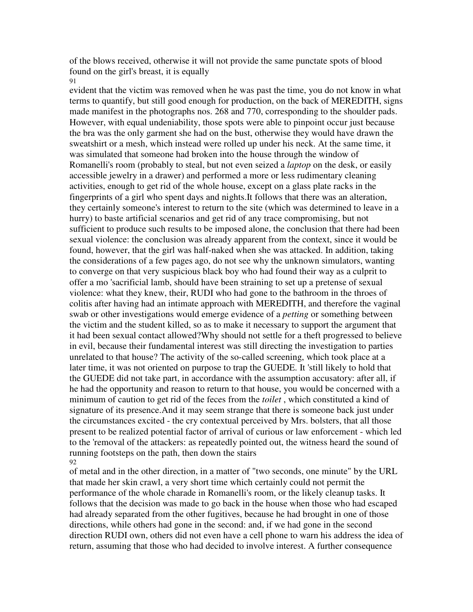of the blows received, otherwise it will not provide the same punctate spots of blood found on the girl's breast, it is equally 91

evident that the victim was removed when he was past the time, you do not know in what terms to quantify, but still good enough for production, on the back of MEREDITH, signs made manifest in the photographs nos. 268 and 770, corresponding to the shoulder pads. However, with equal undeniability, those spots were able to pinpoint occur just because the bra was the only garment she had on the bust, otherwise they would have drawn the sweatshirt or a mesh, which instead were rolled up under his neck. At the same time, it was simulated that someone had broken into the house through the window of Romanelli's room (probably to steal, but not even seized a *laptop* on the desk, or easily accessible jewelry in a drawer) and performed a more or less rudimentary cleaning activities, enough to get rid of the whole house, except on a glass plate racks in the fingerprints of a girl who spent days and nights.It follows that there was an alteration, they certainly someone's interest to return to the site (which was determined to leave in a hurry) to baste artificial scenarios and get rid of any trace compromising, but not sufficient to produce such results to be imposed alone, the conclusion that there had been sexual violence: the conclusion was already apparent from the context, since it would be found, however, that the girl was half-naked when she was attacked. In addition, taking the considerations of a few pages ago, do not see why the unknown simulators, wanting to converge on that very suspicious black boy who had found their way as a culprit to offer a mo 'sacrificial lamb, should have been straining to set up a pretense of sexual violence: what they knew, their, RUDI who had gone to the bathroom in the throes of colitis after having had an intimate approach with MEREDITH, and therefore the vaginal swab or other investigations would emerge evidence of a *petting* or something between the victim and the student killed, so as to make it necessary to support the argument that it had been sexual contact allowed?Why should not settle for a theft progressed to believe in evil, because their fundamental interest was still directing the investigation to parties unrelated to that house? The activity of the so-called screening, which took place at a later time, it was not oriented on purpose to trap the GUEDE. It 'still likely to hold that the GUEDE did not take part, in accordance with the assumption accusatory: after all, if he had the opportunity and reason to return to that house, you would be concerned with a minimum of caution to get rid of the feces from the *toilet* , which constituted a kind of signature of its presence.And it may seem strange that there is someone back just under the circumstances excited - the cry contextual perceived by Mrs. bolsters, that all those present to be realized potential factor of arrival of curious or law enforcement - which led to the 'removal of the attackers: as repeatedly pointed out, the witness heard the sound of running footsteps on the path, then down the stairs 92

of metal and in the other direction, in a matter of "two seconds, one minute" by the URL that made her skin crawl, a very short time which certainly could not permit the performance of the whole charade in Romanelli's room, or the likely cleanup tasks. It follows that the decision was made to go back in the house when those who had escaped had already separated from the other fugitives, because he had brought in one of those directions, while others had gone in the second: and, if we had gone in the second direction RUDI own, others did not even have a cell phone to warn his address the idea of return, assuming that those who had decided to involve interest. A further consequence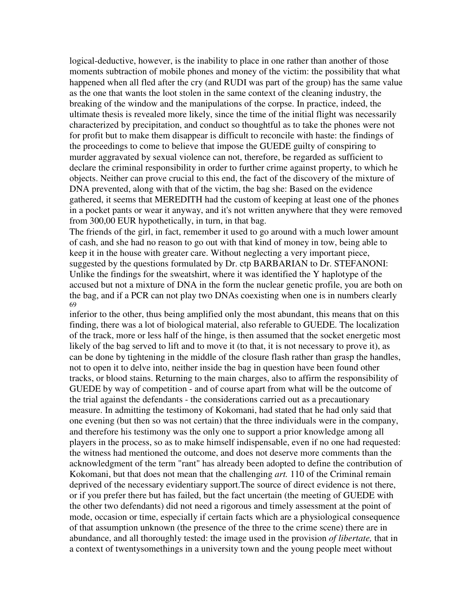logical-deductive, however, is the inability to place in one rather than another of those moments subtraction of mobile phones and money of the victim: the possibility that what happened when all fled after the cry (and RUDI was part of the group) has the same value as the one that wants the loot stolen in the same context of the cleaning industry, the breaking of the window and the manipulations of the corpse. In practice, indeed, the ultimate thesis is revealed more likely, since the time of the initial flight was necessarily characterized by precipitation, and conduct so thoughtful as to take the phones were not for profit but to make them disappear is difficult to reconcile with haste: the findings of the proceedings to come to believe that impose the GUEDE guilty of conspiring to murder aggravated by sexual violence can not, therefore, be regarded as sufficient to declare the criminal responsibility in order to further crime against property, to which he objects. Neither can prove crucial to this end, the fact of the discovery of the mixture of DNA prevented, along with that of the victim, the bag she: Based on the evidence gathered, it seems that MEREDITH had the custom of keeping at least one of the phones in a pocket pants or wear it anyway, and it's not written anywhere that they were removed from 300,00 EUR hypothetically, in turn, in that bag.

The friends of the girl, in fact, remember it used to go around with a much lower amount of cash, and she had no reason to go out with that kind of money in tow, being able to keep it in the house with greater care. Without neglecting a very important piece, suggested by the questions formulated by Dr. ctp BARBARIAN to Dr. STEFANONI: Unlike the findings for the sweatshirt, where it was identified the Y haplotype of the accused but not a mixture of DNA in the form the nuclear genetic profile, you are both on the bag, and if a PCR can not play two DNAs coexisting when one is in numbers clearly 69

inferior to the other, thus being amplified only the most abundant, this means that on this finding, there was a lot of biological material, also referable to GUEDE. The localization of the track, more or less half of the hinge, is then assumed that the socket energetic most likely of the bag served to lift and to move it (to that, it is not necessary to prove it), as can be done by tightening in the middle of the closure flash rather than grasp the handles, not to open it to delve into, neither inside the bag in question have been found other tracks, or blood stains. Returning to the main charges, also to affirm the responsibility of GUEDE by way of competition - and of course apart from what will be the outcome of the trial against the defendants - the considerations carried out as a precautionary measure. In admitting the testimony of Kokomani, had stated that he had only said that one evening (but then so was not certain) that the three individuals were in the company, and therefore his testimony was the only one to support a prior knowledge among all players in the process, so as to make himself indispensable, even if no one had requested: the witness had mentioned the outcome, and does not deserve more comments than the acknowledgment of the term "rant" has already been adopted to define the contribution of Kokomani, but that does not mean that the challenging *art.* 110 of the Criminal remain deprived of the necessary evidentiary support.The source of direct evidence is not there, or if you prefer there but has failed, but the fact uncertain (the meeting of GUEDE with the other two defendants) did not need a rigorous and timely assessment at the point of mode, occasion or time, especially if certain facts which are a physiological consequence of that assumption unknown (the presence of the three to the crime scene) there are in abundance, and all thoroughly tested: the image used in the provision *of libertate,* that in a context of twentysomethings in a university town and the young people meet without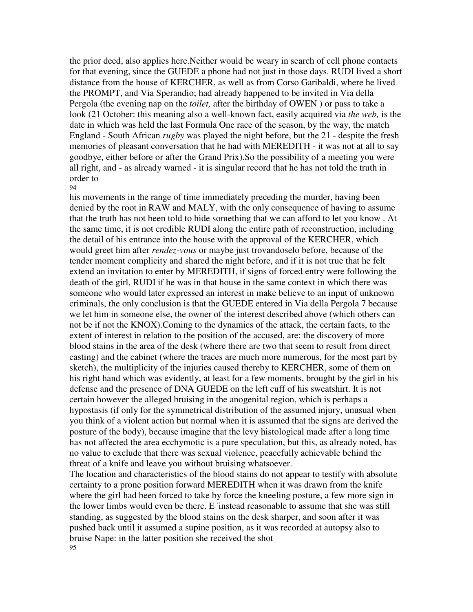the prior deed, also applies here.Neither would be weary in search of cell phone contacts for that evening, since the GUEDE a phone had not just in those days. RUDI lived a short distance from the house of KERCHER, as well as from Corso Garibaldi, where he lived the PROMPT, and Via Sperandio; had already happened to be invited in Via della Pergola (the evening nap on the *toilet,* after the birthday of OWEN ) or pass to take a look (21 October: this meaning also a well-known fact, easily acquired via *the web,* is the date in which was held the last Formula One race of the season, by the way, the match England - South African *rugby* was played the night before, but the 21 - despite the fresh memories of pleasant conversation that he had with MEREDITH - it was not at all to say goodbye, either before or after the Grand Prix).So the possibility of a meeting you were all right, and - as already warned - it is singular record that he has not told the truth in order to

### 94

his movements in the range of time immediately preceding the murder, having been denied by the root in RAW and MALY, with the only consequence of having to assume that the truth has not been told to hide something that we can afford to let you know . At the same time, it is not credible RUDI along the entire path of reconstruction, including the detail of his entrance into the house with the approval of the KERCHER, which would greet him after *rendez-vous* or maybe just trovandoselo before, because of the tender moment complicity and shared the night before, and if it is not true that he felt extend an invitation to enter by MEREDITH, if signs of forced entry were following the death of the girl, RUDI if he was in that house in the same context in which there was someone who would later expressed an interest in make believe to an input of unknown criminals, the only conclusion is that the GUEDE entered in Via della Pergola 7 because we let him in someone else, the owner of the interest described above (which others can not be if not the KNOX).Coming to the dynamics of the attack, the certain facts, to the extent of interest in relation to the position of the accused, are: the discovery of more blood stains in the area of the desk (where there are two that seem to result from direct casting) and the cabinet (where the traces are much more numerous, for the most part by sketch), the multiplicity of the injuries caused thereby to KERCHER, some of them on his right hand which was evidently, at least for a few moments, brought by the girl in his defense and the presence of DNA GUEDE on the left cuff of his sweatshirt. It is not certain however the alleged bruising in the anogenital region, which is perhaps a hypostasis (if only for the symmetrical distribution of the assumed injury, unusual when you think of a violent action but normal when it is assumed that the signs are derived the posture of the body), because imagine that the levy histological made after a long time has not affected the area ecchymotic is a pure speculation, but this, as already noted, has no value to exclude that there was sexual violence, peacefully achievable behind the threat of a knife and leave you without bruising whatsoever.

The location and characteristics of the blood stains do not appear to testify with absolute certainty to a prone position forward MEREDITH when it was drawn from the knife where the girl had been forced to take by force the kneeling posture, a few more sign in the lower limbs would even be there. E 'instead reasonable to assume that she was still standing, as suggested by the blood stains on the desk sharper, and soon after it was pushed back until it assumed a supine position, as it was recorded at autopsy also to bruise Nape: in the latter position she received the shot 95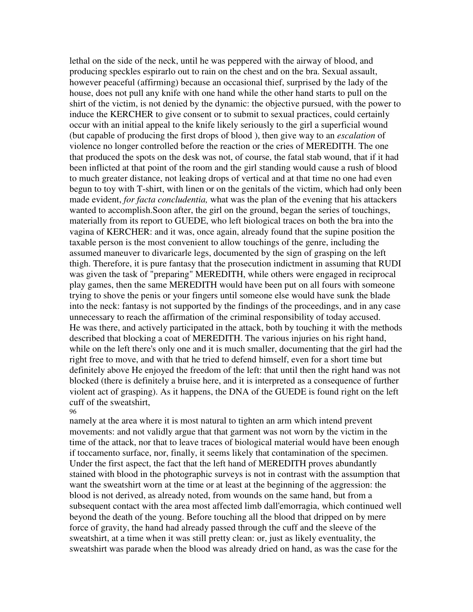lethal on the side of the neck, until he was peppered with the airway of blood, and producing speckles espirarlo out to rain on the chest and on the bra. Sexual assault, however peaceful (affirming) because an occasional thief, surprised by the lady of the house, does not pull any knife with one hand while the other hand starts to pull on the shirt of the victim, is not denied by the dynamic: the objective pursued, with the power to induce the KERCHER to give consent or to submit to sexual practices, could certainly occur with an initial appeal to the knife likely seriously to the girl a superficial wound (but capable of producing the first drops of blood ), then give way to an *escalation* of violence no longer controlled before the reaction or the cries of MEREDITH. The one that produced the spots on the desk was not, of course, the fatal stab wound, that if it had been inflicted at that point of the room and the girl standing would cause a rush of blood to much greater distance, not leaking drops of vertical and at that time no one had even begun to toy with T-shirt, with linen or on the genitals of the victim, which had only been made evident, *for facta concludentia,* what was the plan of the evening that his attackers wanted to accomplish.Soon after, the girl on the ground, began the series of touchings, materially from its report to GUEDE, who left biological traces on both the bra into the vagina of KERCHER: and it was, once again, already found that the supine position the taxable person is the most convenient to allow touchings of the genre, including the assumed maneuver to divaricarle legs, documented by the sign of grasping on the left thigh. Therefore, it is pure fantasy that the prosecution indictment in assuming that RUDI was given the task of "preparing" MEREDITH, while others were engaged in reciprocal play games, then the same MEREDITH would have been put on all fours with someone trying to shove the penis or your fingers until someone else would have sunk the blade into the neck: fantasy is not supported by the findings of the proceedings, and in any case unnecessary to reach the affirmation of the criminal responsibility of today accused. He was there, and actively participated in the attack, both by touching it with the methods described that blocking a coat of MEREDITH. The various injuries on his right hand, while on the left there's only one and it is much smaller, documenting that the girl had the right free to move, and with that he tried to defend himself, even for a short time but definitely above He enjoyed the freedom of the left: that until then the right hand was not blocked (there is definitely a bruise here, and it is interpreted as a consequence of further violent act of grasping). As it happens, the DNA of the GUEDE is found right on the left cuff of the sweatshirt, 96

namely at the area where it is most natural to tighten an arm which intend prevent movements: and not validly argue that that garment was not worn by the victim in the time of the attack, nor that to leave traces of biological material would have been enough if toccamento surface, nor, finally, it seems likely that contamination of the specimen. Under the first aspect, the fact that the left hand of MEREDITH proves abundantly stained with blood in the photographic surveys is not in contrast with the assumption that want the sweatshirt worn at the time or at least at the beginning of the aggression: the blood is not derived, as already noted, from wounds on the same hand, but from a subsequent contact with the area most affected limb dall'emorragia, which continued well beyond the death of the young. Before touching all the blood that dripped on by mere force of gravity, the hand had already passed through the cuff and the sleeve of the sweatshirt, at a time when it was still pretty clean: or, just as likely eventuality, the sweatshirt was parade when the blood was already dried on hand, as was the case for the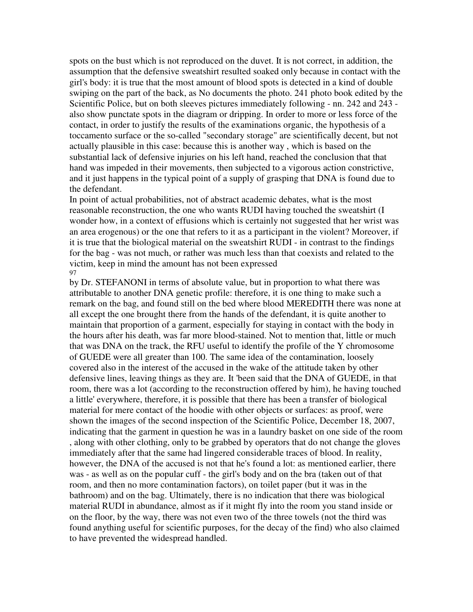spots on the bust which is not reproduced on the duvet. It is not correct, in addition, the assumption that the defensive sweatshirt resulted soaked only because in contact with the girl's body: it is true that the most amount of blood spots is detected in a kind of double swiping on the part of the back, as No documents the photo. 241 photo book edited by the Scientific Police, but on both sleeves pictures immediately following - nn. 242 and 243 also show punctate spots in the diagram or dripping. In order to more or less force of the contact, in order to justify the results of the examinations organic, the hypothesis of a toccamento surface or the so-called "secondary storage" are scientifically decent, but not actually plausible in this case: because this is another way , which is based on the substantial lack of defensive injuries on his left hand, reached the conclusion that that hand was impeded in their movements, then subjected to a vigorous action constrictive, and it just happens in the typical point of a supply of grasping that DNA is found due to the defendant.

In point of actual probabilities, not of abstract academic debates, what is the most reasonable reconstruction, the one who wants RUDI having touched the sweatshirt (I wonder how, in a context of effusions which is certainly not suggested that her wrist was an area erogenous) or the one that refers to it as a participant in the violent? Moreover, if it is true that the biological material on the sweatshirt RUDI - in contrast to the findings for the bag - was not much, or rather was much less than that coexists and related to the victim, keep in mind the amount has not been expressed 97

by Dr. STEFANONI in terms of absolute value, but in proportion to what there was attributable to another DNA genetic profile: therefore, it is one thing to make such a remark on the bag, and found still on the bed where blood MEREDITH there was none at all except the one brought there from the hands of the defendant, it is quite another to maintain that proportion of a garment, especially for staying in contact with the body in the hours after his death, was far more blood-stained. Not to mention that, little or much that was DNA on the track, the RFU useful to identify the profile of the Y chromosome of GUEDE were all greater than 100. The same idea of the contamination, loosely covered also in the interest of the accused in the wake of the attitude taken by other defensive lines, leaving things as they are. It 'been said that the DNA of GUEDE, in that room, there was a lot (according to the reconstruction offered by him), he having touched a little' everywhere, therefore, it is possible that there has been a transfer of biological material for mere contact of the hoodie with other objects or surfaces: as proof, were shown the images of the second inspection of the Scientific Police, December 18, 2007, indicating that the garment in question he was in a laundry basket on one side of the room , along with other clothing, only to be grabbed by operators that do not change the gloves immediately after that the same had lingered considerable traces of blood. In reality, however, the DNA of the accused is not that he's found a lot: as mentioned earlier, there was - as well as on the popular cuff - the girl's body and on the bra (taken out of that room, and then no more contamination factors), on toilet paper (but it was in the bathroom) and on the bag. Ultimately, there is no indication that there was biological material RUDI in abundance, almost as if it might fly into the room you stand inside or on the floor, by the way, there was not even two of the three towels (not the third was found anything useful for scientific purposes, for the decay of the find) who also claimed to have prevented the widespread handled.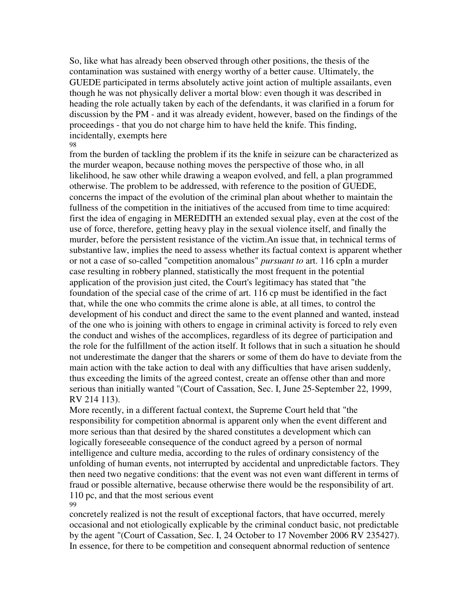So, like what has already been observed through other positions, the thesis of the contamination was sustained with energy worthy of a better cause. Ultimately, the GUEDE participated in terms absolutely active joint action of multiple assailants, even though he was not physically deliver a mortal blow: even though it was described in heading the role actually taken by each of the defendants, it was clarified in a forum for discussion by the PM - and it was already evident, however, based on the findings of the proceedings - that you do not charge him to have held the knife. This finding, incidentally, exempts here 98

from the burden of tackling the problem if its the knife in seizure can be characterized as the murder weapon, because nothing moves the perspective of those who, in all likelihood, he saw other while drawing a weapon evolved, and fell, a plan programmed otherwise. The problem to be addressed, with reference to the position of GUEDE, concerns the impact of the evolution of the criminal plan about whether to maintain the fullness of the competition in the initiatives of the accused from time to time acquired: first the idea of engaging in MEREDITH an extended sexual play, even at the cost of the use of force, therefore, getting heavy play in the sexual violence itself, and finally the murder, before the persistent resistance of the victim.An issue that, in technical terms of substantive law, implies the need to assess whether its factual context is apparent whether or not a case of so-called "competition anomalous" *pursuant to* art. 116 cpIn a murder case resulting in robbery planned, statistically the most frequent in the potential application of the provision just cited, the Court's legitimacy has stated that "the foundation of the special case of the crime of art. 116 cp must be identified in the fact that, while the one who commits the crime alone is able, at all times, to control the development of his conduct and direct the same to the event planned and wanted, instead of the one who is joining with others to engage in criminal activity is forced to rely even the conduct and wishes of the accomplices, regardless of its degree of participation and the role for the fulfillment of the action itself. It follows that in such a situation he should not underestimate the danger that the sharers or some of them do have to deviate from the main action with the take action to deal with any difficulties that have arisen suddenly, thus exceeding the limits of the agreed contest, create an offense other than and more serious than initially wanted "(Court of Cassation, Sec. I, June 25-September 22, 1999, RV 214 113).

More recently, in a different factual context, the Supreme Court held that "the responsibility for competition abnormal is apparent only when the event different and more serious than that desired by the shared constitutes a development which can logically foreseeable consequence of the conduct agreed by a person of normal intelligence and culture media, according to the rules of ordinary consistency of the unfolding of human events, not interrupted by accidental and unpredictable factors. They then need two negative conditions: that the event was not even want different in terms of fraud or possible alternative, because otherwise there would be the responsibility of art. 110 pc, and that the most serious event 99

concretely realized is not the result of exceptional factors, that have occurred, merely occasional and not etiologically explicable by the criminal conduct basic, not predictable by the agent "(Court of Cassation, Sec. I, 24 October to 17 November 2006 RV 235427). In essence, for there to be competition and consequent abnormal reduction of sentence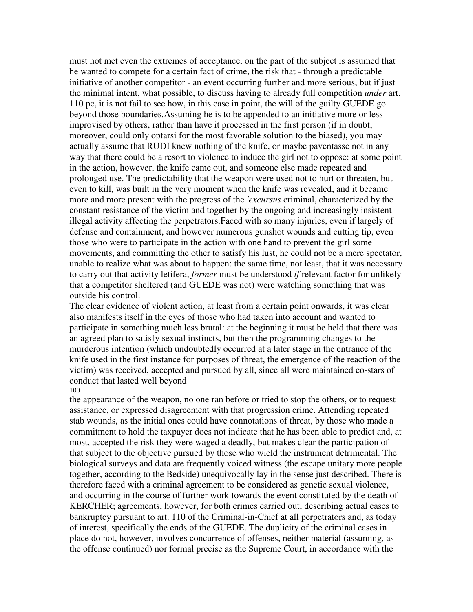must not met even the extremes of acceptance, on the part of the subject is assumed that he wanted to compete for a certain fact of crime, the risk that - through a predictable initiative of another competitor - an event occurring further and more serious, but if just the minimal intent, what possible, to discuss having to already full competition *under* art. 110 pc, it is not fail to see how, in this case in point, the will of the guilty GUEDE go beyond those boundaries.Assuming he is to be appended to an initiative more or less improvised by others, rather than have it processed in the first person (if in doubt, moreover, could only optarsi for the most favorable solution to the biased), you may actually assume that RUDI knew nothing of the knife, or maybe paventasse not in any way that there could be a resort to violence to induce the girl not to oppose: at some point in the action, however, the knife came out, and someone else made repeated and prolonged use. The predictability that the weapon were used not to hurt or threaten, but even to kill, was built in the very moment when the knife was revealed, and it became more and more present with the progress of the *'excursus* criminal, characterized by the constant resistance of the victim and together by the ongoing and increasingly insistent illegal activity affecting the perpetrators.Faced with so many injuries, even if largely of defense and containment, and however numerous gunshot wounds and cutting tip, even those who were to participate in the action with one hand to prevent the girl some movements, and committing the other to satisfy his lust, he could not be a mere spectator, unable to realize what was about to happen: the same time, not least, that it was necessary to carry out that activity letifera, *former* must be understood *if* relevant factor for unlikely that a competitor sheltered (and GUEDE was not) were watching something that was outside his control.

The clear evidence of violent action, at least from a certain point onwards, it was clear also manifests itself in the eyes of those who had taken into account and wanted to participate in something much less brutal: at the beginning it must be held that there was an agreed plan to satisfy sexual instincts, but then the programming changes to the murderous intention (which undoubtedly occurred at a later stage in the entrance of the knife used in the first instance for purposes of threat, the emergence of the reaction of the victim) was received, accepted and pursued by all, since all were maintained co-stars of conduct that lasted well beyond

### 100

the appearance of the weapon, no one ran before or tried to stop the others, or to request assistance, or expressed disagreement with that progression crime. Attending repeated stab wounds, as the initial ones could have connotations of threat, by those who made a commitment to hold the taxpayer does not indicate that he has been able to predict and, at most, accepted the risk they were waged a deadly, but makes clear the participation of that subject to the objective pursued by those who wield the instrument detrimental. The biological surveys and data are frequently voiced witness (the escape unitary more people together, according to the Bedside) unequivocally lay in the sense just described. There is therefore faced with a criminal agreement to be considered as genetic sexual violence, and occurring in the course of further work towards the event constituted by the death of KERCHER; agreements, however, for both crimes carried out, describing actual cases to bankruptcy pursuant to art. 110 of the Criminal-in-Chief at all perpetrators and, as today of interest, specifically the ends of the GUEDE. The duplicity of the criminal cases in place do not, however, involves concurrence of offenses, neither material (assuming, as the offense continued) nor formal precise as the Supreme Court, in accordance with the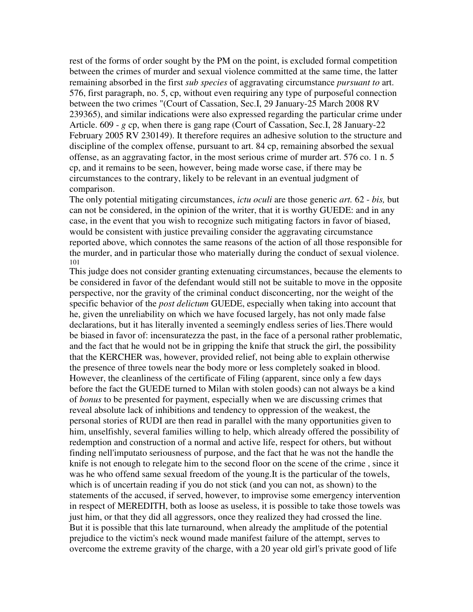rest of the forms of order sought by the PM on the point, is excluded formal competition between the crimes of murder and sexual violence committed at the same time, the latter remaining absorbed in the first *sub species* of aggravating circumstance *pursuant to* art. 576, first paragraph, no. 5, cp, without even requiring any type of purposeful connection between the two crimes "(Court of Cassation, Sec.I, 29 January-25 March 2008 RV 239365), and similar indications were also expressed regarding the particular crime under Article. 609 - *g* cp, when there is gang rape (Court of Cassation, Sec.I, 28 January-22 February 2005 RV 230149). It therefore requires an adhesive solution to the structure and discipline of the complex offense, pursuant to art. 84 cp, remaining absorbed the sexual offense, as an aggravating factor, in the most serious crime of murder art. 576 co. 1 n. 5 cp, and it remains to be seen, however, being made worse case, if there may be circumstances to the contrary, likely to be relevant in an eventual judgment of comparison.

The only potential mitigating circumstances, *ictu oculi* are those generic *art.* 62 - *bis,* but can not be considered, in the opinion of the writer, that it is worthy GUEDE: and in any case, in the event that you wish to recognize such mitigating factors in favor of biased, would be consistent with justice prevailing consider the aggravating circumstance reported above, which connotes the same reasons of the action of all those responsible for the murder, and in particular those who materially during the conduct of sexual violence. 101

This judge does not consider granting extenuating circumstances, because the elements to be considered in favor of the defendant would still not be suitable to move in the opposite perspective, nor the gravity of the criminal conduct disconcerting, nor the weight of the specific behavior of the *post delictum* GUEDE, especially when taking into account that he, given the unreliability on which we have focused largely, has not only made false declarations, but it has literally invented a seemingly endless series of lies.There would be biased in favor of: incensuratezza the past, in the face of a personal rather problematic, and the fact that he would not be in gripping the knife that struck the girl, the possibility that the KERCHER was, however, provided relief, not being able to explain otherwise the presence of three towels near the body more or less completely soaked in blood. However, the cleanliness of the certificate of Filing (apparent, since only a few days before the fact the GUEDE turned to Milan with stolen goods) can not always be a kind of *bonus* to be presented for payment, especially when we are discussing crimes that reveal absolute lack of inhibitions and tendency to oppression of the weakest, the personal stories of RUDI are then read in parallel with the many opportunities given to him, unselfishly, several families willing to help, which already offered the possibility of redemption and construction of a normal and active life, respect for others, but without finding nell'imputato seriousness of purpose, and the fact that he was not the handle the knife is not enough to relegate him to the second floor on the scene of the crime , since it was he who offend same sexual freedom of the young.It is the particular of the towels, which is of uncertain reading if you do not stick (and you can not, as shown) to the statements of the accused, if served, however, to improvise some emergency intervention in respect of MEREDITH, both as loose as useless, it is possible to take those towels was just him, or that they did all aggressors, once they realized they had crossed the line. But it is possible that this late turnaround, when already the amplitude of the potential prejudice to the victim's neck wound made manifest failure of the attempt, serves to overcome the extreme gravity of the charge, with a 20 year old girl's private good of life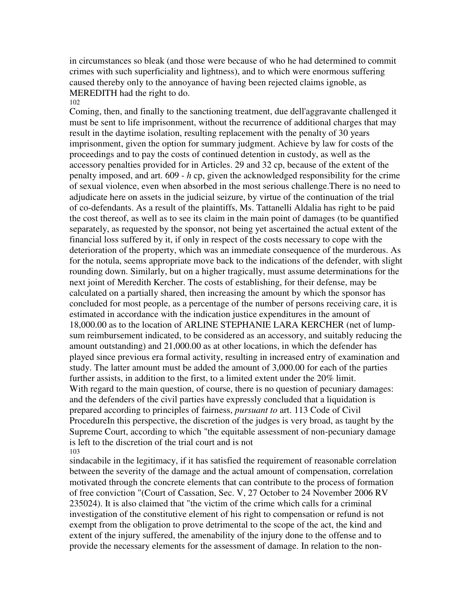in circumstances so bleak (and those were because of who he had determined to commit crimes with such superficiality and lightness), and to which were enormous suffering caused thereby only to the annoyance of having been rejected claims ignoble, as MEREDITH had the right to do. 102

Coming, then, and finally to the sanctioning treatment, due dell'aggravante challenged it must be sent to life imprisonment, without the recurrence of additional charges that may result in the daytime isolation, resulting replacement with the penalty of 30 years imprisonment, given the option for summary judgment. Achieve by law for costs of the proceedings and to pay the costs of continued detention in custody, as well as the accessory penalties provided for in Articles. 29 and 32 cp, because of the extent of the penalty imposed, and art. 609 - *h* cp, given the acknowledged responsibility for the crime of sexual violence, even when absorbed in the most serious challenge.There is no need to adjudicate here on assets in the judicial seizure, by virtue of the continuation of the trial of co-defendants. As a result of the plaintiffs, Ms. Tattanelli Aldalia has right to be paid the cost thereof, as well as to see its claim in the main point of damages (to be quantified separately, as requested by the sponsor, not being yet ascertained the actual extent of the financial loss suffered by it, if only in respect of the costs necessary to cope with the deterioration of the property, which was an immediate consequence of the murderous. As for the notula, seems appropriate move back to the indications of the defender, with slight rounding down. Similarly, but on a higher tragically, must assume determinations for the next joint of Meredith Kercher. The costs of establishing, for their defense, may be calculated on a partially shared, then increasing the amount by which the sponsor has concluded for most people, as a percentage of the number of persons receiving care, it is estimated in accordance with the indication justice expenditures in the amount of 18,000.00 as to the location of ARLINE STEPHANIE LARA KERCHER (net of lumpsum reimbursement indicated, to be considered as an accessory, and suitably reducing the amount outstanding) and 21,000.00 as at other locations, in which the defender has played since previous era formal activity, resulting in increased entry of examination and study. The latter amount must be added the amount of 3,000.00 for each of the parties further assists, in addition to the first, to a limited extent under the 20% limit. With regard to the main question, of course, there is no question of pecuniary damages: and the defenders of the civil parties have expressly concluded that a liquidation is prepared according to principles of fairness, *pursuant to* art. 113 Code of Civil ProcedureIn this perspective, the discretion of the judges is very broad, as taught by the Supreme Court, according to which "the equitable assessment of non-pecuniary damage is left to the discretion of the trial court and is not 103

sindacabile in the legitimacy, if it has satisfied the requirement of reasonable correlation between the severity of the damage and the actual amount of compensation, correlation motivated through the concrete elements that can contribute to the process of formation of free conviction "(Court of Cassation, Sec. V, 27 October to 24 November 2006 RV 235024). It is also claimed that "the victim of the crime which calls for a criminal investigation of the constitutive element of his right to compensation or refund is not exempt from the obligation to prove detrimental to the scope of the act, the kind and extent of the injury suffered, the amenability of the injury done to the offense and to provide the necessary elements for the assessment of damage. In relation to the non-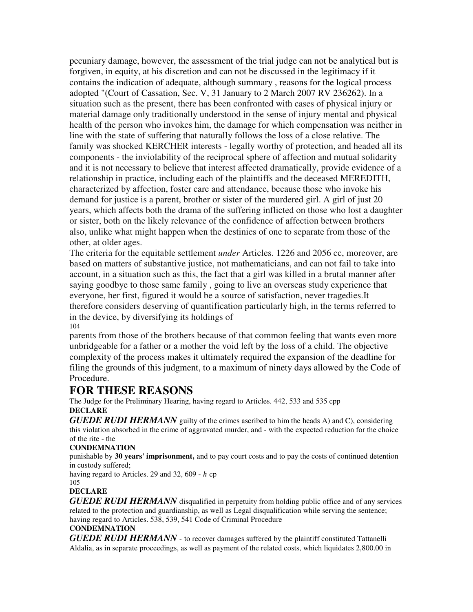pecuniary damage, however, the assessment of the trial judge can not be analytical but is forgiven, in equity, at his discretion and can not be discussed in the legitimacy if it contains the indication of adequate, although summary , reasons for the logical process adopted "(Court of Cassation, Sec. V, 31 January to 2 March 2007 RV 236262). In a situation such as the present, there has been confronted with cases of physical injury or material damage only traditionally understood in the sense of injury mental and physical health of the person who invokes him, the damage for which compensation was neither in line with the state of suffering that naturally follows the loss of a close relative. The family was shocked KERCHER interests - legally worthy of protection, and headed all its components - the inviolability of the reciprocal sphere of affection and mutual solidarity and it is not necessary to believe that interest affected dramatically, provide evidence of a relationship in practice, including each of the plaintiffs and the deceased MEREDITH, characterized by affection, foster care and attendance, because those who invoke his demand for justice is a parent, brother or sister of the murdered girl. A girl of just 20 years, which affects both the drama of the suffering inflicted on those who lost a daughter or sister, both on the likely relevance of the confidence of affection between brothers also, unlike what might happen when the destinies of one to separate from those of the other, at older ages.

The criteria for the equitable settlement *under* Articles. 1226 and 2056 cc, moreover, are based on matters of substantive justice, not mathematicians, and can not fail to take into account, in a situation such as this, the fact that a girl was killed in a brutal manner after saying goodbye to those same family , going to live an overseas study experience that everyone, her first, figured it would be a source of satisfaction, never tragedies.It therefore considers deserving of quantification particularly high, in the terms referred to in the device, by diversifying its holdings of 104

parents from those of the brothers because of that common feeling that wants even more unbridgeable for a father or a mother the void left by the loss of a child. The objective complexity of the process makes it ultimately required the expansion of the deadline for filing the grounds of this judgment, to a maximum of ninety days allowed by the Code of Procedure.

# **FOR THESE REASONS**

The Judge for the Preliminary Hearing, having regard to Articles. 442, 533 and 535 cpp **DECLARE**

*GUEDE RUDI HERMANN* guilty of the crimes ascribed to him the heads A) and C), considering this violation absorbed in the crime of aggravated murder, and - with the expected reduction for the choice of the rite - the

# **CONDEMNATION**

punishable by **30 years' imprisonment,** and to pay court costs and to pay the costs of continued detention in custody suffered;

having regard to Articles. 29 and 32, 609 - *h* cp 105

# **DECLARE**

*GUEDE RUDI HERMANN* disqualified in perpetuity from holding public office and of any services related to the protection and guardianship, as well as Legal disqualification while serving the sentence; having regard to Articles. 538, 539, 541 Code of Criminal Procedure

### **CONDEMNATION**

*GUEDE RUDI HERMANN* - to recover damages suffered by the plaintiff constituted Tattanelli Aldalia, as in separate proceedings, as well as payment of the related costs, which liquidates 2,800.00 in